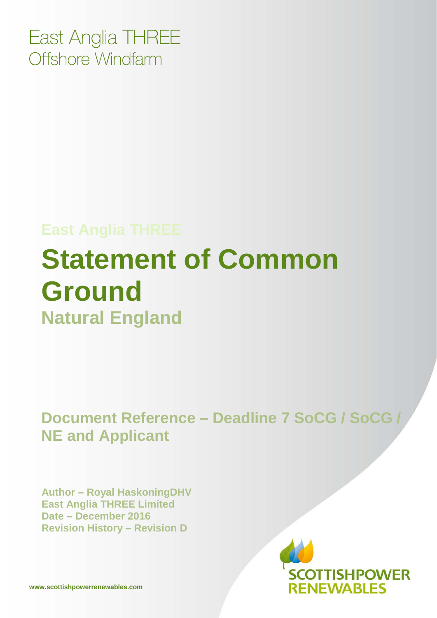East Anglia THREE Offshore Windfarm

# **East Anglia THREE Statement of Common Ground Natural England**

**Document Reference – Deadline 7 SoCG / SoCG / NE and Applicant** 

**Author – Royal HaskoningDHV East Anglia THREE Limited Date – December 2016 Revision History – Revision D**



**www.scottishpowerrenewables.com**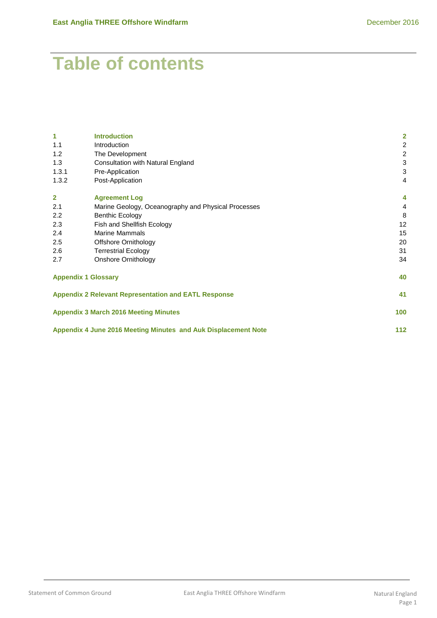## **Table of contents**

| 1                          | <b>Introduction</b>                                            | $\overline{2}$   |  |
|----------------------------|----------------------------------------------------------------|------------------|--|
| 1.1                        | Introduction                                                   | $\boldsymbol{2}$ |  |
| 1.2                        | The Development                                                | $\sqrt{2}$       |  |
| 1.3                        | Consultation with Natural England                              | 3                |  |
| 1.3.1                      | Pre-Application                                                | 3                |  |
| 1.3.2                      | Post-Application                                               | $\overline{4}$   |  |
| $\overline{2}$             | <b>Agreement Log</b>                                           | 4                |  |
| 2.1                        | Marine Geology, Oceanography and Physical Processes            | $\overline{4}$   |  |
| $2.2\phantom{0}$           | <b>Benthic Ecology</b>                                         | 8                |  |
| 2.3                        | Fish and Shellfish Ecology                                     | 12               |  |
| 2.4                        | <b>Marine Mammals</b>                                          | 15               |  |
| 2.5                        | Offshore Ornithology                                           | 20               |  |
| 2.6                        | <b>Terrestrial Ecology</b>                                     | 31               |  |
| 2.7                        | <b>Onshore Ornithology</b>                                     |                  |  |
| <b>Appendix 1 Glossary</b> |                                                                | 40               |  |
|                            | <b>Appendix 2 Relevant Representation and EATL Response</b>    |                  |  |
|                            | <b>Appendix 3 March 2016 Meeting Minutes</b>                   |                  |  |
|                            | Appendix 4 June 2016 Meeting Minutes and Auk Displacement Note | 112              |  |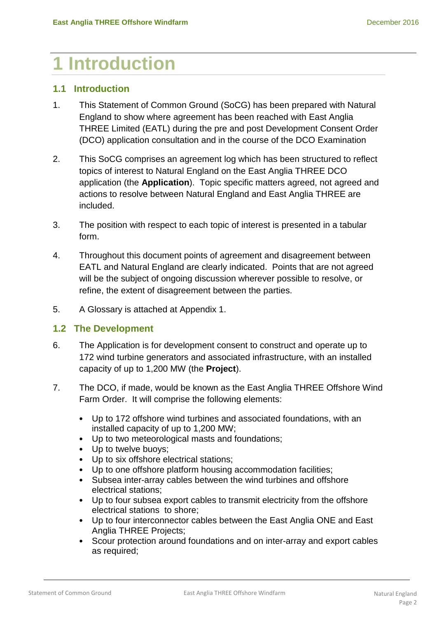### <span id="page-2-0"></span>**1 Introduction**

### <span id="page-2-1"></span>**1.1 Introduction**

- 1. This Statement of Common Ground (SoCG) has been prepared with Natural England to show where agreement has been reached with East Anglia THREE Limited (EATL) during the pre and post Development Consent Order (DCO) application consultation and in the course of the DCO Examination
- 2. This SoCG comprises an agreement log which has been structured to reflect topics of interest to Natural England on the East Anglia THREE DCO application (the **Application**). Topic specific matters agreed, not agreed and actions to resolve between Natural England and East Anglia THREE are included.
- 3. The position with respect to each topic of interest is presented in a tabular form.
- 4. Throughout this document points of agreement and disagreement between EATL and Natural England are clearly indicated. Points that are not agreed will be the subject of ongoing discussion wherever possible to resolve, or refine, the extent of disagreement between the parties.
- 5. A Glossary is attached at Appendix 1.

#### <span id="page-2-2"></span>**1.2 The Development**

- 6. The Application is for development consent to construct and operate up to 172 wind turbine generators and associated infrastructure, with an installed capacity of up to 1,200 MW (the **Project**).
- 7. The DCO, if made, would be known as the East Anglia THREE Offshore Wind Farm Order. It will comprise the following elements:
	- Up to 172 offshore wind turbines and associated foundations, with an installed capacity of up to 1,200 MW;
	- Up to two meteorological masts and foundations;
	- Up to twelve buoys;
	- Up to six offshore electrical stations;
	- Up to one offshore platform housing accommodation facilities;
	- Subsea inter-array cables between the wind turbines and offshore electrical stations;
	- Up to four subsea export cables to transmit electricity from the offshore electrical stations to shore;
	- Up to four interconnector cables between the East Anglia ONE and East Anglia THREE Projects;
	- Scour protection around foundations and on inter-array and export cables as required;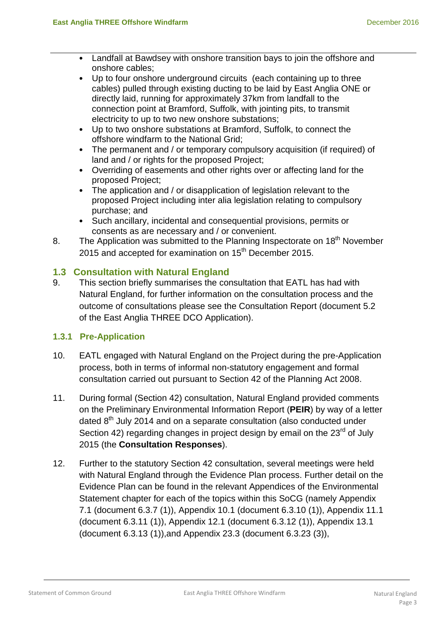- Landfall at Bawdsey with onshore transition bays to join the offshore and onshore cables;
- Up to four onshore underground circuits (each containing up to three cables) pulled through existing ducting to be laid by East Anglia ONE or directly laid, running for approximately 37km from landfall to the connection point at Bramford, Suffolk, with jointing pits, to transmit electricity to up to two new onshore substations;
- Up to two onshore substations at Bramford, Suffolk, to connect the offshore windfarm to the National Grid;
- The permanent and / or temporary compulsory acquisition (if required) of land and / or rights for the proposed Project;
- Overriding of easements and other rights over or affecting land for the proposed Project;
- The application and / or disapplication of legislation relevant to the proposed Project including inter alia legislation relating to compulsory purchase; and
- Such ancillary, incidental and consequential provisions, permits or consents as are necessary and / or convenient.
- 8. The Application was submitted to the Planning Inspectorate on 18<sup>th</sup> November 2015 and accepted for examination on 15<sup>th</sup> December 2015.

### <span id="page-3-0"></span>**1.3 Consultation with Natural England**

9. This section briefly summarises the consultation that EATL has had with Natural England, for further information on the consultation process and the outcome of consultations please see the Consultation Report (document 5.2 of the East Anglia THREE DCO Application).

### <span id="page-3-1"></span>**1.3.1 Pre-Application**

- 10. EATL engaged with Natural England on the Project during the pre-Application process, both in terms of informal non-statutory engagement and formal consultation carried out pursuant to Section 42 of the Planning Act 2008.
- 11. During formal (Section 42) consultation, Natural England provided comments on the Preliminary Environmental Information Report (**PEIR**) by way of a letter dated 8<sup>th</sup> July 2014 and on a separate consultation (also conducted under Section 42) regarding changes in project design by email on the  $23<sup>rd</sup>$  of July 2015 (the **Consultation Responses**).
- 12. Further to the statutory Section 42 consultation, several meetings were held with Natural England through the Evidence Plan process. Further detail on the Evidence Plan can be found in the relevant Appendices of the Environmental Statement chapter for each of the topics within this SoCG (namely Appendix 7.1 (document 6.3.7 (1)), Appendix 10.1 (document 6.3.10 (1)), Appendix 11.1 (document 6.3.11 (1)), Appendix 12.1 (document 6.3.12 (1)), Appendix 13.1 (document 6.3.13 (1)),and Appendix 23.3 (document 6.3.23 (3)),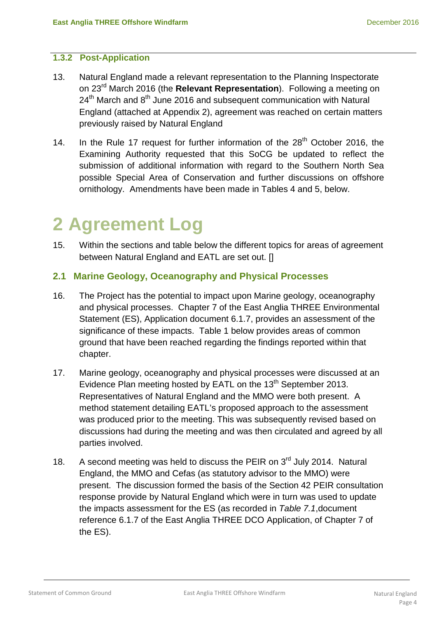#### <span id="page-4-0"></span>**1.3.2 Post-Application**

- 13. Natural England made a relevant representation to the Planning Inspectorate on 23rd March 2016 (the **Relevant Representation**). Following a meeting on 24<sup>th</sup> March and 8<sup>th</sup> June 2016 and subsequent communication with Natural England (attached at Appendix 2), agreement was reached on certain matters previously raised by Natural England
- 14. In the Rule 17 request for further information of the  $28<sup>th</sup>$  October 2016, the Examining Authority requested that this SoCG be updated to reflect the submission of additional information with regard to the Southern North Sea possible Special Area of Conservation and further discussions on offshore ornithology. Amendments have been made in Tables 4 and 5, below.

### <span id="page-4-1"></span>**2 Agreement Log**

15. Within the sections and table below the different topics for areas of agreement between Natural England and EATL are set out. []

### <span id="page-4-2"></span>**2.1 Marine Geology, Oceanography and Physical Processes**

- 16. The Project has the potential to impact upon Marine geology, oceanography and physical processes. Chapter 7 of the East Anglia THREE Environmental Statement (ES), Application document 6.1.7, provides an assessment of the significance of these impacts. Table 1 below provides areas of common ground that have been reached regarding the findings reported within that chapter.
- 17. Marine geology, oceanography and physical processes were discussed at an Evidence Plan meeting hosted by EATL on the 13<sup>th</sup> September 2013. Representatives of Natural England and the MMO were both present. A method statement detailing EATL's proposed approach to the assessment was produced prior to the meeting. This was subsequently revised based on discussions had during the meeting and was then circulated and agreed by all parties involved.
- 18. A second meeting was held to discuss the PEIR on 3<sup>rd</sup> July 2014. Natural England, the MMO and Cefas (as statutory advisor to the MMO) were present. The discussion formed the basis of the Section 42 PEIR consultation response provide by Natural England which were in turn was used to update the impacts assessment for the ES (as recorded in *Table 7.1*,document reference 6.1.7 of the East Anglia THREE DCO Application, of Chapter 7 of the ES).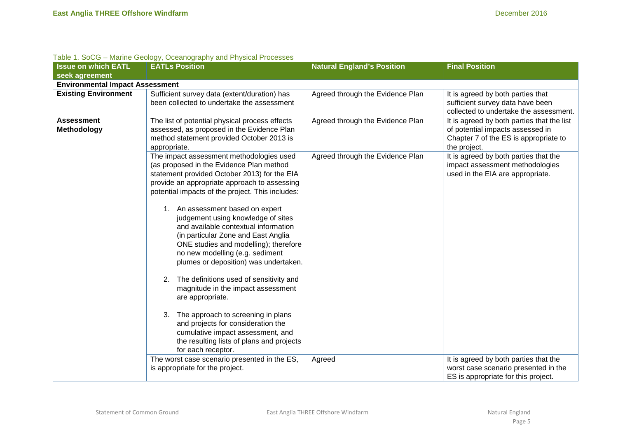| Table 1. SoCG - Marine Geology, Oceanography and Physical Processes |                                                                                                                                                                                                                                                                                                                                                                                                                                                                                                                                                                                                                                            |                                                                      |                                                                                                                                                                                                                                                         |  |
|---------------------------------------------------------------------|--------------------------------------------------------------------------------------------------------------------------------------------------------------------------------------------------------------------------------------------------------------------------------------------------------------------------------------------------------------------------------------------------------------------------------------------------------------------------------------------------------------------------------------------------------------------------------------------------------------------------------------------|----------------------------------------------------------------------|---------------------------------------------------------------------------------------------------------------------------------------------------------------------------------------------------------------------------------------------------------|--|
| <b>Issue on which EATL</b>                                          | <b>EATLs Position</b>                                                                                                                                                                                                                                                                                                                                                                                                                                                                                                                                                                                                                      | <b>Natural England's Position</b>                                    | <b>Final Position</b>                                                                                                                                                                                                                                   |  |
| seek agreement                                                      |                                                                                                                                                                                                                                                                                                                                                                                                                                                                                                                                                                                                                                            |                                                                      |                                                                                                                                                                                                                                                         |  |
| <b>Environmental Impact Assessment</b>                              |                                                                                                                                                                                                                                                                                                                                                                                                                                                                                                                                                                                                                                            |                                                                      |                                                                                                                                                                                                                                                         |  |
| <b>Existing Environment</b>                                         | Sufficient survey data (extent/duration) has<br>been collected to undertake the assessment                                                                                                                                                                                                                                                                                                                                                                                                                                                                                                                                                 | Agreed through the Evidence Plan                                     | It is agreed by both parties that<br>sufficient survey data have been<br>collected to undertake the assessment.                                                                                                                                         |  |
| <b>Assessment</b><br>Methodology                                    | The list of potential physical process effects<br>assessed, as proposed in the Evidence Plan<br>method statement provided October 2013 is<br>appropriate.<br>The impact assessment methodologies used<br>(as proposed in the Evidence Plan method<br>statement provided October 2013) for the EIA<br>provide an appropriate approach to assessing<br>potential impacts of the project. This includes:<br>1. An assessment based on expert<br>judgement using knowledge of sites<br>and available contextual information<br>(in particular Zone and East Anglia<br>ONE studies and modelling); therefore<br>no new modelling (e.g. sediment | Agreed through the Evidence Plan<br>Agreed through the Evidence Plan | It is agreed by both parties that the list<br>of potential impacts assessed in<br>Chapter 7 of the ES is appropriate to<br>the project.<br>It is agreed by both parties that the<br>impact assessment methodologies<br>used in the EIA are appropriate. |  |
|                                                                     | plumes or deposition) was undertaken.<br>The definitions used of sensitivity and<br>2.<br>magnitude in the impact assessment<br>are appropriate.<br>The approach to screening in plans<br>3.<br>and projects for consideration the<br>cumulative impact assessment, and<br>the resulting lists of plans and projects<br>for each receptor.<br>The worst case scenario presented in the ES,<br>is appropriate for the project.                                                                                                                                                                                                              | Agreed                                                               | It is agreed by both parties that the<br>worst case scenario presented in the<br>ES is appropriate for this project.                                                                                                                                    |  |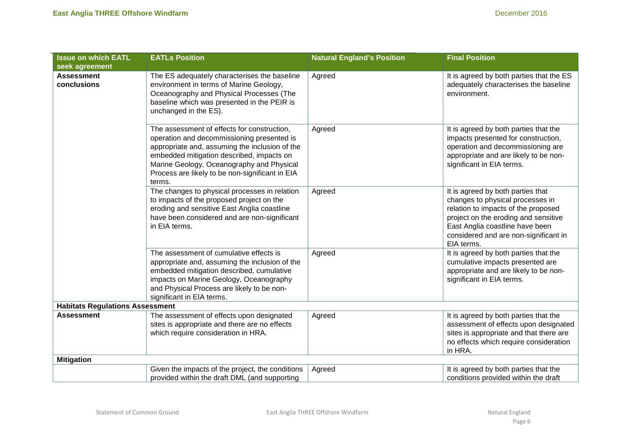| <b>Issue on which EATL</b><br>seek agreement | <b>EATLs Position</b>                                                                                                                                                                                                                                                                              | <b>Natural England's Position</b> | <b>Final Position</b>                                                                                                                                                                                                                          |
|----------------------------------------------|----------------------------------------------------------------------------------------------------------------------------------------------------------------------------------------------------------------------------------------------------------------------------------------------------|-----------------------------------|------------------------------------------------------------------------------------------------------------------------------------------------------------------------------------------------------------------------------------------------|
| <b>Assessment</b><br>conclusions             | The ES adequately characterises the baseline<br>environment in terms of Marine Geology,<br>Oceanography and Physical Processes (The<br>baseline which was presented in the PEIR is<br>unchanged in the ES).                                                                                        | Agreed                            | It is agreed by both parties that the ES<br>adequately characterises the baseline<br>environment.                                                                                                                                              |
|                                              | The assessment of effects for construction,<br>operation and decommissioning presented is<br>appropriate and, assuming the inclusion of the<br>embedded mitigation described, impacts on<br>Marine Geology, Oceanography and Physical<br>Process are likely to be non-significant in EIA<br>terms. | Agreed                            | It is agreed by both parties that the<br>impacts presented for construction,<br>operation and decommissioning are<br>appropriate and are likely to be non-<br>significant in EIA terms.                                                        |
|                                              | The changes to physical processes in relation<br>to impacts of the proposed project on the<br>eroding and sensitive East Anglia coastline<br>have been considered and are non-significant<br>in EIA terms.                                                                                         | Agreed                            | It is agreed by both parties that<br>changes to physical processes in<br>relation to impacts of the proposed<br>project on the eroding and sensitive<br>East Anglia coastline have been<br>considered and are non-significant in<br>EIA terms. |
|                                              | The assessment of cumulative effects is<br>appropriate and, assuming the inclusion of the<br>embedded mitigation described, cumulative<br>impacts on Marine Geology, Oceanography<br>and Physical Process are likely to be non-<br>significant in EIA terms.                                       | Agreed                            | It is agreed by both parties that the<br>cumulative impacts presented are<br>appropriate and are likely to be non-<br>significant in EIA terms.                                                                                                |
| <b>Habitats Regulations Assessment</b>       |                                                                                                                                                                                                                                                                                                    |                                   |                                                                                                                                                                                                                                                |
| <b>Assessment</b>                            | The assessment of effects upon designated<br>sites is appropriate and there are no effects<br>which require consideration in HRA.                                                                                                                                                                  | Agreed                            | It is agreed by both parties that the<br>assessment of effects upon designated<br>sites is appropriate and that there are<br>no effects which require consideration<br>in HRA.                                                                 |
| <b>Mitigation</b>                            |                                                                                                                                                                                                                                                                                                    |                                   |                                                                                                                                                                                                                                                |
|                                              | Given the impacts of the project, the conditions<br>provided within the draft DML (and supporting                                                                                                                                                                                                  | Agreed                            | It is agreed by both parties that the<br>conditions provided within the draft                                                                                                                                                                  |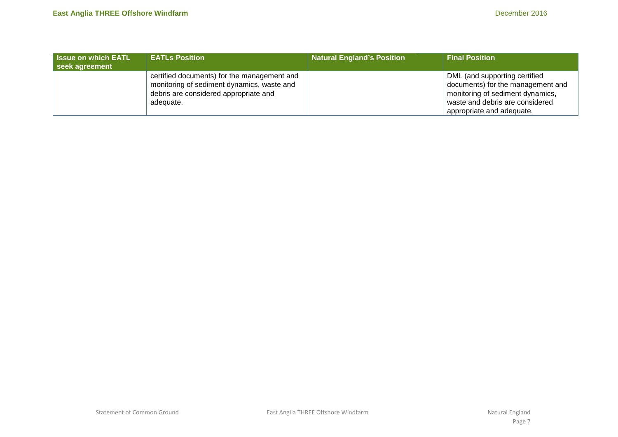| <b>Issue on which EATL</b><br>seek agreement | <b>EATLs Position</b>                                                                                                                           | <b>Natural England's Position</b> | <b>Final Position</b>                                                                                                                                                  |
|----------------------------------------------|-------------------------------------------------------------------------------------------------------------------------------------------------|-----------------------------------|------------------------------------------------------------------------------------------------------------------------------------------------------------------------|
|                                              | certified documents) for the management and<br>monitoring of sediment dynamics, waste and<br>debris are considered appropriate and<br>adequate. |                                   | DML (and supporting certified<br>documents) for the management and<br>monitoring of sediment dynamics,<br>waste and debris are considered<br>appropriate and adequate. |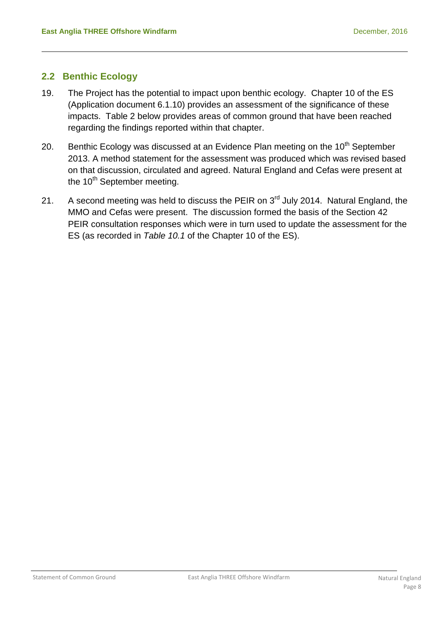### <span id="page-8-0"></span>**2.2 Benthic Ecology**

- 19. The Project has the potential to impact upon benthic ecology. Chapter 10 of the ES (Application document 6.1.10) provides an assessment of the significance of these impacts. Table 2 below provides areas of common ground that have been reached regarding the findings reported within that chapter.
- 20. Benthic Ecology was discussed at an Evidence Plan meeting on the  $10<sup>th</sup>$  September 2013. A method statement for the assessment was produced which was revised based on that discussion, circulated and agreed. Natural England and Cefas were present at the 10<sup>th</sup> September meeting.
- 21. A second meeting was held to discuss the PEIR on 3<sup>rd</sup> July 2014. Natural England, the MMO and Cefas were present. The discussion formed the basis of the Section 42 PEIR consultation responses which were in turn used to update the assessment for the ES (as recorded in *Table 10.1* of the Chapter 10 of the ES).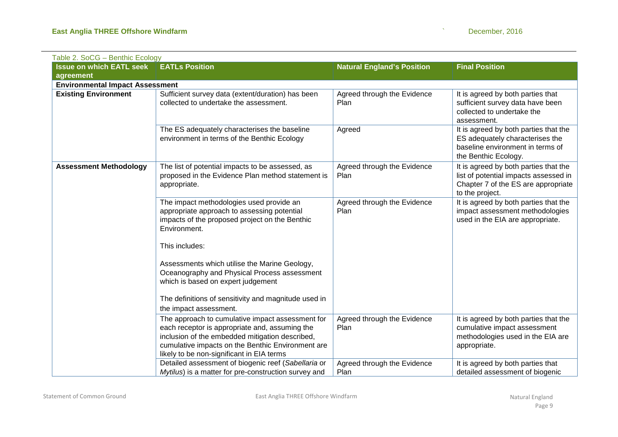| Fable 2. SoCG – Benthic Ecology        |                                                                                                                                                                                                                                                         |                                     |                                                                                                                                          |
|----------------------------------------|---------------------------------------------------------------------------------------------------------------------------------------------------------------------------------------------------------------------------------------------------------|-------------------------------------|------------------------------------------------------------------------------------------------------------------------------------------|
| <b>Issue on which EATL seek</b>        | <b>EATLs Position</b>                                                                                                                                                                                                                                   | <b>Natural England's Position</b>   | <b>Final Position</b>                                                                                                                    |
| agreement                              |                                                                                                                                                                                                                                                         |                                     |                                                                                                                                          |
| <b>Environmental Impact Assessment</b> |                                                                                                                                                                                                                                                         |                                     |                                                                                                                                          |
| <b>Existing Environment</b>            | Sufficient survey data (extent/duration) has been<br>collected to undertake the assessment.                                                                                                                                                             | Agreed through the Evidence<br>Plan | It is agreed by both parties that<br>sufficient survey data have been<br>collected to undertake the<br>assessment.                       |
|                                        | The ES adequately characterises the baseline<br>environment in terms of the Benthic Ecology                                                                                                                                                             | Agreed                              | It is agreed by both parties that the<br>ES adequately characterises the<br>baseline environment in terms of<br>the Benthic Ecology.     |
| <b>Assessment Methodology</b>          | The list of potential impacts to be assessed, as<br>proposed in the Evidence Plan method statement is<br>appropriate.                                                                                                                                   | Agreed through the Evidence<br>Plan | It is agreed by both parties that the<br>list of potential impacts assessed in<br>Chapter 7 of the ES are appropriate<br>to the project. |
|                                        | The impact methodologies used provide an<br>appropriate approach to assessing potential<br>impacts of the proposed project on the Benthic<br>Environment.                                                                                               | Agreed through the Evidence<br>Plan | It is agreed by both parties that the<br>impact assessment methodologies<br>used in the EIA are appropriate.                             |
|                                        | This includes:                                                                                                                                                                                                                                          |                                     |                                                                                                                                          |
|                                        | Assessments which utilise the Marine Geology,<br>Oceanography and Physical Process assessment<br>which is based on expert judgement                                                                                                                     |                                     |                                                                                                                                          |
|                                        | The definitions of sensitivity and magnitude used in<br>the impact assessment.                                                                                                                                                                          |                                     |                                                                                                                                          |
|                                        | The approach to cumulative impact assessment for<br>each receptor is appropriate and, assuming the<br>inclusion of the embedded mitigation described,<br>cumulative impacts on the Benthic Environment are<br>likely to be non-significant in EIA terms | Agreed through the Evidence<br>Plan | It is agreed by both parties that the<br>cumulative impact assessment<br>methodologies used in the EIA are<br>appropriate.               |
|                                        | Detailed assessment of biogenic reef (Sabellaria or<br>Mytilus) is a matter for pre-construction survey and                                                                                                                                             | Agreed through the Evidence<br>Plan | It is agreed by both parties that<br>detailed assessment of biogenic                                                                     |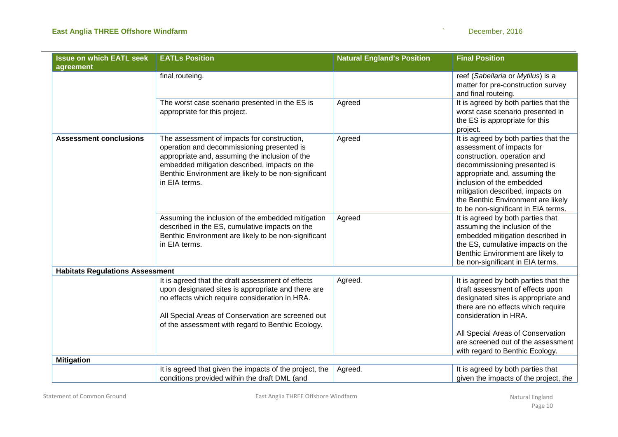| <b>Issue on which EATL seek</b>        | <b>EATLs Position</b>                                                                                                                                                                                                                                                 | <b>Natural England's Position</b> | <b>Final Position</b>                                                                                                                                                                                                                                                                                            |
|----------------------------------------|-----------------------------------------------------------------------------------------------------------------------------------------------------------------------------------------------------------------------------------------------------------------------|-----------------------------------|------------------------------------------------------------------------------------------------------------------------------------------------------------------------------------------------------------------------------------------------------------------------------------------------------------------|
| agreement                              |                                                                                                                                                                                                                                                                       |                                   |                                                                                                                                                                                                                                                                                                                  |
|                                        | final routeing.                                                                                                                                                                                                                                                       |                                   | reef (Sabellaria or Mytilus) is a<br>matter for pre-construction survey<br>and final routeing.                                                                                                                                                                                                                   |
|                                        | The worst case scenario presented in the ES is<br>appropriate for this project.                                                                                                                                                                                       | Agreed                            | It is agreed by both parties that the<br>worst case scenario presented in<br>the ES is appropriate for this<br>project.                                                                                                                                                                                          |
| <b>Assessment conclusions</b>          | The assessment of impacts for construction,<br>operation and decommissioning presented is<br>appropriate and, assuming the inclusion of the<br>embedded mitigation described, impacts on the<br>Benthic Environment are likely to be non-significant<br>in EIA terms. | Agreed                            | It is agreed by both parties that the<br>assessment of impacts for<br>construction, operation and<br>decommissioning presented is<br>appropriate and, assuming the<br>inclusion of the embedded<br>mitigation described, impacts on<br>the Benthic Environment are likely<br>to be non-significant in EIA terms. |
|                                        | Assuming the inclusion of the embedded mitigation<br>described in the ES, cumulative impacts on the<br>Benthic Environment are likely to be non-significant<br>in EIA terms.                                                                                          | Agreed                            | It is agreed by both parties that<br>assuming the inclusion of the<br>embedded mitigation described in<br>the ES, cumulative impacts on the<br>Benthic Environment are likely to<br>be non-significant in EIA terms.                                                                                             |
| <b>Habitats Regulations Assessment</b> |                                                                                                                                                                                                                                                                       |                                   |                                                                                                                                                                                                                                                                                                                  |
|                                        | It is agreed that the draft assessment of effects<br>upon designated sites is appropriate and there are<br>no effects which require consideration in HRA.<br>All Special Areas of Conservation are screened out<br>of the assessment with regard to Benthic Ecology.  | Agreed.                           | It is agreed by both parties that the<br>draft assessment of effects upon<br>designated sites is appropriate and<br>there are no effects which require<br>consideration in HRA.<br>All Special Areas of Conservation<br>are screened out of the assessment                                                       |
|                                        |                                                                                                                                                                                                                                                                       |                                   | with regard to Benthic Ecology.                                                                                                                                                                                                                                                                                  |
| <b>Mitigation</b>                      |                                                                                                                                                                                                                                                                       |                                   |                                                                                                                                                                                                                                                                                                                  |
|                                        | It is agreed that given the impacts of the project, the<br>conditions provided within the draft DML (and                                                                                                                                                              | Agreed.                           | It is agreed by both parties that<br>given the impacts of the project, the                                                                                                                                                                                                                                       |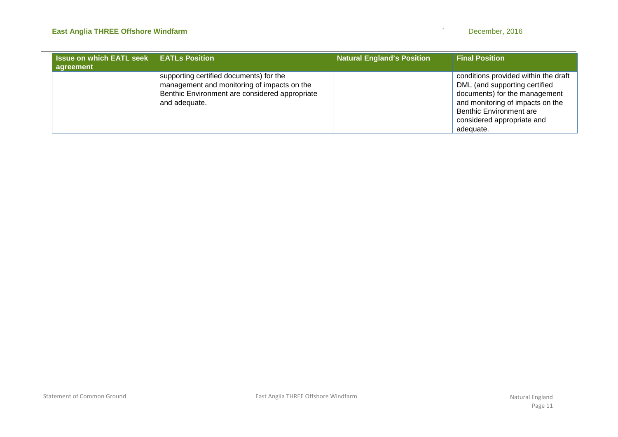| Issue on which EATL seek<br>agreement | <b>EATLs Position</b>                                                                                                                                     | <b>Natural England's Position</b> | <b>Final Position</b>                                                                                                                                                                                                   |
|---------------------------------------|-----------------------------------------------------------------------------------------------------------------------------------------------------------|-----------------------------------|-------------------------------------------------------------------------------------------------------------------------------------------------------------------------------------------------------------------------|
|                                       | supporting certified documents) for the<br>management and monitoring of impacts on the<br>Benthic Environment are considered appropriate<br>and adequate. |                                   | conditions provided within the draft<br>DML (and supporting certified<br>documents) for the management<br>and monitoring of impacts on the<br><b>Benthic Environment are</b><br>considered appropriate and<br>adequate. |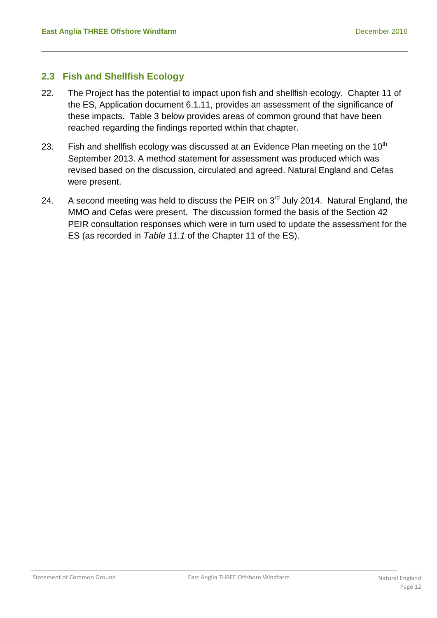### <span id="page-12-0"></span>**2.3 Fish and Shellfish Ecology**

- 22. The Project has the potential to impact upon fish and shellfish ecology. Chapter 11 of the ES, Application document 6.1.11, provides an assessment of the significance of these impacts. Table 3 below provides areas of common ground that have been reached regarding the findings reported within that chapter.
- 23. Fish and shellfish ecology was discussed at an Evidence Plan meeting on the  $10^{th}$ September 2013. A method statement for assessment was produced which was revised based on the discussion, circulated and agreed. Natural England and Cefas were present.
- 24. A second meeting was held to discuss the PEIR on 3<sup>rd</sup> July 2014. Natural England, the MMO and Cefas were present. The discussion formed the basis of the Section 42 PEIR consultation responses which were in turn used to update the assessment for the ES (as recorded in *Table 11.1* of the Chapter 11 of the ES).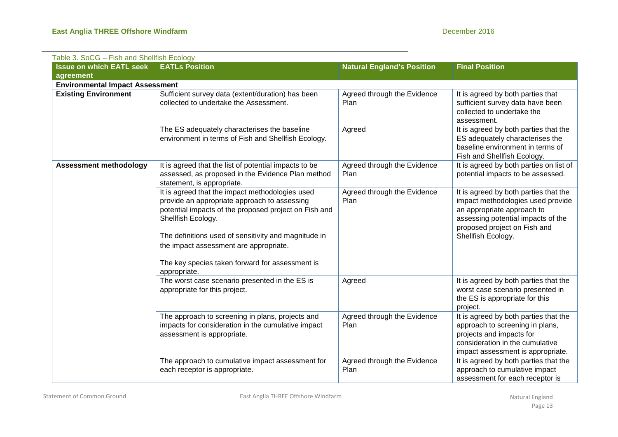| Table 3. SoCG – Fish and Shellfish Ecology |                                                                                                                                                                                                                                                                                                                                                     |                                     |                                                                                                                                                                                                      |
|--------------------------------------------|-----------------------------------------------------------------------------------------------------------------------------------------------------------------------------------------------------------------------------------------------------------------------------------------------------------------------------------------------------|-------------------------------------|------------------------------------------------------------------------------------------------------------------------------------------------------------------------------------------------------|
| <b>Issue on which EATL seek</b>            | <b>EATLs Position</b>                                                                                                                                                                                                                                                                                                                               | <b>Natural England's Position</b>   | <b>Final Position</b>                                                                                                                                                                                |
| agreement                                  |                                                                                                                                                                                                                                                                                                                                                     |                                     |                                                                                                                                                                                                      |
| <b>Environmental Impact Assessment</b>     |                                                                                                                                                                                                                                                                                                                                                     |                                     |                                                                                                                                                                                                      |
| <b>Existing Environment</b>                | Sufficient survey data (extent/duration) has been<br>collected to undertake the Assessment.                                                                                                                                                                                                                                                         | Agreed through the Evidence<br>Plan | It is agreed by both parties that<br>sufficient survey data have been<br>collected to undertake the<br>assessment.                                                                                   |
|                                            | The ES adequately characterises the baseline<br>environment in terms of Fish and Shellfish Ecology.                                                                                                                                                                                                                                                 | Agreed                              | It is agreed by both parties that the<br>ES adequately characterises the<br>baseline environment in terms of<br>Fish and Shellfish Ecology.                                                          |
| <b>Assessment methodology</b>              | It is agreed that the list of potential impacts to be<br>assessed, as proposed in the Evidence Plan method<br>statement, is appropriate.                                                                                                                                                                                                            | Agreed through the Evidence<br>Plan | It is agreed by both parties on list of<br>potential impacts to be assessed.                                                                                                                         |
|                                            | It is agreed that the impact methodologies used<br>provide an appropriate approach to assessing<br>potential impacts of the proposed project on Fish and<br>Shellfish Ecology.<br>The definitions used of sensitivity and magnitude in<br>the impact assessment are appropriate.<br>The key species taken forward for assessment is<br>appropriate. | Agreed through the Evidence<br>Plan | It is agreed by both parties that the<br>impact methodologies used provide<br>an appropriate approach to<br>assessing potential impacts of the<br>proposed project on Fish and<br>Shellfish Ecology. |
|                                            | The worst case scenario presented in the ES is<br>appropriate for this project.                                                                                                                                                                                                                                                                     | Agreed                              | It is agreed by both parties that the<br>worst case scenario presented in<br>the ES is appropriate for this<br>project.                                                                              |
|                                            | The approach to screening in plans, projects and<br>impacts for consideration in the cumulative impact<br>assessment is appropriate.                                                                                                                                                                                                                | Agreed through the Evidence<br>Plan | It is agreed by both parties that the<br>approach to screening in plans,<br>projects and impacts for<br>consideration in the cumulative<br>impact assessment is appropriate.                         |
|                                            | The approach to cumulative impact assessment for<br>each receptor is appropriate.                                                                                                                                                                                                                                                                   | Agreed through the Evidence<br>Plan | It is agreed by both parties that the<br>approach to cumulative impact<br>assessment for each receptor is                                                                                            |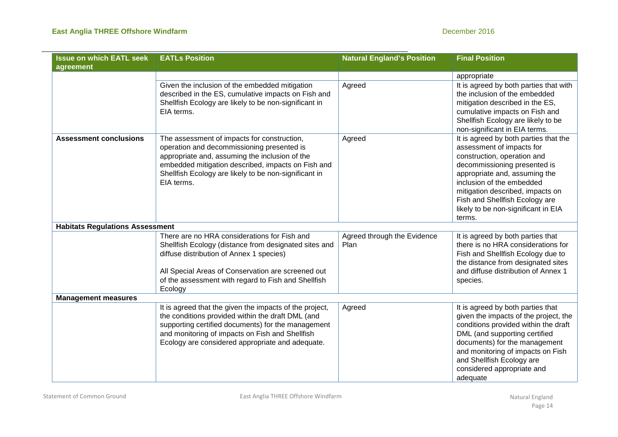| <b>Issue on which EATL seek</b>        | <b>EATLs Position</b>                                   | <b>Natural England's Position</b> | <b>Final Position</b>                  |
|----------------------------------------|---------------------------------------------------------|-----------------------------------|----------------------------------------|
| agreement                              |                                                         |                                   |                                        |
|                                        |                                                         |                                   | appropriate                            |
|                                        | Given the inclusion of the embedded mitigation          | Agreed                            | It is agreed by both parties that with |
|                                        | described in the ES, cumulative impacts on Fish and     |                                   | the inclusion of the embedded          |
|                                        | Shellfish Ecology are likely to be non-significant in   |                                   | mitigation described in the ES,        |
|                                        | EIA terms.                                              |                                   | cumulative impacts on Fish and         |
|                                        |                                                         |                                   | Shellfish Ecology are likely to be     |
|                                        |                                                         |                                   | non-significant in EIA terms.          |
| <b>Assessment conclusions</b>          | The assessment of impacts for construction,             | Agreed                            | It is agreed by both parties that the  |
|                                        | operation and decommissioning presented is              |                                   | assessment of impacts for              |
|                                        | appropriate and, assuming the inclusion of the          |                                   | construction, operation and            |
|                                        | embedded mitigation described, impacts on Fish and      |                                   | decommissioning presented is           |
|                                        | Shellfish Ecology are likely to be non-significant in   |                                   | appropriate and, assuming the          |
|                                        | EIA terms.                                              |                                   | inclusion of the embedded              |
|                                        |                                                         |                                   | mitigation described, impacts on       |
|                                        |                                                         |                                   | Fish and Shellfish Ecology are         |
|                                        |                                                         |                                   | likely to be non-significant in EIA    |
|                                        |                                                         |                                   | terms.                                 |
| <b>Habitats Regulations Assessment</b> |                                                         |                                   |                                        |
|                                        | There are no HRA considerations for Fish and            | Agreed through the Evidence       | It is agreed by both parties that      |
|                                        | Shellfish Ecology (distance from designated sites and   | Plan                              | there is no HRA considerations for     |
|                                        | diffuse distribution of Annex 1 species)                |                                   | Fish and Shellfish Ecology due to      |
|                                        |                                                         |                                   | the distance from designated sites     |
|                                        | All Special Areas of Conservation are screened out      |                                   | and diffuse distribution of Annex 1    |
|                                        | of the assessment with regard to Fish and Shellfish     |                                   | species.                               |
|                                        | Ecology                                                 |                                   |                                        |
| <b>Management measures</b>             |                                                         |                                   |                                        |
|                                        | It is agreed that the given the impacts of the project, | Agreed                            | It is agreed by both parties that      |
|                                        | the conditions provided within the draft DML (and       |                                   | given the impacts of the project, the  |
|                                        | supporting certified documents) for the management      |                                   | conditions provided within the draft   |
|                                        | and monitoring of impacts on Fish and Shellfish         |                                   | DML (and supporting certified          |
|                                        | Ecology are considered appropriate and adequate.        |                                   | documents) for the management          |
|                                        |                                                         |                                   | and monitoring of impacts on Fish      |
|                                        |                                                         |                                   | and Shellfish Ecology are              |
|                                        |                                                         |                                   | considered appropriate and             |
|                                        |                                                         |                                   | adequate                               |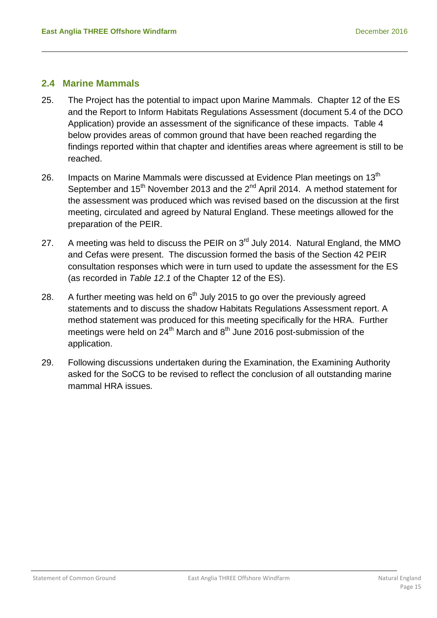### <span id="page-15-0"></span>**2.4 Marine Mammals**

- 25. The Project has the potential to impact upon Marine Mammals. Chapter 12 of the ES and the Report to Inform Habitats Regulations Assessment (document 5.4 of the DCO Application) provide an assessment of the significance of these impacts. Table 4 below provides areas of common ground that have been reached regarding the findings reported within that chapter and identifies areas where agreement is still to be reached.
- 26. Impacts on Marine Mammals were discussed at Evidence Plan meetings on 13<sup>th</sup> September and  $15^{th}$  November 2013 and the  $2^{nd}$  April 2014. A method statement for the assessment was produced which was revised based on the discussion at the first meeting, circulated and agreed by Natural England. These meetings allowed for the preparation of the PEIR.
- 27. A meeting was held to discuss the PEIR on  $3<sup>rd</sup>$  July 2014. Natural England, the MMO and Cefas were present. The discussion formed the basis of the Section 42 PEIR consultation responses which were in turn used to update the assessment for the ES (as recorded in *Table 12.1* of the Chapter 12 of the ES).
- 28. A further meeting was held on  $6<sup>th</sup>$  July 2015 to go over the previously agreed statements and to discuss the shadow Habitats Regulations Assessment report. A method statement was produced for this meeting specifically for the HRA. Further meetings were held on  $24^{th}$  March and  $8^{th}$  June 2016 post-submission of the application.
- 29. Following discussions undertaken during the Examination, the Examining Authority asked for the SoCG to be revised to reflect the conclusion of all outstanding marine mammal HRA issues.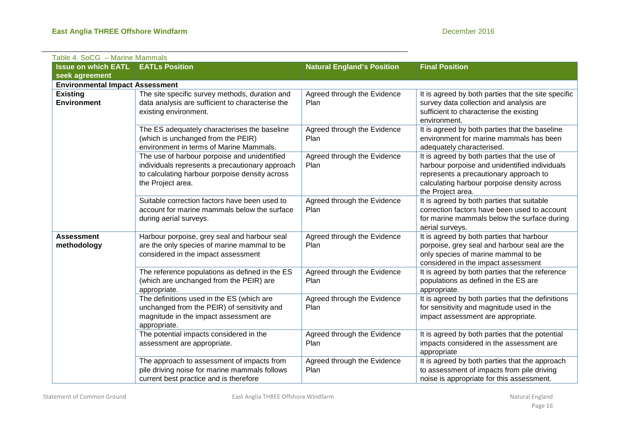| Table 4. SoCG - Marine Mammals         |                                                                                                                                                                        |                                     |                                                                                                                                                                                                             |  |
|----------------------------------------|------------------------------------------------------------------------------------------------------------------------------------------------------------------------|-------------------------------------|-------------------------------------------------------------------------------------------------------------------------------------------------------------------------------------------------------------|--|
| <b>Issue on which EATL</b>             | <b>EATLs Position</b>                                                                                                                                                  | <b>Natural England's Position</b>   | <b>Final Position</b>                                                                                                                                                                                       |  |
| seek agreement                         |                                                                                                                                                                        |                                     |                                                                                                                                                                                                             |  |
| <b>Environmental Impact Assessment</b> |                                                                                                                                                                        |                                     |                                                                                                                                                                                                             |  |
| <b>Existing</b><br><b>Environment</b>  | The site specific survey methods, duration and<br>data analysis are sufficient to characterise the<br>existing environment.                                            | Agreed through the Evidence<br>Plan | It is agreed by both parties that the site specific<br>survey data collection and analysis are<br>sufficient to characterise the existing<br>environment.                                                   |  |
|                                        | The ES adequately characterises the baseline<br>(which is unchanged from the PEIR)<br>environment in terms of Marine Mammals.                                          | Agreed through the Evidence<br>Plan | It is agreed by both parties that the baseline<br>environment for marine mammals has been<br>adequately characterised.                                                                                      |  |
|                                        | The use of harbour porpoise and unidentified<br>individuals represents a precautionary approach<br>to calculating harbour porpoise density across<br>the Project area. | Agreed through the Evidence<br>Plan | It is agreed by both parties that the use of<br>harbour porpoise and unidentified individuals<br>represents a precautionary approach to<br>calculating harbour porpoise density across<br>the Project area. |  |
|                                        | Suitable correction factors have been used to<br>account for marine mammals below the surface<br>during aerial surveys.                                                | Agreed through the Evidence<br>Plan | It is agreed by both parties that suitable<br>correction factors have been used to account<br>for marine mammals below the surface during<br>aerial surveys.                                                |  |
| <b>Assessment</b><br>methodology       | Harbour porpoise, grey seal and harbour seal<br>are the only species of marine mammal to be<br>considered in the impact assessment                                     | Agreed through the Evidence<br>Plan | It is agreed by both parties that harbour<br>porpoise, grey seal and harbour seal are the<br>only species of marine mammal to be<br>considered in the impact assessment                                     |  |
|                                        | The reference populations as defined in the ES<br>(which are unchanged from the PEIR) are<br>appropriate.                                                              | Agreed through the Evidence<br>Plan | It is agreed by both parties that the reference<br>populations as defined in the ES are<br>appropriate.                                                                                                     |  |
|                                        | The definitions used in the ES (which are<br>unchanged from the PEIR) of sensitivity and<br>magnitude in the impact assessment are<br>appropriate.                     | Agreed through the Evidence<br>Plan | It is agreed by both parties that the definitions<br>for sensitivity and magnitude used in the<br>impact assessment are appropriate.                                                                        |  |
|                                        | The potential impacts considered in the<br>assessment are appropriate.                                                                                                 | Agreed through the Evidence<br>Plan | It is agreed by both parties that the potential<br>impacts considered in the assessment are<br>appropriate                                                                                                  |  |
|                                        | The approach to assessment of impacts from<br>pile driving noise for marine mammals follows<br>current best practice and is therefore                                  | Agreed through the Evidence<br>Plan | It is agreed by both parties that the approach<br>to assessment of impacts from pile driving<br>noise is appropriate for this assessment.                                                                   |  |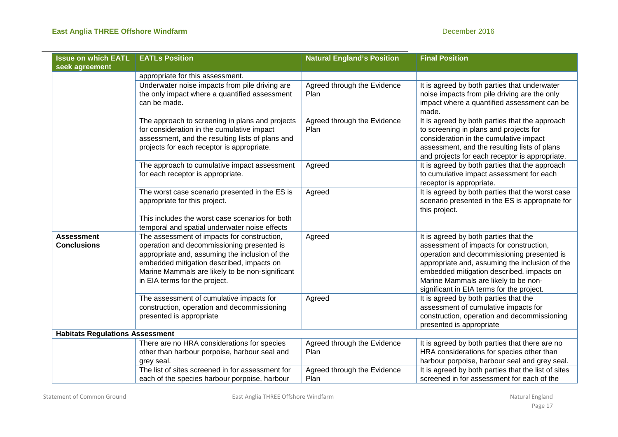| <b>Issue on which EATL</b>              | <b>EATLs Position</b>                                                                                                                                                                                                                                                        | <b>Natural England's Position</b>   | <b>Final Position</b>                                                                                                                                                                                                                                                                                              |
|-----------------------------------------|------------------------------------------------------------------------------------------------------------------------------------------------------------------------------------------------------------------------------------------------------------------------------|-------------------------------------|--------------------------------------------------------------------------------------------------------------------------------------------------------------------------------------------------------------------------------------------------------------------------------------------------------------------|
| seek agreement                          |                                                                                                                                                                                                                                                                              |                                     |                                                                                                                                                                                                                                                                                                                    |
|                                         | appropriate for this assessment.                                                                                                                                                                                                                                             |                                     |                                                                                                                                                                                                                                                                                                                    |
|                                         | Underwater noise impacts from pile driving are<br>the only impact where a quantified assessment<br>can be made.                                                                                                                                                              | Agreed through the Evidence<br>Plan | It is agreed by both parties that underwater<br>noise impacts from pile driving are the only<br>impact where a quantified assessment can be<br>made.                                                                                                                                                               |
|                                         | The approach to screening in plans and projects<br>for consideration in the cumulative impact<br>assessment, and the resulting lists of plans and<br>projects for each receptor is appropriate.                                                                              | Agreed through the Evidence<br>Plan | It is agreed by both parties that the approach<br>to screening in plans and projects for<br>consideration in the cumulative impact<br>assessment, and the resulting lists of plans<br>and projects for each receptor is appropriate.                                                                               |
|                                         | The approach to cumulative impact assessment<br>for each receptor is appropriate.                                                                                                                                                                                            | Agreed                              | It is agreed by both parties that the approach<br>to cumulative impact assessment for each<br>receptor is appropriate.                                                                                                                                                                                             |
|                                         | The worst case scenario presented in the ES is<br>appropriate for this project.                                                                                                                                                                                              | Agreed                              | It is agreed by both parties that the worst case<br>scenario presented in the ES is appropriate for<br>this project.                                                                                                                                                                                               |
|                                         | This includes the worst case scenarios for both<br>temporal and spatial underwater noise effects                                                                                                                                                                             |                                     |                                                                                                                                                                                                                                                                                                                    |
| <b>Assessment</b><br><b>Conclusions</b> | The assessment of impacts for construction,<br>operation and decommissioning presented is<br>appropriate and, assuming the inclusion of the<br>embedded mitigation described, impacts on<br>Marine Mammals are likely to be non-significant<br>in EIA terms for the project. | Agreed                              | It is agreed by both parties that the<br>assessment of impacts for construction,<br>operation and decommissioning presented is<br>appropriate and, assuming the inclusion of the<br>embedded mitigation described, impacts on<br>Marine Mammals are likely to be non-<br>significant in EIA terms for the project. |
|                                         | The assessment of cumulative impacts for<br>construction, operation and decommissioning<br>presented is appropriate                                                                                                                                                          | Agreed                              | It is agreed by both parties that the<br>assessment of cumulative impacts for<br>construction, operation and decommissioning<br>presented is appropriate                                                                                                                                                           |
| <b>Habitats Regulations Assessment</b>  |                                                                                                                                                                                                                                                                              |                                     |                                                                                                                                                                                                                                                                                                                    |
|                                         | There are no HRA considerations for species<br>other than harbour porpoise, harbour seal and<br>grey seal.                                                                                                                                                                   | Agreed through the Evidence<br>Plan | It is agreed by both parties that there are no<br>HRA considerations for species other than<br>harbour porpoise, harbour seal and grey seal.                                                                                                                                                                       |
|                                         | The list of sites screened in for assessment for<br>each of the species harbour porpoise, harbour                                                                                                                                                                            | Agreed through the Evidence<br>Plan | It is agreed by both parties that the list of sites<br>screened in for assessment for each of the                                                                                                                                                                                                                  |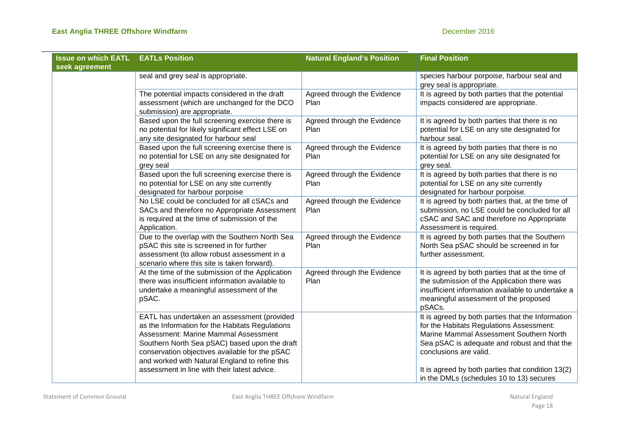| <b>Issue on which EATL</b><br>seek agreement | <b>EATLs Position</b>                                                                                                                                                                                                                                                                                                                       | <b>Natural England's Position</b>   | <b>Final Position</b>                                                                                                                                                                                              |
|----------------------------------------------|---------------------------------------------------------------------------------------------------------------------------------------------------------------------------------------------------------------------------------------------------------------------------------------------------------------------------------------------|-------------------------------------|--------------------------------------------------------------------------------------------------------------------------------------------------------------------------------------------------------------------|
|                                              | seal and grey seal is appropriate.                                                                                                                                                                                                                                                                                                          |                                     | species harbour porpoise, harbour seal and<br>grey seal is appropriate.                                                                                                                                            |
|                                              | The potential impacts considered in the draft<br>assessment (which are unchanged for the DCO<br>submission) are appropriate.                                                                                                                                                                                                                | Agreed through the Evidence<br>Plan | It is agreed by both parties that the potential<br>impacts considered are appropriate.                                                                                                                             |
|                                              | Based upon the full screening exercise there is<br>no potential for likely significant effect LSE on<br>any site designated for harbour seal                                                                                                                                                                                                | Agreed through the Evidence<br>Plan | It is agreed by both parties that there is no<br>potential for LSE on any site designated for<br>harbour seal.                                                                                                     |
|                                              | Based upon the full screening exercise there is<br>no potential for LSE on any site designated for<br>grey seal                                                                                                                                                                                                                             | Agreed through the Evidence<br>Plan | It is agreed by both parties that there is no<br>potential for LSE on any site designated for<br>grey seal.                                                                                                        |
|                                              | Based upon the full screening exercise there is<br>no potential for LSE on any site currently<br>designated for harbour porpoise                                                                                                                                                                                                            | Agreed through the Evidence<br>Plan | It is agreed by both parties that there is no<br>potential for LSE on any site currently<br>designated for harbour porpoise.                                                                                       |
|                                              | No LSE could be concluded for all cSACs and<br>SACs and therefore no Appropriate Assessment<br>is required at the time of submission of the<br>Application.                                                                                                                                                                                 | Agreed through the Evidence<br>Plan | It is agreed by both parties that, at the time of<br>submission, no LSE could be concluded for all<br>cSAC and SAC and therefore no Appropriate<br>Assessment is required.                                         |
|                                              | Due to the overlap with the Southern North Sea<br>pSAC this site is screened in for further<br>assessment (to allow robust assessment in a<br>scenario where this site is taken forward).                                                                                                                                                   | Agreed through the Evidence<br>Plan | It is agreed by both parties that the Southern<br>North Sea pSAC should be screened in for<br>further assessment.                                                                                                  |
|                                              | At the time of the submission of the Application<br>there was insufficient information available to<br>undertake a meaningful assessment of the<br>pSAC.                                                                                                                                                                                    | Agreed through the Evidence<br>Plan | It is agreed by both parties that at the time of<br>the submission of the Application there was<br>insufficient information available to undertake a<br>meaningful assessment of the proposed<br>pSACs.            |
|                                              | EATL has undertaken an assessment (provided<br>as the Information for the Habitats Regulations<br>Assessment: Marine Mammal Assessment<br>Southern North Sea pSAC) based upon the draft<br>conservation objectives available for the pSAC<br>and worked with Natural England to refine this<br>assessment in line with their latest advice. |                                     | It is agreed by both parties that the Information<br>for the Habitats Regulations Assessment:<br>Marine Mammal Assessment Southern North<br>Sea pSAC is adequate and robust and that the<br>conclusions are valid. |
|                                              |                                                                                                                                                                                                                                                                                                                                             |                                     | It is agreed by both parties that condition 13(2)<br>in the DMLs (schedules 10 to 13) secures                                                                                                                      |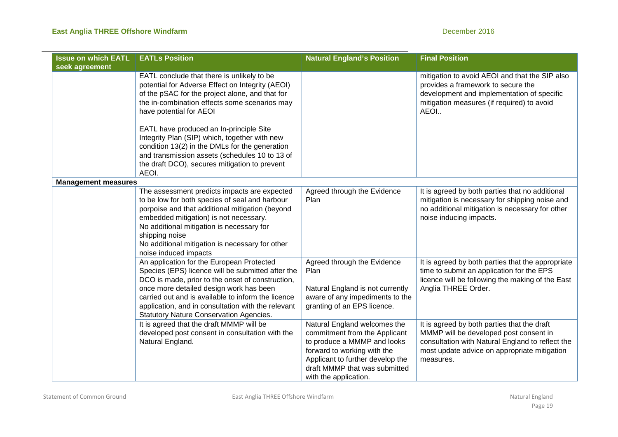| <b>Issue on which EATL</b><br>seek agreement | <b>EATLs Position</b>                                                                                                                                                                                                                                                                                                                                                                                                                                                                   | <b>Natural England's Position</b>                                                                                                                                                                                         | <b>Final Position</b>                                                                                                                                                                                  |
|----------------------------------------------|-----------------------------------------------------------------------------------------------------------------------------------------------------------------------------------------------------------------------------------------------------------------------------------------------------------------------------------------------------------------------------------------------------------------------------------------------------------------------------------------|---------------------------------------------------------------------------------------------------------------------------------------------------------------------------------------------------------------------------|--------------------------------------------------------------------------------------------------------------------------------------------------------------------------------------------------------|
|                                              | EATL conclude that there is unlikely to be<br>potential for Adverse Effect on Integrity (AEOI)<br>of the pSAC for the project alone, and that for<br>the in-combination effects some scenarios may<br>have potential for AEOI<br>EATL have produced an In-principle Site<br>Integrity Plan (SIP) which, together with new<br>condition 13(2) in the DMLs for the generation<br>and transmission assets (schedules 10 to 13 of<br>the draft DCO), secures mitigation to prevent<br>AEOI. |                                                                                                                                                                                                                           | mitigation to avoid AEOI and that the SIP also<br>provides a framework to secure the<br>development and implementation of specific<br>mitigation measures (if required) to avoid<br>AEOI               |
| <b>Management measures</b>                   |                                                                                                                                                                                                                                                                                                                                                                                                                                                                                         |                                                                                                                                                                                                                           |                                                                                                                                                                                                        |
|                                              | The assessment predicts impacts are expected<br>to be low for both species of seal and harbour<br>porpoise and that additional mitigation (beyond<br>embedded mitigation) is not necessary.<br>No additional mitigation is necessary for<br>shipping noise<br>No additional mitigation is necessary for other<br>noise induced impacts                                                                                                                                                  | Agreed through the Evidence<br>Plan                                                                                                                                                                                       | It is agreed by both parties that no additional<br>mitigation is necessary for shipping noise and<br>no additional mitigation is necessary for other<br>noise inducing impacts.                        |
|                                              | An application for the European Protected<br>Species (EPS) licence will be submitted after the<br>DCO is made, prior to the onset of construction,<br>once more detailed design work has been<br>carried out and is available to inform the licence<br>application, and in consultation with the relevant<br><b>Statutory Nature Conservation Agencies.</b>                                                                                                                             | Agreed through the Evidence<br>Plan<br>Natural England is not currently<br>aware of any impediments to the<br>granting of an EPS licence.                                                                                 | It is agreed by both parties that the appropriate<br>time to submit an application for the EPS<br>licence will be following the making of the East<br>Anglia THREE Order.                              |
|                                              | It is agreed that the draft MMMP will be<br>developed post consent in consultation with the<br>Natural England.                                                                                                                                                                                                                                                                                                                                                                         | Natural England welcomes the<br>commitment from the Applicant<br>to produce a MMMP and looks<br>forward to working with the<br>Applicant to further develop the<br>draft MMMP that was submitted<br>with the application. | It is agreed by both parties that the draft<br>MMMP will be developed post consent in<br>consultation with Natural England to reflect the<br>most update advice on appropriate mitigation<br>measures. |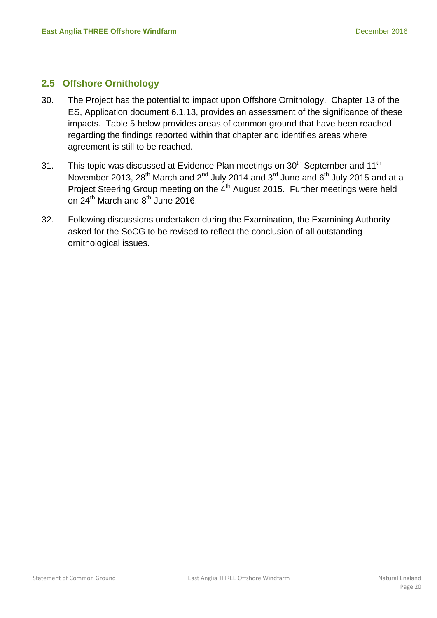### <span id="page-20-0"></span>**2.5 Offshore Ornithology**

- 30. The Project has the potential to impact upon Offshore Ornithology. Chapter 13 of the ES, Application document 6.1.13, provides an assessment of the significance of these impacts. Table 5 below provides areas of common ground that have been reached regarding the findings reported within that chapter and identifies areas where agreement is still to be reached.
- 31. This topic was discussed at Evidence Plan meetings on  $30<sup>th</sup>$  September and 11<sup>th</sup> November 2013, 28<sup>th</sup> March and 2<sup>nd</sup> July 2014 and  $3<sup>rd</sup>$  June and 6<sup>th</sup> July 2015 and at a Project Steering Group meeting on the 4<sup>th</sup> August 2015. Further meetings were held on 24<sup>th</sup> March and 8<sup>th</sup> June 2016.
- 32. Following discussions undertaken during the Examination, the Examining Authority asked for the SoCG to be revised to reflect the conclusion of all outstanding ornithological issues.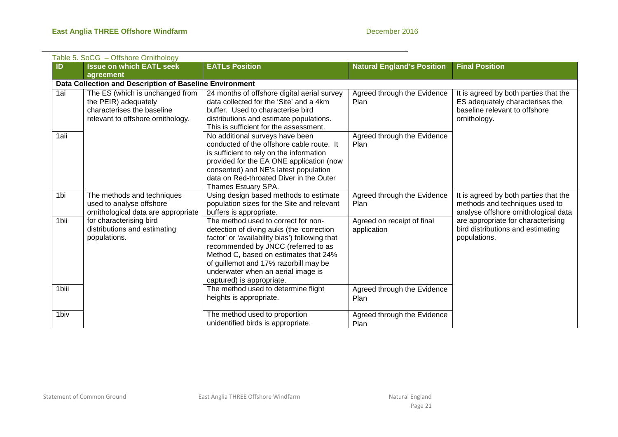|       | -able 5. SoCG - Offshore Ornithology                                                                                       |                                                                                                                                                                                                                                                                                                                                |                                           |                                                                                                                           |
|-------|----------------------------------------------------------------------------------------------------------------------------|--------------------------------------------------------------------------------------------------------------------------------------------------------------------------------------------------------------------------------------------------------------------------------------------------------------------------------|-------------------------------------------|---------------------------------------------------------------------------------------------------------------------------|
| ID    | <b>Issue on which EATL seek</b>                                                                                            | <b>EATLs Position</b>                                                                                                                                                                                                                                                                                                          | <b>Natural England's Position</b>         | <b>Final Position</b>                                                                                                     |
|       | agreement                                                                                                                  |                                                                                                                                                                                                                                                                                                                                |                                           |                                                                                                                           |
|       | Data Collection and Description of Baseline Environment                                                                    |                                                                                                                                                                                                                                                                                                                                |                                           |                                                                                                                           |
| 1ai   | The ES (which is unchanged from<br>the PEIR) adequately<br>characterises the baseline<br>relevant to offshore ornithology. | 24 months of offshore digital aerial survey<br>data collected for the 'Site' and a 4km<br>buffer. Used to characterise bird<br>distributions and estimate populations.<br>This is sufficient for the assessment.                                                                                                               | Agreed through the Evidence<br>Plan       | It is agreed by both parties that the<br>ES adequately characterises the<br>baseline relevant to offshore<br>ornithology. |
| 1aii  |                                                                                                                            | No additional surveys have been<br>conducted of the offshore cable route. It<br>is sufficient to rely on the information<br>provided for the EA ONE application (now<br>consented) and NE's latest population<br>data on Red-throated Diver in the Outer<br>Thames Estuary SPA.                                                | Agreed through the Evidence<br>Plan       |                                                                                                                           |
| 1bi   | The methods and techniques<br>used to analyse offshore<br>ornithological data are appropriate                              | Using design based methods to estimate<br>population sizes for the Site and relevant<br>buffers is appropriate.                                                                                                                                                                                                                | Agreed through the Evidence<br>Plan       | It is agreed by both parties that the<br>methods and techniques used to<br>analyse offshore ornithological data           |
| 1bii  | for characterising bird<br>distributions and estimating<br>populations.                                                    | The method used to correct for non-<br>detection of diving auks (the 'correction<br>factor' or 'availability bias') following that<br>recommended by JNCC (referred to as<br>Method C, based on estimates that 24%<br>of guillemot and 17% razorbill may be<br>underwater when an aerial image is<br>captured) is appropriate. | Agreed on receipt of final<br>application | are appropriate for characterising<br>bird distributions and estimating<br>populations.                                   |
| 1biii |                                                                                                                            | The method used to determine flight<br>heights is appropriate.                                                                                                                                                                                                                                                                 | Agreed through the Evidence<br>Plan       |                                                                                                                           |
| 1biv  |                                                                                                                            | The method used to proportion<br>unidentified birds is appropriate.                                                                                                                                                                                                                                                            | Agreed through the Evidence<br>Plan       |                                                                                                                           |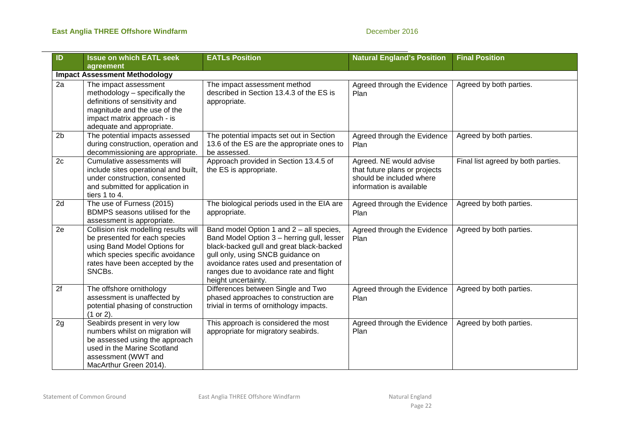| ID             | <b>Issue on which EATL seek</b><br>agreement                                                                                                                                            | <b>EATLs Position</b>                                                                                                                                                                                                                                                                 | <b>Natural England's Position</b>                                                                                | <b>Final Position</b>              |
|----------------|-----------------------------------------------------------------------------------------------------------------------------------------------------------------------------------------|---------------------------------------------------------------------------------------------------------------------------------------------------------------------------------------------------------------------------------------------------------------------------------------|------------------------------------------------------------------------------------------------------------------|------------------------------------|
|                | <b>Impact Assessment Methodology</b>                                                                                                                                                    |                                                                                                                                                                                                                                                                                       |                                                                                                                  |                                    |
| 2a             | The impact assessment<br>methodology - specifically the<br>definitions of sensitivity and<br>magnitude and the use of the<br>impact matrix approach - is<br>adequate and appropriate.   | The impact assessment method<br>described in Section 13.4.3 of the ES is<br>appropriate.                                                                                                                                                                                              | Agreed through the Evidence<br>Plan                                                                              | Agreed by both parties.            |
| 2 <sub>b</sub> | The potential impacts assessed<br>during construction, operation and<br>decommissioning are appropriate.                                                                                | The potential impacts set out in Section<br>13.6 of the ES are the appropriate ones to<br>be assessed.                                                                                                                                                                                | Agreed through the Evidence<br>Plan                                                                              | Agreed by both parties.            |
| 2c             | Cumulative assessments will<br>include sites operational and built,<br>under construction, consented<br>and submitted for application in<br>tiers 1 to 4.                               | Approach provided in Section 13.4.5 of<br>the ES is appropriate.                                                                                                                                                                                                                      | Agreed. NE would advise<br>that future plans or projects<br>should be included where<br>information is available | Final list agreed by both parties. |
| 2d             | The use of Furness (2015)<br>BDMPS seasons utilised for the<br>assessment is appropriate.                                                                                               | The biological periods used in the EIA are<br>appropriate.                                                                                                                                                                                                                            | Agreed through the Evidence<br>Plan                                                                              | Agreed by both parties.            |
| 2e             | Collision risk modelling results will<br>be presented for each species<br>using Band Model Options for<br>which species specific avoidance<br>rates have been accepted by the<br>SNCBs. | Band model Option 1 and 2 - all species,<br>Band Model Option 3 - herring gull, lesser<br>black-backed gull and great black-backed<br>gull only, using SNCB guidance on<br>avoidance rates used and presentation of<br>ranges due to avoidance rate and flight<br>height uncertainty. | Agreed through the Evidence<br>Plan                                                                              | Agreed by both parties.            |
| 2f             | The offshore ornithology<br>assessment is unaffected by<br>potential phasing of construction<br>(1 or 2).                                                                               | Differences between Single and Two<br>phased approaches to construction are<br>trivial in terms of ornithology impacts.                                                                                                                                                               | Agreed through the Evidence<br>Plan                                                                              | Agreed by both parties.            |
| 2g             | Seabirds present in very low<br>numbers whilst on migration will<br>be assessed using the approach<br>used in the Marine Scotland<br>assessment (WWT and<br>MacArthur Green 2014).      | This approach is considered the most<br>appropriate for migratory seabirds.                                                                                                                                                                                                           | Agreed through the Evidence<br>Plan                                                                              | Agreed by both parties.            |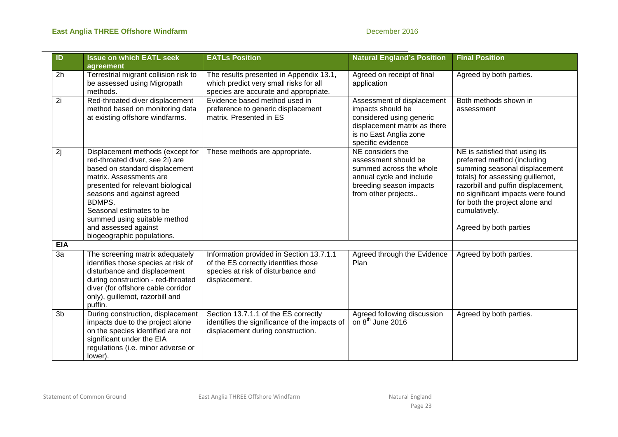| ID             | <b>Issue on which EATL seek</b><br>agreement                                                                                                                                                                                                                                                                                    | <b>EATLs Position</b>                                                                                                                   | <b>Natural England's Position</b>                                                                                                                          | <b>Final Position</b>                                                                                                                                                                                                                                                                      |
|----------------|---------------------------------------------------------------------------------------------------------------------------------------------------------------------------------------------------------------------------------------------------------------------------------------------------------------------------------|-----------------------------------------------------------------------------------------------------------------------------------------|------------------------------------------------------------------------------------------------------------------------------------------------------------|--------------------------------------------------------------------------------------------------------------------------------------------------------------------------------------------------------------------------------------------------------------------------------------------|
| 2 <sub>h</sub> | Terrestrial migrant collision risk to<br>be assessed using Migropath<br>methods.                                                                                                                                                                                                                                                | The results presented in Appendix 13.1,<br>which predict very small risks for all<br>species are accurate and appropriate.              | Agreed on receipt of final<br>application                                                                                                                  | Agreed by both parties.                                                                                                                                                                                                                                                                    |
| 2i             | Red-throated diver displacement<br>method based on monitoring data<br>at existing offshore windfarms.                                                                                                                                                                                                                           | Evidence based method used in<br>preference to generic displacement<br>matrix. Presented in ES                                          | Assessment of displacement<br>impacts should be<br>considered using generic<br>displacement matrix as there<br>is no East Anglia zone<br>specific evidence | Both methods shown in<br>assessment                                                                                                                                                                                                                                                        |
| 2j             | Displacement methods (except for<br>red-throated diver, see 2i) are<br>based on standard displacement<br>matrix. Assessments are<br>presented for relevant biological<br>seasons and against agreed<br>BDMPS.<br>Seasonal estimates to be<br>summed using suitable method<br>and assessed against<br>biogeographic populations. | These methods are appropriate.                                                                                                          | NE considers the<br>assessment should be<br>summed across the whole<br>annual cycle and include<br>breeding season impacts<br>from other projects          | NE is satisfied that using its<br>preferred method (including<br>summing seasonal displacement<br>totals) for assessing guillemot,<br>razorbill and puffin displacement,<br>no significant impacts were found<br>for both the project alone and<br>cumulatively.<br>Agreed by both parties |
| <b>EIA</b>     |                                                                                                                                                                                                                                                                                                                                 |                                                                                                                                         |                                                                                                                                                            |                                                                                                                                                                                                                                                                                            |
| 3a             | The screening matrix adequately<br>identifies those species at risk of<br>disturbance and displacement<br>during construction - red-throated<br>diver (for offshore cable corridor<br>only), guillemot, razorbill and<br>puffin.                                                                                                | Information provided in Section 13.7.1.1<br>of the ES correctly identifies those<br>species at risk of disturbance and<br>displacement. | Agreed through the Evidence<br>Plan                                                                                                                        | Agreed by both parties.                                                                                                                                                                                                                                                                    |
| 3 <sub>b</sub> | During construction, displacement<br>impacts due to the project alone<br>on the species identified are not<br>significant under the EIA<br>regulations (i.e. minor adverse or<br>lower).                                                                                                                                        | Section 13.7.1.1 of the ES correctly<br>identifies the significance of the impacts of<br>displacement during construction.              | Agreed following discussion<br>on $8^{th}$ June 2016                                                                                                       | Agreed by both parties.                                                                                                                                                                                                                                                                    |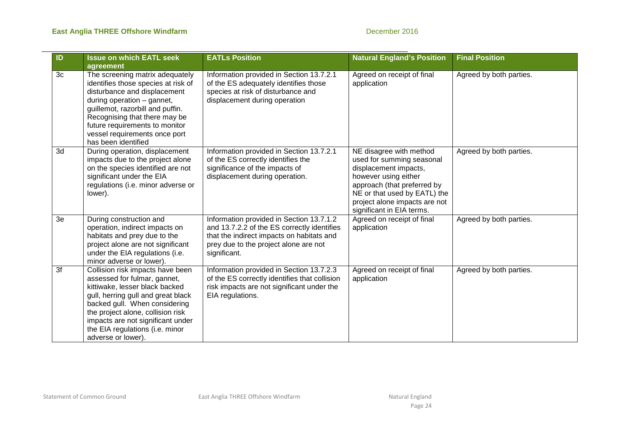| ID | <b>Issue on which EATL seek</b><br>agreement                                                                                                                                                                                                                                                                 | <b>EATLs Position</b>                                                                                                                                                                         | <b>Natural England's Position</b>                                                                                                                                                                                                  | <b>Final Position</b>   |
|----|--------------------------------------------------------------------------------------------------------------------------------------------------------------------------------------------------------------------------------------------------------------------------------------------------------------|-----------------------------------------------------------------------------------------------------------------------------------------------------------------------------------------------|------------------------------------------------------------------------------------------------------------------------------------------------------------------------------------------------------------------------------------|-------------------------|
| 3c | The screening matrix adequately<br>identifies those species at risk of<br>disturbance and displacement<br>during operation - gannet,<br>guillemot, razorbill and puffin.<br>Recognising that there may be<br>future requirements to monitor<br>vessel requirements once port<br>has been identified          | Information provided in Section 13.7.2.1<br>of the ES adequately identifies those<br>species at risk of disturbance and<br>displacement during operation                                      | Agreed on receipt of final<br>application                                                                                                                                                                                          | Agreed by both parties. |
| 3d | During operation, displacement<br>impacts due to the project alone<br>on the species identified are not<br>significant under the EIA<br>regulations (i.e. minor adverse or<br>lower).                                                                                                                        | Information provided in Section 13.7.2.1<br>of the ES correctly identifies the<br>significance of the impacts of<br>displacement during operation.                                            | NE disagree with method<br>used for summing seasonal<br>displacement impacts,<br>however using either<br>approach (that preferred by<br>NE or that used by EATL) the<br>project alone impacts are not<br>significant in EIA terms. | Agreed by both parties. |
| 3e | During construction and<br>operation, indirect impacts on<br>habitats and prey due to the<br>project alone are not significant<br>under the EIA regulations (i.e.<br>minor adverse or lower).                                                                                                                | Information provided in Section 13.7.1.2<br>and 13.7.2.2 of the ES correctly identifies<br>that the indirect impacts on habitats and<br>prey due to the project alone are not<br>significant. | Agreed on receipt of final<br>application                                                                                                                                                                                          | Agreed by both parties. |
| 3f | Collision risk impacts have been<br>assessed for fulmar, gannet,<br>kittiwake, lesser black backed<br>gull, herring gull and great black<br>backed gull. When considering<br>the project alone, collision risk<br>impacts are not significant under<br>the EIA regulations (i.e. minor<br>adverse or lower). | Information provided in Section 13.7.2.3<br>of the ES correctly identifies that collision<br>risk impacts are not significant under the<br>EIA regulations.                                   | Agreed on receipt of final<br>application                                                                                                                                                                                          | Agreed by both parties. |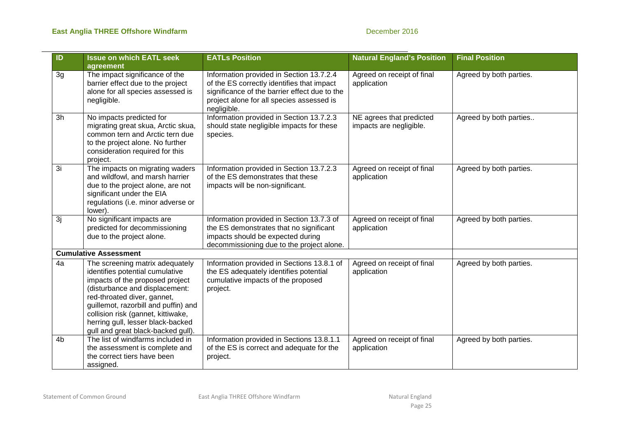| ID             | <b>Issue on which EATL seek</b><br>agreement                                                                                                                                                                                                                                                                                    | <b>EATLs Position</b>                                                                                                                                                                               | <b>Natural England's Position</b>                   | <b>Final Position</b>   |
|----------------|---------------------------------------------------------------------------------------------------------------------------------------------------------------------------------------------------------------------------------------------------------------------------------------------------------------------------------|-----------------------------------------------------------------------------------------------------------------------------------------------------------------------------------------------------|-----------------------------------------------------|-------------------------|
| 3g             | The impact significance of the<br>barrier effect due to the project<br>alone for all species assessed is<br>negligible.                                                                                                                                                                                                         | Information provided in Section 13.7.2.4<br>of the ES correctly identifies that impact<br>significance of the barrier effect due to the<br>project alone for all species assessed is<br>negligible. | Agreed on receipt of final<br>application           | Agreed by both parties. |
| 3h             | No impacts predicted for<br>migrating great skua, Arctic skua,<br>common tern and Arctic tern due<br>to the project alone. No further<br>consideration required for this<br>project.                                                                                                                                            | Information provided in Section 13.7.2.3<br>should state negligible impacts for these<br>species.                                                                                                   | NE agrees that predicted<br>impacts are negligible. | Agreed by both parties  |
| 3i             | The impacts on migrating waders<br>and wildfowl, and marsh harrier<br>due to the project alone, are not<br>significant under the EIA<br>regulations (i.e. minor adverse or<br>lower).                                                                                                                                           | Information provided in Section 13.7.2.3<br>of the ES demonstrates that these<br>impacts will be non-significant.                                                                                   | Agreed on receipt of final<br>application           | Agreed by both parties. |
| 3j             | No significant impacts are<br>predicted for decommissioning<br>due to the project alone.                                                                                                                                                                                                                                        | Information provided in Section 13.7.3 of<br>the ES demonstrates that no significant<br>impacts should be expected during<br>decommissioning due to the project alone.                              | Agreed on receipt of final<br>application           | Agreed by both parties. |
|                | <b>Cumulative Assessment</b>                                                                                                                                                                                                                                                                                                    |                                                                                                                                                                                                     |                                                     |                         |
| 4a             | The screening matrix adequately<br>identifies potential cumulative<br>impacts of the proposed project<br>(disturbance and displacement:<br>red-throated diver, gannet,<br>guillemot, razorbill and puffin) and<br>collision risk (gannet, kittiwake,<br>herring gull, lesser black-backed<br>gull and great black-backed gull). | Information provided in Sections 13.8.1 of<br>the ES adequately identifies potential<br>cumulative impacts of the proposed<br>project.                                                              | Agreed on receipt of final<br>application           | Agreed by both parties. |
| 4 <sub>b</sub> | The list of windfarms included in<br>the assessment is complete and<br>the correct tiers have been<br>assigned.                                                                                                                                                                                                                 | Information provided in Sections 13.8.1.1<br>of the ES is correct and adequate for the<br>project.                                                                                                  | Agreed on receipt of final<br>application           | Agreed by both parties. |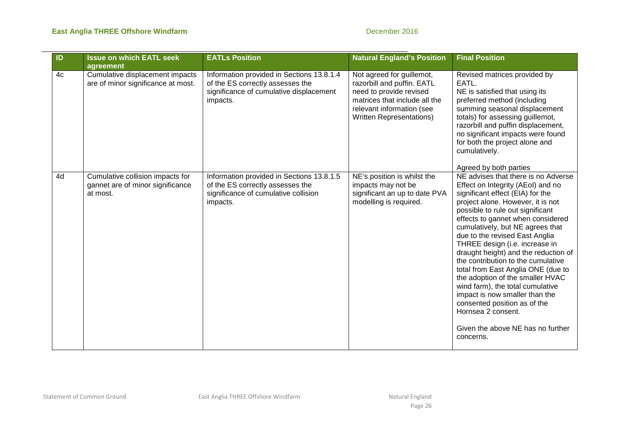| ID | <b>Issue on which EATL seek</b><br>agreement                                     | <b>EATLs Position</b>                                                                                                                | <b>Natural England's Position</b>                                                                                                                                                   | <b>Final Position</b>                                                                                                                                                                                                                                                                                                                                                                                                                                                                                                                                                                                                                                                    |
|----|----------------------------------------------------------------------------------|--------------------------------------------------------------------------------------------------------------------------------------|-------------------------------------------------------------------------------------------------------------------------------------------------------------------------------------|--------------------------------------------------------------------------------------------------------------------------------------------------------------------------------------------------------------------------------------------------------------------------------------------------------------------------------------------------------------------------------------------------------------------------------------------------------------------------------------------------------------------------------------------------------------------------------------------------------------------------------------------------------------------------|
| 4c | Cumulative displacement impacts<br>are of minor significance at most.            | Information provided in Sections 13.8.1.4<br>of the ES correctly assesses the<br>significance of cumulative displacement<br>impacts. | Not agreed for guillemot,<br>razorbill and puffin. EATL<br>need to provide revised<br>matrices that include all the<br>relevant information (see<br><b>Written Representations)</b> | Revised matrices provided by<br>EATL.<br>NE is satisfied that using its<br>preferred method (including<br>summing seasonal displacement<br>totals) for assessing guillemot,<br>razorbill and puffin displacement,<br>no significant impacts were found<br>for both the project alone and<br>cumulatively.<br>Agreed by both parties                                                                                                                                                                                                                                                                                                                                      |
| 4d | Cumulative collision impacts for<br>gannet are of minor significance<br>at most. | Information provided in Sections 13.8.1.5<br>of the ES correctly assesses the<br>significance of cumulative collision<br>impacts.    | NE's position is whilst the<br>impacts may not be<br>significant an up to date PVA<br>modelling is required.                                                                        | NE advises that there is no Adverse<br>Effect on Integrity (AEoI) and no<br>significant effect (EIA) for the<br>project alone. However, it is not<br>possible to rule out significant<br>effects to gannet when considered<br>cumulatively, but NE agrees that<br>due to the revised East Anglia<br>THREE design (i.e. increase in<br>draught height) and the reduction of<br>the contribution to the cumulative<br>total from East Anglia ONE (due to<br>the adoption of the smaller HVAC<br>wind farm), the total cumulative<br>impact is now smaller than the<br>consented position as of the<br>Hornsea 2 consent.<br>Given the above NE has no further<br>concerns. |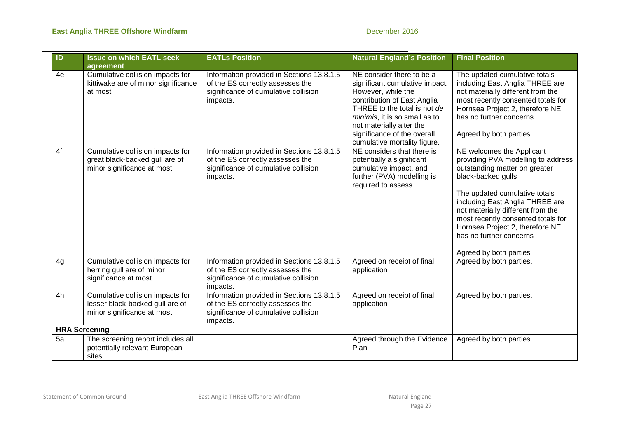| ID | <b>Issue on which EATL seek</b><br>agreement                                                      | <b>EATLs Position</b>                                                                                                             | <b>Natural England's Position</b>                                                                                                                                                                                                                                            | <b>Final Position</b>                                                                                                                                                                                                                                                                                                                                         |
|----|---------------------------------------------------------------------------------------------------|-----------------------------------------------------------------------------------------------------------------------------------|------------------------------------------------------------------------------------------------------------------------------------------------------------------------------------------------------------------------------------------------------------------------------|---------------------------------------------------------------------------------------------------------------------------------------------------------------------------------------------------------------------------------------------------------------------------------------------------------------------------------------------------------------|
| 4e | Cumulative collision impacts for<br>kittiwake are of minor significance<br>at most                | Information provided in Sections 13.8.1.5<br>of the ES correctly assesses the<br>significance of cumulative collision<br>impacts. | NE consider there to be a<br>significant cumulative impact.<br>However, while the<br>contribution of East Anglia<br>THREE to the total is not de<br>minimis, it is so small as to<br>not materially alter the<br>significance of the overall<br>cumulative mortality figure. | The updated cumulative totals<br>including East Anglia THREE are<br>not materially different from the<br>most recently consented totals for<br>Hornsea Project 2, therefore NE<br>has no further concerns<br>Agreed by both parties                                                                                                                           |
| 4f | Cumulative collision impacts for<br>great black-backed gull are of<br>minor significance at most  | Information provided in Sections 13.8.1.5<br>of the ES correctly assesses the<br>significance of cumulative collision<br>impacts. | NE considers that there is<br>potentially a significant<br>cumulative impact, and<br>further (PVA) modelling is<br>required to assess                                                                                                                                        | NE welcomes the Applicant<br>providing PVA modelling to address<br>outstanding matter on greater<br>black-backed gulls<br>The updated cumulative totals<br>including East Anglia THREE are<br>not materially different from the<br>most recently consented totals for<br>Hornsea Project 2, therefore NE<br>has no further concerns<br>Agreed by both parties |
| 4g | Cumulative collision impacts for<br>herring gull are of minor<br>significance at most             | Information provided in Sections 13.8.1.5<br>of the ES correctly assesses the<br>significance of cumulative collision<br>impacts. | Agreed on receipt of final<br>application                                                                                                                                                                                                                                    | Agreed by both parties.                                                                                                                                                                                                                                                                                                                                       |
| 4h | Cumulative collision impacts for<br>lesser black-backed gull are of<br>minor significance at most | Information provided in Sections 13.8.1.5<br>of the ES correctly assesses the<br>significance of cumulative collision<br>impacts. | Agreed on receipt of final<br>application                                                                                                                                                                                                                                    | Agreed by both parties.                                                                                                                                                                                                                                                                                                                                       |
|    | <b>HRA Screening</b>                                                                              |                                                                                                                                   |                                                                                                                                                                                                                                                                              |                                                                                                                                                                                                                                                                                                                                                               |
| 5a | The screening report includes all<br>potentially relevant European<br>sites.                      |                                                                                                                                   | Agreed through the Evidence<br>Plan                                                                                                                                                                                                                                          | Agreed by both parties.                                                                                                                                                                                                                                                                                                                                       |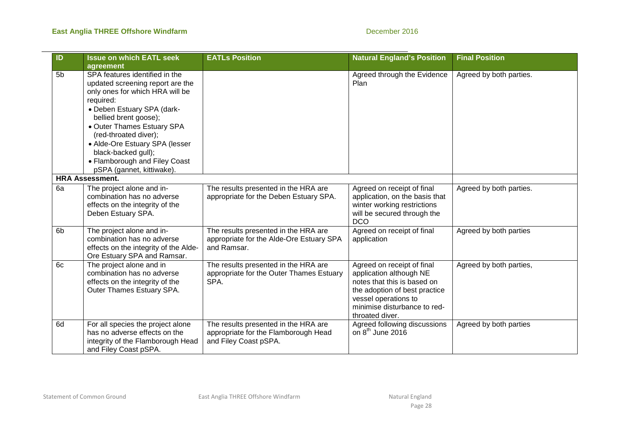| ID             | <b>Issue on which EATL seek</b><br>agreement                                                                                                                                                                                                                                                                                                            | <b>EATLs Position</b>                                                                                 | <b>Natural England's Position</b>                                                                                                                                                                | <b>Final Position</b>   |
|----------------|---------------------------------------------------------------------------------------------------------------------------------------------------------------------------------------------------------------------------------------------------------------------------------------------------------------------------------------------------------|-------------------------------------------------------------------------------------------------------|--------------------------------------------------------------------------------------------------------------------------------------------------------------------------------------------------|-------------------------|
| 5b             | SPA features identified in the<br>updated screening report are the<br>only ones for which HRA will be<br>required:<br>• Deben Estuary SPA (dark-<br>bellied brent goose);<br>• Outer Thames Estuary SPA<br>(red-throated diver);<br>• Alde-Ore Estuary SPA (lesser<br>black-backed gull);<br>• Flamborough and Filey Coast<br>pSPA (gannet, kittiwake). |                                                                                                       | Agreed through the Evidence<br>Plan                                                                                                                                                              | Agreed by both parties. |
|                | <b>HRA Assessment.</b>                                                                                                                                                                                                                                                                                                                                  |                                                                                                       |                                                                                                                                                                                                  |                         |
| 6a             | The project alone and in-<br>combination has no adverse<br>effects on the integrity of the<br>Deben Estuary SPA.                                                                                                                                                                                                                                        | The results presented in the HRA are<br>appropriate for the Deben Estuary SPA.                        | Agreed on receipt of final<br>application, on the basis that<br>winter working restrictions<br>will be secured through the<br><b>DCO</b>                                                         | Agreed by both parties. |
| 6 <sub>b</sub> | The project alone and in-<br>combination has no adverse<br>effects on the integrity of the Alde-<br>Ore Estuary SPA and Ramsar.                                                                                                                                                                                                                         | The results presented in the HRA are<br>appropriate for the Alde-Ore Estuary SPA<br>and Ramsar.       | Agreed on receipt of final<br>application                                                                                                                                                        | Agreed by both parties  |
| 6c             | The project alone and in<br>combination has no adverse<br>effects on the integrity of the<br>Outer Thames Estuary SPA.                                                                                                                                                                                                                                  | The results presented in the HRA are<br>appropriate for the Outer Thames Estuary<br>SPA.              | Agreed on receipt of final<br>application although NE<br>notes that this is based on<br>the adoption of best practice<br>vessel operations to<br>minimise disturbance to red-<br>throated diver. | Agreed by both parties, |
| 6d             | For all species the project alone<br>has no adverse effects on the<br>integrity of the Flamborough Head<br>and Filey Coast pSPA.                                                                                                                                                                                                                        | The results presented in the HRA are<br>appropriate for the Flamborough Head<br>and Filey Coast pSPA. | Agreed following discussions<br>on $8^{th}$ June 2016                                                                                                                                            | Agreed by both parties  |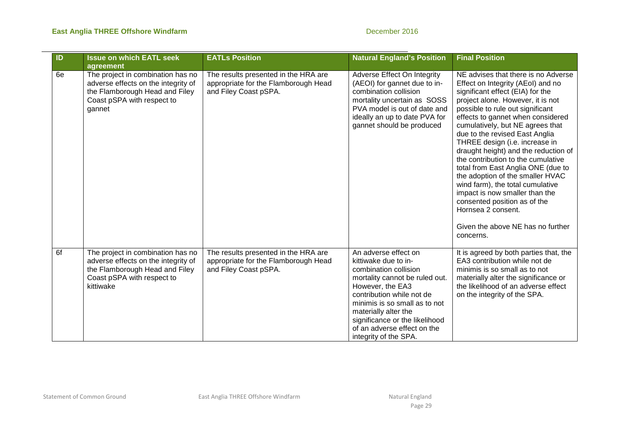| ID | <b>Issue on which EATL seek</b><br>agreement                                                                                                          | <b>EATLs Position</b>                                                                                 | <b>Natural England's Position</b>                                                                                                                                                                                                                                                                           | <b>Final Position</b>                                                                                                                                                                                                                                                                                                                                                                                                                                                                                                                                                                                                                                                    |
|----|-------------------------------------------------------------------------------------------------------------------------------------------------------|-------------------------------------------------------------------------------------------------------|-------------------------------------------------------------------------------------------------------------------------------------------------------------------------------------------------------------------------------------------------------------------------------------------------------------|--------------------------------------------------------------------------------------------------------------------------------------------------------------------------------------------------------------------------------------------------------------------------------------------------------------------------------------------------------------------------------------------------------------------------------------------------------------------------------------------------------------------------------------------------------------------------------------------------------------------------------------------------------------------------|
| 6e | The project in combination has no<br>adverse effects on the integrity of<br>the Flamborough Head and Filey<br>Coast pSPA with respect to<br>gannet    | The results presented in the HRA are<br>appropriate for the Flamborough Head<br>and Filey Coast pSPA. | Adverse Effect On Integrity<br>(AEOI) for gannet due to in-<br>combination collision<br>mortality uncertain as SOSS<br>PVA model is out of date and<br>ideally an up to date PVA for<br>gannet should be produced                                                                                           | NE advises that there is no Adverse<br>Effect on Integrity (AEoI) and no<br>significant effect (EIA) for the<br>project alone. However, it is not<br>possible to rule out significant<br>effects to gannet when considered<br>cumulatively, but NE agrees that<br>due to the revised East Anglia<br>THREE design (i.e. increase in<br>draught height) and the reduction of<br>the contribution to the cumulative<br>total from East Anglia ONE (due to<br>the adoption of the smaller HVAC<br>wind farm), the total cumulative<br>impact is now smaller than the<br>consented position as of the<br>Hornsea 2 consent.<br>Given the above NE has no further<br>concerns. |
| 6f | The project in combination has no<br>adverse effects on the integrity of<br>the Flamborough Head and Filey<br>Coast pSPA with respect to<br>kittiwake | The results presented in the HRA are<br>appropriate for the Flamborough Head<br>and Filey Coast pSPA. | An adverse effect on<br>kittiwake due to in-<br>combination collision<br>mortality cannot be ruled out.<br>However, the EA3<br>contribution while not de<br>minimis is so small as to not<br>materially alter the<br>significance or the likelihood<br>of an adverse effect on the<br>integrity of the SPA. | It is agreed by both parties that, the<br>EA3 contribution while not de<br>minimis is so small as to not<br>materially alter the significance or<br>the likelihood of an adverse effect<br>on the integrity of the SPA.                                                                                                                                                                                                                                                                                                                                                                                                                                                  |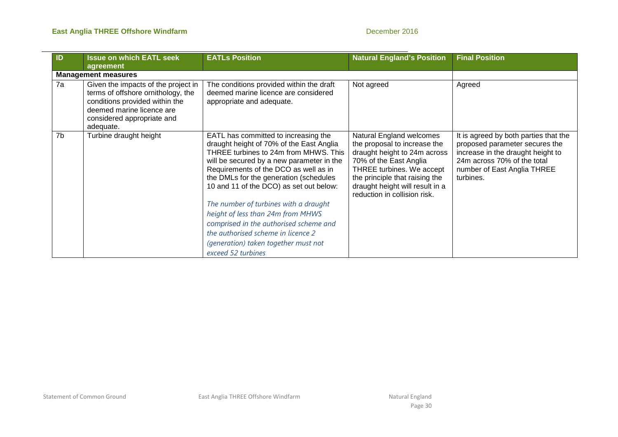| ID             | <b>Issue on which EATL seek</b>                                                                                                                                                     | <b>EATLs Position</b>                                                                                                                                                                                                                                                                                | <b>Natural England's Position</b>                                                                                                                                                                                                                    | <b>Final Position</b>                                                                                                                                                                   |
|----------------|-------------------------------------------------------------------------------------------------------------------------------------------------------------------------------------|------------------------------------------------------------------------------------------------------------------------------------------------------------------------------------------------------------------------------------------------------------------------------------------------------|------------------------------------------------------------------------------------------------------------------------------------------------------------------------------------------------------------------------------------------------------|-----------------------------------------------------------------------------------------------------------------------------------------------------------------------------------------|
|                | agreement                                                                                                                                                                           |                                                                                                                                                                                                                                                                                                      |                                                                                                                                                                                                                                                      |                                                                                                                                                                                         |
|                | <b>Management measures</b>                                                                                                                                                          |                                                                                                                                                                                                                                                                                                      |                                                                                                                                                                                                                                                      |                                                                                                                                                                                         |
| 7a             | Given the impacts of the project in<br>terms of offshore ornithology, the<br>conditions provided within the<br>deemed marine licence are<br>considered appropriate and<br>adequate. | The conditions provided within the draft<br>deemed marine licence are considered<br>appropriate and adequate.                                                                                                                                                                                        | Not agreed                                                                                                                                                                                                                                           | Agreed                                                                                                                                                                                  |
| 7 <sub>b</sub> | Turbine draught height                                                                                                                                                              | EATL has committed to increasing the<br>draught height of 70% of the East Anglia<br>THREE turbines to 24m from MHWS. This<br>will be secured by a new parameter in the<br>Requirements of the DCO as well as in<br>the DMLs for the generation (schedules<br>10 and 11 of the DCO) as set out below: | Natural England welcomes<br>the proposal to increase the<br>draught height to 24m across<br>70% of the East Anglia<br>THREE turbines. We accept<br>the principle that raising the<br>draught height will result in a<br>reduction in collision risk. | It is agreed by both parties that the<br>proposed parameter secures the<br>increase in the draught height to<br>24m across 70% of the total<br>number of East Anglia THREE<br>turbines. |
|                |                                                                                                                                                                                     | The number of turbines with a draught<br>height of less than 24m from MHWS<br>comprised in the authorised scheme and<br>the authorised scheme in licence 2<br>(generation) taken together must not<br>exceed 52 turbines                                                                             |                                                                                                                                                                                                                                                      |                                                                                                                                                                                         |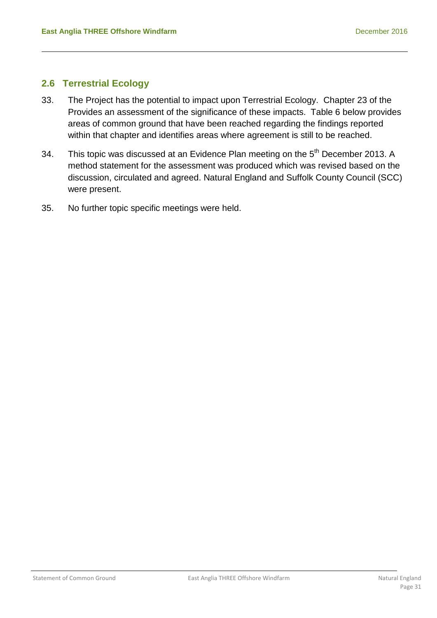### <span id="page-31-0"></span>**2.6 Terrestrial Ecology**

- 33. The Project has the potential to impact upon Terrestrial Ecology. Chapter 23 of the Provides an assessment of the significance of these impacts. Table 6 below provides areas of common ground that have been reached regarding the findings reported within that chapter and identifies areas where agreement is still to be reached.
- 34. This topic was discussed at an Evidence Plan meeting on the 5<sup>th</sup> December 2013. A method statement for the assessment was produced which was revised based on the discussion, circulated and agreed. Natural England and Suffolk County Council (SCC) were present.
- 35. No further topic specific meetings were held.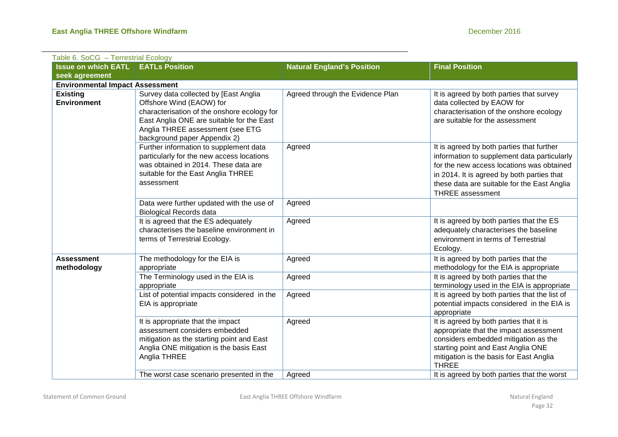| Table 6. SoCG - Terrestrial Ecology    |                                                                                                                                                                                                                                   |                                   |                                                                                                                                                                                                                                                                           |  |  |  |
|----------------------------------------|-----------------------------------------------------------------------------------------------------------------------------------------------------------------------------------------------------------------------------------|-----------------------------------|---------------------------------------------------------------------------------------------------------------------------------------------------------------------------------------------------------------------------------------------------------------------------|--|--|--|
| <b>Issue on which EATL</b>             | <b>EATLs Position</b>                                                                                                                                                                                                             | <b>Natural England's Position</b> | <b>Final Position</b>                                                                                                                                                                                                                                                     |  |  |  |
| seek agreement                         |                                                                                                                                                                                                                                   |                                   |                                                                                                                                                                                                                                                                           |  |  |  |
| <b>Environmental Impact Assessment</b> |                                                                                                                                                                                                                                   |                                   |                                                                                                                                                                                                                                                                           |  |  |  |
| <b>Existing</b><br><b>Environment</b>  | Survey data collected by [East Anglia<br>Offshore Wind (EAOW) for<br>characterisation of the onshore ecology for<br>East Anglia ONE are suitable for the East<br>Anglia THREE assessment (see ETG<br>background paper Appendix 2) | Agreed through the Evidence Plan  | It is agreed by both parties that survey<br>data collected by EAOW for<br>characterisation of the onshore ecology<br>are suitable for the assessment                                                                                                                      |  |  |  |
|                                        | Further information to supplement data<br>particularly for the new access locations<br>was obtained in 2014. These data are<br>suitable for the East Anglia THREE<br>assessment                                                   | Agreed                            | It is agreed by both parties that further<br>information to supplement data particularly<br>for the new access locations was obtained<br>in 2014. It is agreed by both parties that<br>these data are suitable for the East Anglia<br><b>THREE</b> assessment             |  |  |  |
|                                        | Data were further updated with the use of<br><b>Biological Records data</b>                                                                                                                                                       | Agreed                            |                                                                                                                                                                                                                                                                           |  |  |  |
|                                        | It is agreed that the ES adequately<br>characterises the baseline environment in<br>terms of Terrestrial Ecology.                                                                                                                 | Agreed                            | It is agreed by both parties that the ES<br>adequately characterises the baseline<br>environment in terms of Terrestrial<br>Ecology.                                                                                                                                      |  |  |  |
| <b>Assessment</b><br>methodology       | The methodology for the EIA is<br>appropriate                                                                                                                                                                                     | Agreed                            | It is agreed by both parties that the<br>methodology for the EIA is appropriate                                                                                                                                                                                           |  |  |  |
|                                        | The Terminology used in the EIA is<br>appropriate                                                                                                                                                                                 | Agreed                            | It is agreed by both parties that the<br>terminology used in the EIA is appropriate                                                                                                                                                                                       |  |  |  |
|                                        | List of potential impacts considered in the<br>EIA is appropriate                                                                                                                                                                 | Agreed                            | It is agreed by both parties that the list of<br>potential impacts considered in the EIA is<br>appropriate                                                                                                                                                                |  |  |  |
|                                        | It is appropriate that the impact<br>assessment considers embedded<br>mitigation as the starting point and East<br>Anglia ONE mitigation is the basis East<br>Anglia THREE<br>The worst case scenario presented in the            | Agreed<br>Agreed                  | It is agreed by both parties that it is<br>appropriate that the impact assessment<br>considers embedded mitigation as the<br>starting point and East Anglia ONE<br>mitigation is the basis for East Anglia<br><b>THREE</b><br>It is agreed by both parties that the worst |  |  |  |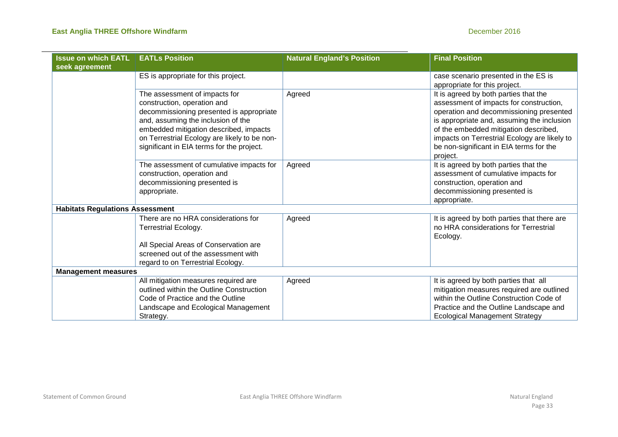$\overline{\phantom{a}}$ 

| <b>Issue on which EATL</b><br>seek agreement | <b>EATLs Position</b>                                                                                                                                                                                                                                                                 | <b>Natural England's Position</b> | <b>Final Position</b>                                                                                                                                                                                                                                                                                                     |  |
|----------------------------------------------|---------------------------------------------------------------------------------------------------------------------------------------------------------------------------------------------------------------------------------------------------------------------------------------|-----------------------------------|---------------------------------------------------------------------------------------------------------------------------------------------------------------------------------------------------------------------------------------------------------------------------------------------------------------------------|--|
|                                              | ES is appropriate for this project.                                                                                                                                                                                                                                                   |                                   | case scenario presented in the ES is<br>appropriate for this project.                                                                                                                                                                                                                                                     |  |
|                                              | The assessment of impacts for<br>construction, operation and<br>decommissioning presented is appropriate<br>and, assuming the inclusion of the<br>embedded mitigation described, impacts<br>on Terrestrial Ecology are likely to be non-<br>significant in EIA terms for the project. | Agreed                            | It is agreed by both parties that the<br>assessment of impacts for construction,<br>operation and decommissioning presented<br>is appropriate and, assuming the inclusion<br>of the embedded mitigation described,<br>impacts on Terrestrial Ecology are likely to<br>be non-significant in EIA terms for the<br>project. |  |
|                                              | The assessment of cumulative impacts for<br>construction, operation and<br>decommissioning presented is<br>appropriate.                                                                                                                                                               | Agreed                            | It is agreed by both parties that the<br>assessment of cumulative impacts for<br>construction, operation and<br>decommissioning presented is<br>appropriate.                                                                                                                                                              |  |
| <b>Habitats Regulations Assessment</b>       |                                                                                                                                                                                                                                                                                       |                                   |                                                                                                                                                                                                                                                                                                                           |  |
|                                              | There are no HRA considerations for<br><b>Terrestrial Ecology.</b><br>All Special Areas of Conservation are<br>screened out of the assessment with<br>regard to on Terrestrial Ecology.                                                                                               | Agreed                            | It is agreed by both parties that there are<br>no HRA considerations for Terrestrial<br>Ecology.                                                                                                                                                                                                                          |  |
| <b>Management measures</b>                   |                                                                                                                                                                                                                                                                                       |                                   |                                                                                                                                                                                                                                                                                                                           |  |
|                                              | All mitigation measures required are<br>outlined within the Outline Construction<br>Code of Practice and the Outline<br>Landscape and Ecological Management<br>Strategy.                                                                                                              | Agreed                            | It is agreed by both parties that all<br>mitigation measures required are outlined<br>within the Outline Construction Code of<br>Practice and the Outline Landscape and<br><b>Ecological Management Strategy</b>                                                                                                          |  |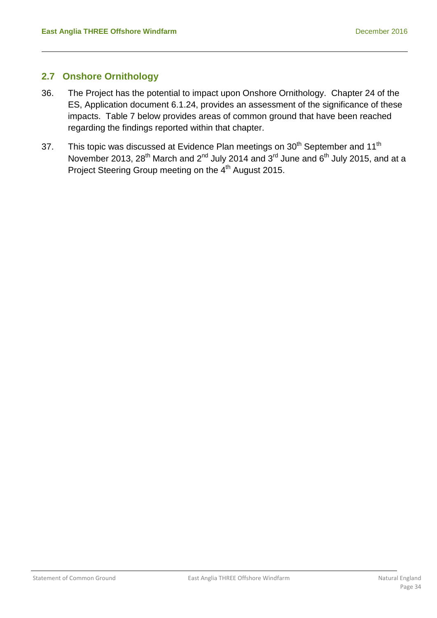### <span id="page-34-0"></span>**2.7 Onshore Ornithology**

- 36. The Project has the potential to impact upon Onshore Ornithology. Chapter 24 of the ES, Application document 6.1.24, provides an assessment of the significance of these impacts. Table 7 below provides areas of common ground that have been reached regarding the findings reported within that chapter.
- 37. This topic was discussed at Evidence Plan meetings on  $30<sup>th</sup>$  September and 11<sup>th</sup> November 2013, 28<sup>th</sup> March and 2<sup>nd</sup> July 2014 and 3<sup>rd</sup> June and 6<sup>th</sup> July 2015, and at a Project Steering Group meeting on the 4<sup>th</sup> August 2015.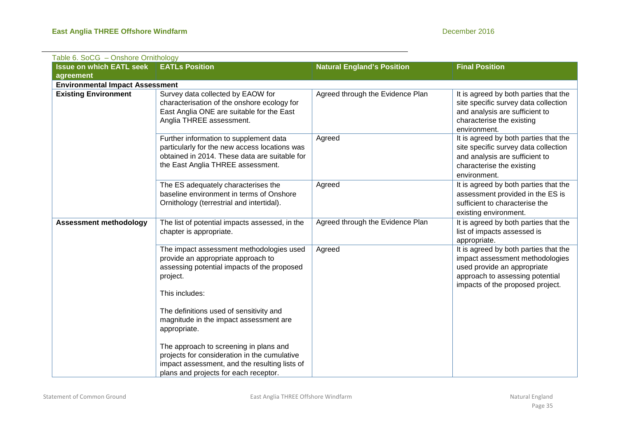| Table 6. SoCG - Onshore Ornithology    |                                                                                                                                                                               |                                   |                                                                                                                                                                                |  |  |
|----------------------------------------|-------------------------------------------------------------------------------------------------------------------------------------------------------------------------------|-----------------------------------|--------------------------------------------------------------------------------------------------------------------------------------------------------------------------------|--|--|
| <b>Issue on which EATL seek</b>        | <b>EATLs Position</b>                                                                                                                                                         | <b>Natural England's Position</b> | <b>Final Position</b>                                                                                                                                                          |  |  |
| agreement                              |                                                                                                                                                                               |                                   |                                                                                                                                                                                |  |  |
| <b>Environmental Impact Assessment</b> |                                                                                                                                                                               |                                   |                                                                                                                                                                                |  |  |
| <b>Existing Environment</b>            | Survey data collected by EAOW for<br>characterisation of the onshore ecology for<br>East Anglia ONE are suitable for the East<br>Anglia THREE assessment.                     | Agreed through the Evidence Plan  | It is agreed by both parties that the<br>site specific survey data collection<br>and analysis are sufficient to<br>characterise the existing<br>environment.                   |  |  |
|                                        | Further information to supplement data<br>particularly for the new access locations was<br>obtained in 2014. These data are suitable for<br>the East Anglia THREE assessment. | Agreed                            | It is agreed by both parties that the<br>site specific survey data collection<br>and analysis are sufficient to<br>characterise the existing<br>environment.                   |  |  |
|                                        | The ES adequately characterises the<br>baseline environment in terms of Onshore<br>Ornithology (terrestrial and intertidal).                                                  | Agreed                            | It is agreed by both parties that the<br>assessment provided in the ES is<br>sufficient to characterise the<br>existing environment.                                           |  |  |
| <b>Assessment methodology</b>          | The list of potential impacts assessed, in the<br>chapter is appropriate.                                                                                                     | Agreed through the Evidence Plan  | It is agreed by both parties that the<br>list of impacts assessed is<br>appropriate.                                                                                           |  |  |
|                                        | The impact assessment methodologies used<br>provide an appropriate approach to<br>assessing potential impacts of the proposed<br>project.<br>This includes:                   | Agreed                            | It is agreed by both parties that the<br>impact assessment methodologies<br>used provide an appropriate<br>approach to assessing potential<br>impacts of the proposed project. |  |  |
|                                        | The definitions used of sensitivity and<br>magnitude in the impact assessment are<br>appropriate.<br>The approach to screening in plans and                                   |                                   |                                                                                                                                                                                |  |  |
|                                        | projects for consideration in the cumulative<br>impact assessment, and the resulting lists of<br>plans and projects for each receptor.                                        |                                   |                                                                                                                                                                                |  |  |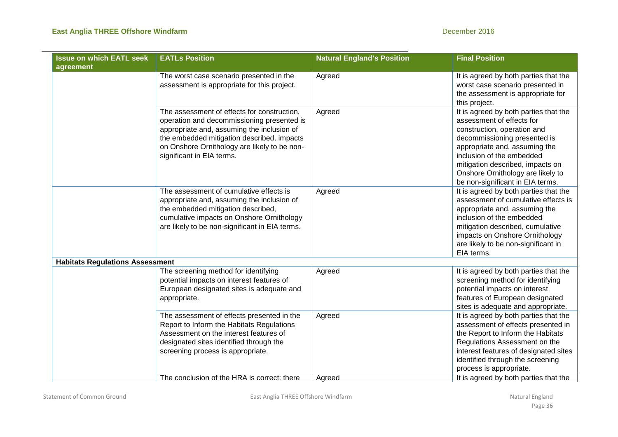| <b>Issue on which EATL seek</b>        | <b>EATLs Position</b>                                                                                                                                                                                                                                              | <b>Natural England's Position</b> | <b>Final Position</b>                                                                                                                                                                                                                                                    |
|----------------------------------------|--------------------------------------------------------------------------------------------------------------------------------------------------------------------------------------------------------------------------------------------------------------------|-----------------------------------|--------------------------------------------------------------------------------------------------------------------------------------------------------------------------------------------------------------------------------------------------------------------------|
| agreement                              |                                                                                                                                                                                                                                                                    |                                   |                                                                                                                                                                                                                                                                          |
|                                        | The worst case scenario presented in the<br>assessment is appropriate for this project.                                                                                                                                                                            | Agreed                            | It is agreed by both parties that the<br>worst case scenario presented in                                                                                                                                                                                                |
|                                        |                                                                                                                                                                                                                                                                    |                                   | the assessment is appropriate for                                                                                                                                                                                                                                        |
|                                        |                                                                                                                                                                                                                                                                    |                                   | this project.                                                                                                                                                                                                                                                            |
|                                        | The assessment of effects for construction,<br>operation and decommissioning presented is<br>appropriate and, assuming the inclusion of<br>the embedded mitigation described, impacts<br>on Onshore Ornithology are likely to be non-<br>significant in EIA terms. | Agreed                            | It is agreed by both parties that the<br>assessment of effects for<br>construction, operation and<br>decommissioning presented is<br>appropriate and, assuming the<br>inclusion of the embedded<br>mitigation described, impacts on<br>Onshore Ornithology are likely to |
|                                        |                                                                                                                                                                                                                                                                    |                                   | be non-significant in EIA terms.                                                                                                                                                                                                                                         |
|                                        | The assessment of cumulative effects is<br>appropriate and, assuming the inclusion of<br>the embedded mitigation described,<br>cumulative impacts on Onshore Ornithology<br>are likely to be non-significant in EIA terms.                                         | Agreed                            | It is agreed by both parties that the<br>assessment of cumulative effects is<br>appropriate and, assuming the<br>inclusion of the embedded<br>mitigation described, cumulative<br>impacts on Onshore Ornithology<br>are likely to be non-significant in<br>EIA terms.    |
| <b>Habitats Regulations Assessment</b> |                                                                                                                                                                                                                                                                    |                                   |                                                                                                                                                                                                                                                                          |
|                                        | The screening method for identifying<br>potential impacts on interest features of<br>European designated sites is adequate and<br>appropriate.                                                                                                                     | Agreed                            | It is agreed by both parties that the<br>screening method for identifying<br>potential impacts on interest<br>features of European designated<br>sites is adequate and appropriate.                                                                                      |
|                                        | The assessment of effects presented in the<br>Report to Inform the Habitats Regulations<br>Assessment on the interest features of<br>designated sites identified through the<br>screening process is appropriate.                                                  | Agreed                            | It is agreed by both parties that the<br>assessment of effects presented in<br>the Report to Inform the Habitats<br>Regulations Assessment on the<br>interest features of designated sites<br>identified through the screening<br>process is appropriate.                |
|                                        | The conclusion of the HRA is correct: there                                                                                                                                                                                                                        | Agreed                            | It is agreed by both parties that the                                                                                                                                                                                                                                    |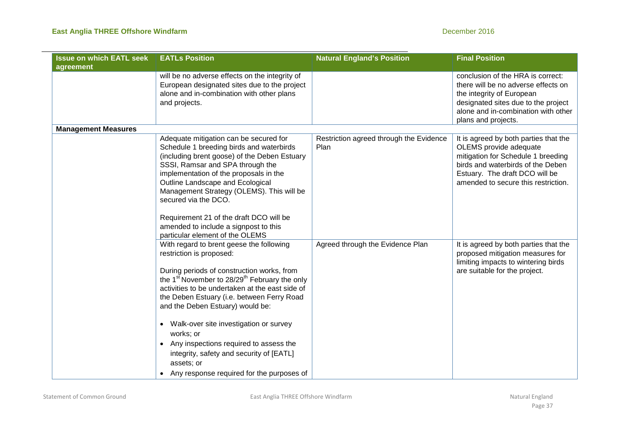| <b>Issue on which EATL seek</b> | <b>EATLs Position</b>                                                                                                                                                                                                                                                                                                                                                                                                                                                                                                                         | <b>Natural England's Position</b>               | <b>Final Position</b>                                                                                                                                                                                               |
|---------------------------------|-----------------------------------------------------------------------------------------------------------------------------------------------------------------------------------------------------------------------------------------------------------------------------------------------------------------------------------------------------------------------------------------------------------------------------------------------------------------------------------------------------------------------------------------------|-------------------------------------------------|---------------------------------------------------------------------------------------------------------------------------------------------------------------------------------------------------------------------|
| agreement                       |                                                                                                                                                                                                                                                                                                                                                                                                                                                                                                                                               |                                                 |                                                                                                                                                                                                                     |
|                                 | will be no adverse effects on the integrity of<br>European designated sites due to the project<br>alone and in-combination with other plans<br>and projects.                                                                                                                                                                                                                                                                                                                                                                                  |                                                 | conclusion of the HRA is correct:<br>there will be no adverse effects on<br>the integrity of European<br>designated sites due to the project<br>alone and in-combination with other<br>plans and projects.          |
| <b>Management Measures</b>      |                                                                                                                                                                                                                                                                                                                                                                                                                                                                                                                                               |                                                 |                                                                                                                                                                                                                     |
|                                 | Adequate mitigation can be secured for<br>Schedule 1 breeding birds and waterbirds<br>(including brent goose) of the Deben Estuary<br>SSSI, Ramsar and SPA through the<br>implementation of the proposals in the<br>Outline Landscape and Ecological<br>Management Strategy (OLEMS). This will be<br>secured via the DCO.<br>Requirement 21 of the draft DCO will be<br>amended to include a signpost to this<br>particular element of the OLEMS                                                                                              | Restriction agreed through the Evidence<br>Plan | It is agreed by both parties that the<br>OLEMS provide adequate<br>mitigation for Schedule 1 breeding<br>birds and waterbirds of the Deben<br>Estuary. The draft DCO will be<br>amended to secure this restriction. |
|                                 | With regard to brent geese the following<br>restriction is proposed:<br>During periods of construction works, from<br>the $1^{s\bar{t}}$ November to 28/29 <sup>th</sup> February the only<br>activities to be undertaken at the east side of<br>the Deben Estuary (i.e. between Ferry Road<br>and the Deben Estuary) would be:<br>• Walk-over site investigation or survey<br>works; or<br>• Any inspections required to assess the<br>integrity, safety and security of [EATL]<br>assets; or<br>• Any response required for the purposes of | Agreed through the Evidence Plan                | It is agreed by both parties that the<br>proposed mitigation measures for<br>limiting impacts to wintering birds<br>are suitable for the project.                                                                   |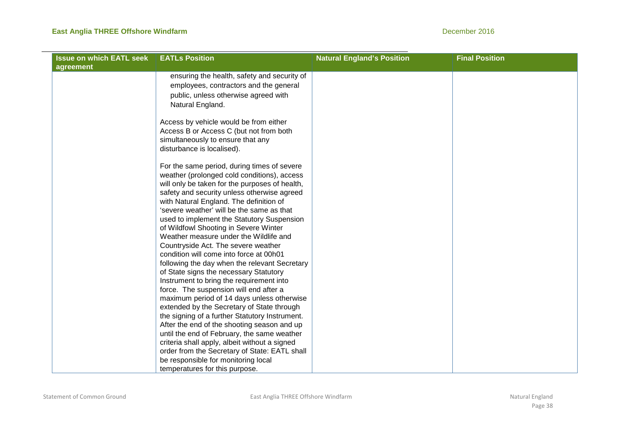| <b>Issue on which EATL seek</b><br>agreement | <b>EATLs Position</b>                                                                                                                                                                                                                                                                                                                                                                                                                                                                                                                                                                                                                                                                                                                                                                                                                                                                                                                                                                                                                                                                                                                                                                                                                                                                                                                                                                                                       | <b>Natural England's Position</b> | <b>Final Position</b> |
|----------------------------------------------|-----------------------------------------------------------------------------------------------------------------------------------------------------------------------------------------------------------------------------------------------------------------------------------------------------------------------------------------------------------------------------------------------------------------------------------------------------------------------------------------------------------------------------------------------------------------------------------------------------------------------------------------------------------------------------------------------------------------------------------------------------------------------------------------------------------------------------------------------------------------------------------------------------------------------------------------------------------------------------------------------------------------------------------------------------------------------------------------------------------------------------------------------------------------------------------------------------------------------------------------------------------------------------------------------------------------------------------------------------------------------------------------------------------------------------|-----------------------------------|-----------------------|
|                                              | ensuring the health, safety and security of<br>employees, contractors and the general<br>public, unless otherwise agreed with<br>Natural England.<br>Access by vehicle would be from either<br>Access B or Access C (but not from both<br>simultaneously to ensure that any<br>disturbance is localised).<br>For the same period, during times of severe<br>weather (prolonged cold conditions), access<br>will only be taken for the purposes of health,<br>safety and security unless otherwise agreed<br>with Natural England. The definition of<br>'severe weather' will be the same as that<br>used to implement the Statutory Suspension<br>of Wildfowl Shooting in Severe Winter<br>Weather measure under the Wildlife and<br>Countryside Act. The severe weather<br>condition will come into force at 00h01<br>following the day when the relevant Secretary<br>of State signs the necessary Statutory<br>Instrument to bring the requirement into<br>force. The suspension will end after a<br>maximum period of 14 days unless otherwise<br>extended by the Secretary of State through<br>the signing of a further Statutory Instrument.<br>After the end of the shooting season and up<br>until the end of February, the same weather<br>criteria shall apply, albeit without a signed<br>order from the Secretary of State: EATL shall<br>be responsible for monitoring local<br>temperatures for this purpose. |                                   |                       |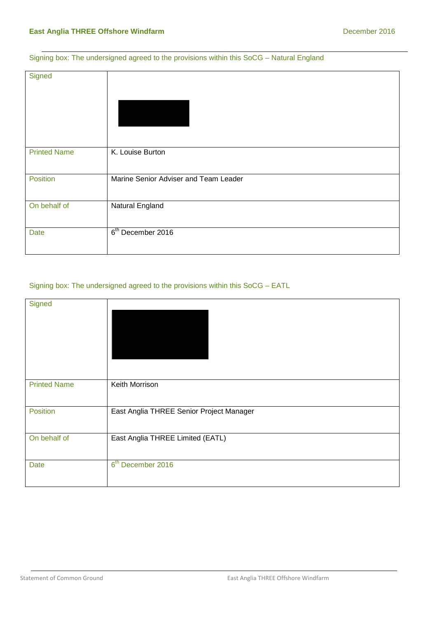## Signing box: The undersigned agreed to the provisions within this SoCG – Natural England

| Signed              |                                       |
|---------------------|---------------------------------------|
| <b>Printed Name</b> | K. Louise Burton                      |
| Position            | Marine Senior Adviser and Team Leader |
| On behalf of        | Natural England                       |
| <b>Date</b>         | $6th$ December 2016                   |

## Signing box: The undersigned agreed to the provisions within this SoCG – EATL

| Signed              |                                          |
|---------------------|------------------------------------------|
| <b>Printed Name</b> | Keith Morrison                           |
| Position            | East Anglia THREE Senior Project Manager |
| On behalf of        | East Anglia THREE Limited (EATL)         |
| Date                | 6 <sup>th</sup> December 2016            |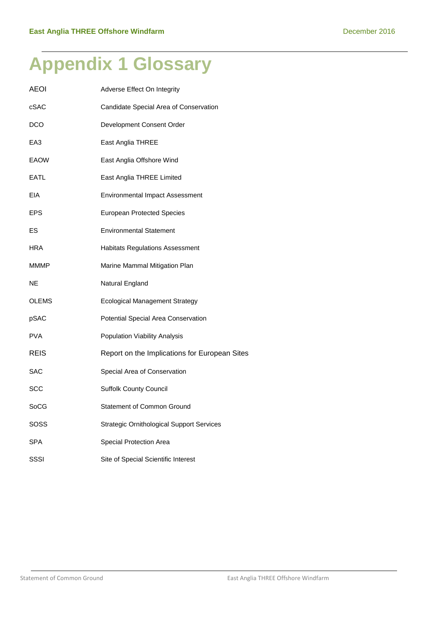# **Appendix 1 Glossary**

| AEOI         | Adverse Effect On Integrity                      |
|--------------|--------------------------------------------------|
| cSAC         | Candidate Special Area of Conservation           |
| <b>DCO</b>   | Development Consent Order                        |
| EA3          | East Anglia THREE                                |
| <b>EAOW</b>  | East Anglia Offshore Wind                        |
| EATL         | East Anglia THREE Limited                        |
| <b>EIA</b>   | <b>Environmental Impact Assessment</b>           |
| <b>EPS</b>   | <b>European Protected Species</b>                |
| ES           | <b>Environmental Statement</b>                   |
| HRA          | <b>Habitats Regulations Assessment</b>           |
| <b>MMMP</b>  | Marine Mammal Mitigation Plan                    |
| NE           | Natural England                                  |
| <b>OLEMS</b> | Ecological Management Strategy                   |
| pSAC         | Potential Special Area Conservation              |
| <b>PVA</b>   | Population Viability Analysis                    |
| REIS         | Report on the Implications for European Sites    |
| SAC          | Special Area of Conservation                     |
| SCC          | <b>Suffolk County Council</b>                    |
| SoCG         | <b>Statement of Common Ground</b>                |
| SOSS         | <b>Strategic Ornithological Support Services</b> |
| SPA          | Special Protection Area                          |
| SSSI         | Site of Special Scientific Interest              |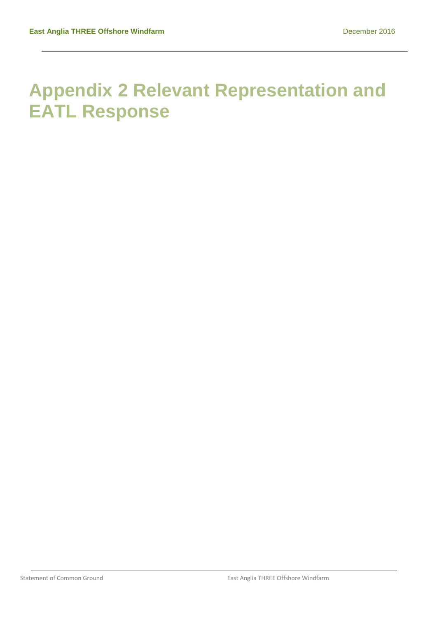# **Appendix 2 Relevant Representation and EATL Response**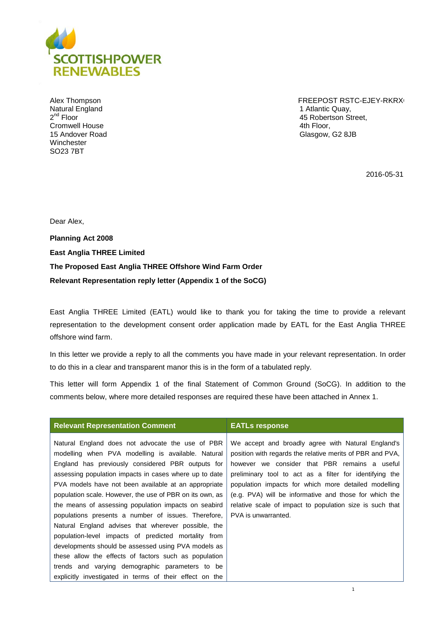

Alex Thompson Natural England 2<sup>nd</sup> Floor Cromwell House 15 Andover Road **Winchester** SO23 7BT

FREEPOST RSTC-EJEY-RKRX 1 Atlantic Quay, 45 Robertson Street, 4th Floor, Glasgow, G2 8JB

2016-05-31

Dear Alex,

**Planning Act 2008 East Anglia THREE Limited The Proposed East Anglia THREE Offshore Wind Farm Order Relevant Representation reply letter (Appendix 1 of the SoCG)**

East Anglia THREE Limited (EATL) would like to thank you for taking the time to provide a relevant representation to the development consent order application made by EATL for the East Anglia THREE offshore wind farm.

In this letter we provide a reply to all the comments you have made in your relevant representation. In order to do this in a clear and transparent manor this is in the form of a tabulated reply.

This letter will form Appendix 1 of the final Statement of Common Ground (SoCG). In addition to the comments below, where more detailed responses are required these have been attached in Annex 1.

| <b>Relevant Representation Comment</b>                                                                                                                                                                                                                                                                                                                                                                                                                                                                                                                                                                                                                                                                                                     | <b>EATLs response</b>                                                                                                                                                                                                                                                                                                                                                                                                            |
|--------------------------------------------------------------------------------------------------------------------------------------------------------------------------------------------------------------------------------------------------------------------------------------------------------------------------------------------------------------------------------------------------------------------------------------------------------------------------------------------------------------------------------------------------------------------------------------------------------------------------------------------------------------------------------------------------------------------------------------------|----------------------------------------------------------------------------------------------------------------------------------------------------------------------------------------------------------------------------------------------------------------------------------------------------------------------------------------------------------------------------------------------------------------------------------|
| Natural England does not advocate the use of PBR<br>modelling when PVA modelling is available. Natural<br>England has previously considered PBR outputs for<br>assessing population impacts in cases where up to date<br>PVA models have not been available at an appropriate<br>population scale. However, the use of PBR on its own, as<br>the means of assessing population impacts on seabird<br>populations presents a number of issues. Therefore,<br>Natural England advises that wherever possible, the<br>population-level impacts of predicted mortality from<br>developments should be assessed using PVA models as<br>these allow the effects of factors such as population<br>trends and varying demographic parameters to be | We accept and broadly agree with Natural England's<br>position with regards the relative merits of PBR and PVA,<br>however we consider that PBR remains a useful<br>preliminary tool to act as a filter for identifying the<br>population impacts for which more detailed modelling<br>(e.g. PVA) will be informative and those for which the<br>relative scale of impact to population size is such that<br>PVA is unwarranted. |
| explicitly investigated in terms of their effect on the                                                                                                                                                                                                                                                                                                                                                                                                                                                                                                                                                                                                                                                                                    |                                                                                                                                                                                                                                                                                                                                                                                                                                  |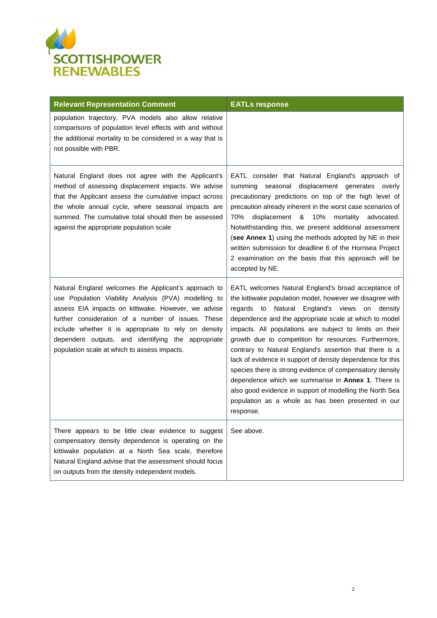

| <b>Relevant Representation Comment</b>                                                                                                                                                                                                                                                                                                                                                  | <b>EATLs response</b>                                                                                                                                                                                                                                                                                                                                                                                                                                                                                                                                                                                                                                                                                                            |
|-----------------------------------------------------------------------------------------------------------------------------------------------------------------------------------------------------------------------------------------------------------------------------------------------------------------------------------------------------------------------------------------|----------------------------------------------------------------------------------------------------------------------------------------------------------------------------------------------------------------------------------------------------------------------------------------------------------------------------------------------------------------------------------------------------------------------------------------------------------------------------------------------------------------------------------------------------------------------------------------------------------------------------------------------------------------------------------------------------------------------------------|
| population trajectory. PVA models also allow relative<br>comparisons of population level effects with and without<br>the additional mortality to be considered in a way that is<br>not possible with PBR.                                                                                                                                                                               |                                                                                                                                                                                                                                                                                                                                                                                                                                                                                                                                                                                                                                                                                                                                  |
| Natural England does not agree with the Applicant's<br>method of assessing displacement impacts. We advise<br>that the Applicant assess the cumulative impact across<br>the whole annual cycle, where seasonal impacts are<br>summed. The cumulative total should then be assessed<br>against the appropriate population scale                                                          | EATL consider that Natural England's approach of<br>summing seasonal displacement generates overly<br>precautionary predictions on top of the high level of<br>precaution already inherent in the worst case scenarios of<br>70%<br>displacement & 10%<br>mortality<br>advocated.<br>Notwithstanding this, we present additional assessment<br>(see Annex 1) using the methods adopted by NE in their<br>written submission for deadline 6 of the Hornsea Project<br>2 examination on the basis that this approach will be<br>accepted by NE.                                                                                                                                                                                    |
| Natural England welcomes the Applicant's approach to<br>use Population Viability Analysis (PVA) modelling to<br>assess EIA impacts on kittiwake. However, we advise<br>further consideration of a number of issues. These<br>include whether it is appropriate to rely on density<br>dependent outputs, and identifying the appropriate<br>population scale at which to assess impacts. | EATL welcomes Natural England's broad acceptance of<br>the kittiwake population model, however we disagree with<br>regards to Natural England's views on density<br>dependence and the appropriate scale at which to model<br>impacts. All populations are subject to limits on their<br>growth due to competition for resources. Furthermore,<br>contrary to Natural England's assertion that there is a<br>lack of evidence in support of density dependence for this<br>species there is strong evidence of compensatory density<br>dependence which we summarise in <b>Annex 1</b> . There is<br>also good evidence in support of modelling the North Sea<br>population as a whole as has been presented in our<br>response. |
| There appears to be little clear evidence to suggest<br>compensatory density dependence is operating on the<br>kittiwake population at a North Sea scale, therefore<br>Natural England advise that the assessment should focus<br>on outputs from the density independent models.                                                                                                       | See above.                                                                                                                                                                                                                                                                                                                                                                                                                                                                                                                                                                                                                                                                                                                       |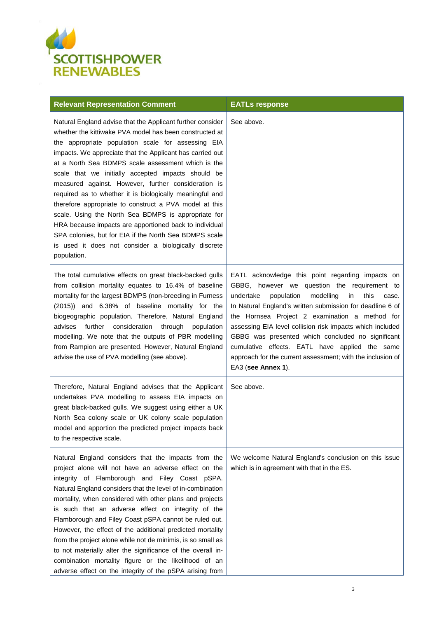

| <b>Relevant Representation Comment</b>                                                                                                                                                                                                                                                                                                                                                                                                                                                                                                                                                                                                                                                                                                                                              | <b>EATLs response</b>                                                                                                                                                                                                                                                                                                                                                                                                                                                                                                                  |
|-------------------------------------------------------------------------------------------------------------------------------------------------------------------------------------------------------------------------------------------------------------------------------------------------------------------------------------------------------------------------------------------------------------------------------------------------------------------------------------------------------------------------------------------------------------------------------------------------------------------------------------------------------------------------------------------------------------------------------------------------------------------------------------|----------------------------------------------------------------------------------------------------------------------------------------------------------------------------------------------------------------------------------------------------------------------------------------------------------------------------------------------------------------------------------------------------------------------------------------------------------------------------------------------------------------------------------------|
| Natural England advise that the Applicant further consider<br>whether the kittiwake PVA model has been constructed at<br>the appropriate population scale for assessing EIA<br>impacts. We appreciate that the Applicant has carried out<br>at a North Sea BDMPS scale assessment which is the<br>scale that we initially accepted impacts should be<br>measured against. However, further consideration is<br>required as to whether it is biologically meaningful and<br>therefore appropriate to construct a PVA model at this<br>scale. Using the North Sea BDMPS is appropriate for<br>HRA because impacts are apportioned back to individual<br>SPA colonies, but for EIA if the North Sea BDMPS scale<br>is used it does not consider a biologically discrete<br>population. | See above.                                                                                                                                                                                                                                                                                                                                                                                                                                                                                                                             |
| The total cumulative effects on great black-backed gulls<br>from collision mortality equates to 16.4% of baseline<br>mortality for the largest BDMPS (non-breeding in Furness<br>(2015)) and 6.38% of baseline mortality for the<br>biogeographic population. Therefore, Natural England<br>further<br>consideration<br>advises<br>through<br>population<br>modelling. We note that the outputs of PBR modelling<br>from Rampion are presented. However, Natural England<br>advise the use of PVA modelling (see above).                                                                                                                                                                                                                                                            | EATL acknowledge this point regarding impacts on<br>GBBG, however we question the requirement to<br>undertake<br>population<br>modelling<br>in<br>this<br>case.<br>In Natural England's written submission for deadline 6 of<br>the Hornsea Project 2 examination a method for<br>assessing EIA level collision risk impacts which included<br>GBBG was presented which concluded no significant<br>cumulative effects. EATL have applied the same<br>approach for the current assessment; with the inclusion of<br>EA3 (see Annex 1). |
| Therefore, Natural England advises that the Applicant<br>undertakes PVA modelling to assess EIA impacts on<br>great black-backed gulls. We suggest using either a UK<br>North Sea colony scale or UK colony scale population<br>model and apportion the predicted project impacts back<br>to the respective scale.                                                                                                                                                                                                                                                                                                                                                                                                                                                                  | See above.                                                                                                                                                                                                                                                                                                                                                                                                                                                                                                                             |
| Natural England considers that the impacts from the<br>project alone will not have an adverse effect on the<br>integrity of Flamborough and Filey Coast pSPA.<br>Natural England considers that the level of in-combination<br>mortality, when considered with other plans and projects<br>is such that an adverse effect on integrity of the<br>Flamborough and Filey Coast pSPA cannot be ruled out.<br>However, the effect of the additional predicted mortality<br>from the project alone while not de minimis, is so small as<br>to not materially alter the significance of the overall in-<br>combination mortality figure or the likelihood of an<br>adverse effect on the integrity of the pSPA arising from                                                               | We welcome Natural England's conclusion on this issue<br>which is in agreement with that in the ES.                                                                                                                                                                                                                                                                                                                                                                                                                                    |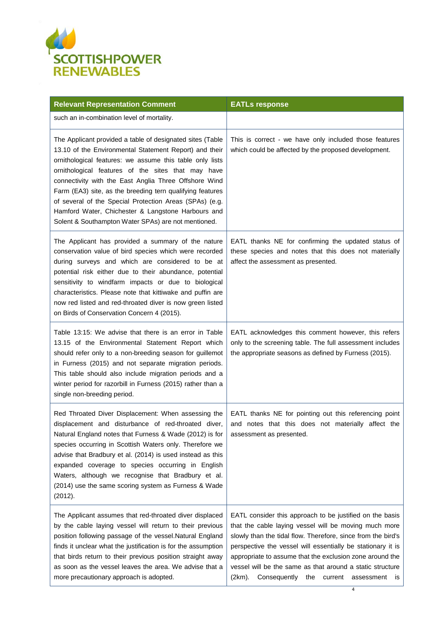

| <b>Relevant Representation Comment</b>                                                                                                                                                                                                                                                                                                                                                                                                                                                                                              | <b>EATLs response</b>                                                                                                                                                                                                                                                                                                                                                                                                                     |  |
|-------------------------------------------------------------------------------------------------------------------------------------------------------------------------------------------------------------------------------------------------------------------------------------------------------------------------------------------------------------------------------------------------------------------------------------------------------------------------------------------------------------------------------------|-------------------------------------------------------------------------------------------------------------------------------------------------------------------------------------------------------------------------------------------------------------------------------------------------------------------------------------------------------------------------------------------------------------------------------------------|--|
| such an in-combination level of mortality.                                                                                                                                                                                                                                                                                                                                                                                                                                                                                          |                                                                                                                                                                                                                                                                                                                                                                                                                                           |  |
| The Applicant provided a table of designated sites (Table<br>13.10 of the Environmental Statement Report) and their<br>ornithological features: we assume this table only lists<br>ornithological features of the sites that may have<br>connectivity with the East Anglia Three Offshore Wind<br>Farm (EA3) site, as the breeding tern qualifying features<br>of several of the Special Protection Areas (SPAs) (e.g.<br>Hamford Water, Chichester & Langstone Harbours and<br>Solent & Southampton Water SPAs) are not mentioned. | This is correct - we have only included those features<br>which could be affected by the proposed development.                                                                                                                                                                                                                                                                                                                            |  |
| The Applicant has provided a summary of the nature<br>conservation value of bird species which were recorded<br>during surveys and which are considered to be at<br>potential risk either due to their abundance, potential<br>sensitivity to windfarm impacts or due to biological<br>characteristics. Please note that kittiwake and puffin are<br>now red listed and red-throated diver is now green listed<br>on Birds of Conservation Concern 4 (2015).                                                                        | EATL thanks NE for confirming the updated status of<br>these species and notes that this does not materially<br>affect the assessment as presented.                                                                                                                                                                                                                                                                                       |  |
| Table 13:15: We advise that there is an error in Table<br>13.15 of the Environmental Statement Report which<br>should refer only to a non-breeding season for guillemot<br>in Furness (2015) and not separate migration periods.<br>This table should also include migration periods and a<br>winter period for razorbill in Furness (2015) rather than a<br>single non-breeding period.                                                                                                                                            | EATL acknowledges this comment however, this refers<br>only to the screening table. The full assessment includes<br>the appropriate seasons as defined by Furness (2015).                                                                                                                                                                                                                                                                 |  |
| Red Throated Diver Displacement: When assessing the<br>displacement and disturbance of red-throated diver,<br>Natural England notes that Furness & Wade (2012) is for<br>species occurring in Scottish Waters only. Therefore we<br>advise that Bradbury et al. (2014) is used instead as this<br>expanded coverage to species occurring in English<br>Waters, although we recognise that Bradbury et al.<br>(2014) use the same scoring system as Furness & Wade<br>(2012).                                                        | EATL thanks NE for pointing out this referencing point<br>and notes that this does not materially affect the<br>assessment as presented.                                                                                                                                                                                                                                                                                                  |  |
| The Applicant assumes that red-throated diver displaced<br>by the cable laying vessel will return to their previous<br>position following passage of the vessel. Natural England<br>finds it unclear what the justification is for the assumption<br>that birds return to their previous position straight away<br>as soon as the vessel leaves the area. We advise that a<br>more precautionary approach is adopted.                                                                                                               | EATL consider this approach to be justified on the basis<br>that the cable laying vessel will be moving much more<br>slowly than the tidal flow. Therefore, since from the bird's<br>perspective the vessel will essentially be stationary it is<br>appropriate to assume that the exclusion zone around the<br>vessel will be the same as that around a static structure<br>(2km).<br>Consequently<br>the<br>current<br>assessment<br>IS |  |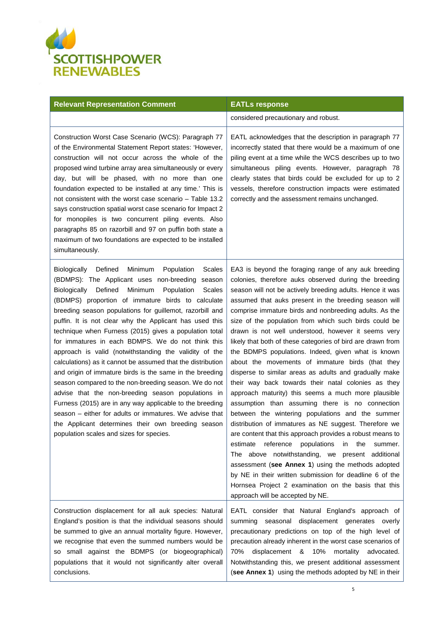

| <b>Relevant Representation Comment</b>                                                                                                                                                                                                                                                                                                                                                                                                                                                                                                                                                                                                                                                                                                                                                                                                                                                                                                                                                                     | <b>EATLs response</b>                                                                                                                                                                                                                                                                                                                                                                                                                                                                                                                                                                                                                                                                                                                                                                                                                                                                                                                                                                                                                                                                                                                                                                                                                                                                                                        |
|------------------------------------------------------------------------------------------------------------------------------------------------------------------------------------------------------------------------------------------------------------------------------------------------------------------------------------------------------------------------------------------------------------------------------------------------------------------------------------------------------------------------------------------------------------------------------------------------------------------------------------------------------------------------------------------------------------------------------------------------------------------------------------------------------------------------------------------------------------------------------------------------------------------------------------------------------------------------------------------------------------|------------------------------------------------------------------------------------------------------------------------------------------------------------------------------------------------------------------------------------------------------------------------------------------------------------------------------------------------------------------------------------------------------------------------------------------------------------------------------------------------------------------------------------------------------------------------------------------------------------------------------------------------------------------------------------------------------------------------------------------------------------------------------------------------------------------------------------------------------------------------------------------------------------------------------------------------------------------------------------------------------------------------------------------------------------------------------------------------------------------------------------------------------------------------------------------------------------------------------------------------------------------------------------------------------------------------------|
|                                                                                                                                                                                                                                                                                                                                                                                                                                                                                                                                                                                                                                                                                                                                                                                                                                                                                                                                                                                                            | considered precautionary and robust.                                                                                                                                                                                                                                                                                                                                                                                                                                                                                                                                                                                                                                                                                                                                                                                                                                                                                                                                                                                                                                                                                                                                                                                                                                                                                         |
| Construction Worst Case Scenario (WCS): Paragraph 77<br>of the Environmental Statement Report states: 'However,<br>construction will not occur across the whole of the<br>proposed wind turbine array area simultaneously or every<br>day, but will be phased, with no more than one<br>foundation expected to be installed at any time.' This is<br>not consistent with the worst case scenario - Table 13.2<br>says construction spatial worst case scenario for Impact 2<br>for monopiles is two concurrent piling events. Also<br>paragraphs 85 on razorbill and 97 on puffin both state a<br>maximum of two foundations are expected to be installed<br>simultaneously.                                                                                                                                                                                                                                                                                                                               | EATL acknowledges that the description in paragraph 77<br>incorrectly stated that there would be a maximum of one<br>piling event at a time while the WCS describes up to two<br>simultaneous piling events. However, paragraph 78<br>clearly states that birds could be excluded for up to 2<br>vessels, therefore construction impacts were estimated<br>correctly and the assessment remains unchanged.                                                                                                                                                                                                                                                                                                                                                                                                                                                                                                                                                                                                                                                                                                                                                                                                                                                                                                                   |
| Defined<br>Minimum<br><b>Biologically</b><br>Population<br>Scales<br>(BDMPS): The Applicant uses non-breeding<br>season<br>Biologically Defined<br>Minimum<br>Population<br>Scales<br>(BDMPS) proportion of immature birds to calculate<br>breeding season populations for guillemot, razorbill and<br>puffin. It is not clear why the Applicant has used this<br>technique when Furness (2015) gives a population total<br>for immatures in each BDMPS. We do not think this<br>approach is valid (notwithstanding the validity of the<br>calculations) as it cannot be assumed that the distribution<br>and origin of immature birds is the same in the breeding<br>season compared to the non-breeding season. We do not<br>advise that the non-breeding season populations in<br>Furness (2015) are in any way applicable to the breeding<br>season - either for adults or immatures. We advise that<br>the Applicant determines their own breeding season<br>population scales and sizes for species. | EA3 is beyond the foraging range of any auk breeding<br>colonies, therefore auks observed during the breeding<br>season will not be actively breeding adults. Hence it was<br>assumed that auks present in the breeding season will<br>comprise immature birds and nonbreeding adults. As the<br>size of the population from which such birds could be<br>drawn is not well understood, however it seems very<br>likely that both of these categories of bird are drawn from<br>the BDMPS populations. Indeed, given what is known<br>about the movements of immature birds (that they<br>disperse to similar areas as adults and gradually make<br>their way back towards their natal colonies as they<br>approach maturity) this seems a much more plausible<br>assumption than assuming there is no connection<br>between the wintering populations and the summer<br>distribution of immatures as NE suggest. Therefore we<br>are content that this approach provides a robust means to<br>reference<br>estimate<br>populations<br>in<br>the<br>summer.<br>The above notwithstanding, we present additional<br>assessment (see Annex 1) using the methods adopted<br>by NE in their written submission for deadline 6 of the<br>Hornsea Project 2 examination on the basis that this<br>approach will be accepted by NE. |
| Construction displacement for all auk species: Natural<br>England's position is that the individual seasons should<br>be summed to give an annual mortality figure. However,<br>we recognise that even the summed numbers would be<br>so small against the BDMPS (or biogeographical)<br>populations that it would not significantly alter overall<br>conclusions.                                                                                                                                                                                                                                                                                                                                                                                                                                                                                                                                                                                                                                         | EATL consider that Natural England's approach of<br>summing seasonal displacement generates overly<br>precautionary predictions on top of the high level of<br>precaution already inherent in the worst case scenarios of<br>70%<br>displacement<br>&<br>10%<br>mortality<br>advocated.<br>Notwithstanding this, we present additional assessment<br>(see Annex 1) using the methods adopted by NE in their                                                                                                                                                                                                                                                                                                                                                                                                                                                                                                                                                                                                                                                                                                                                                                                                                                                                                                                  |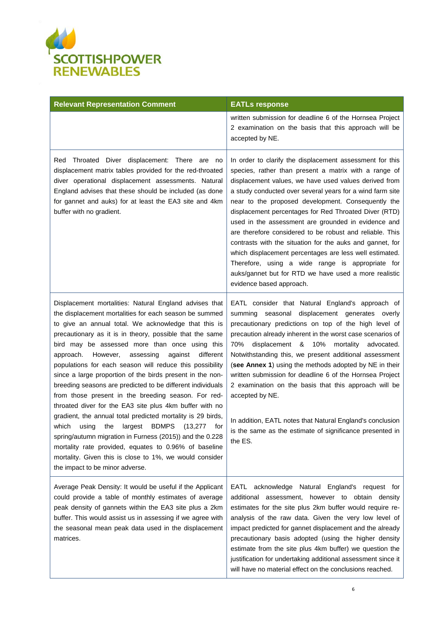

| <b>Relevant Representation Comment</b>                                                                                                                                                                                                                                                                                                                                                                                                                                                                                                                                                                                                                                                                                                                                                                                                                                                                                                                                                       | <b>EATLs response</b>                                                                                                                                                                                                                                                                                                                                                                                                                                                                                                                                                                                                                                                                                                                      |  |
|----------------------------------------------------------------------------------------------------------------------------------------------------------------------------------------------------------------------------------------------------------------------------------------------------------------------------------------------------------------------------------------------------------------------------------------------------------------------------------------------------------------------------------------------------------------------------------------------------------------------------------------------------------------------------------------------------------------------------------------------------------------------------------------------------------------------------------------------------------------------------------------------------------------------------------------------------------------------------------------------|--------------------------------------------------------------------------------------------------------------------------------------------------------------------------------------------------------------------------------------------------------------------------------------------------------------------------------------------------------------------------------------------------------------------------------------------------------------------------------------------------------------------------------------------------------------------------------------------------------------------------------------------------------------------------------------------------------------------------------------------|--|
|                                                                                                                                                                                                                                                                                                                                                                                                                                                                                                                                                                                                                                                                                                                                                                                                                                                                                                                                                                                              | written submission for deadline 6 of the Hornsea Project<br>2 examination on the basis that this approach will be<br>accepted by NE.                                                                                                                                                                                                                                                                                                                                                                                                                                                                                                                                                                                                       |  |
| Throated Diver displacement: There are<br>Red<br>no<br>displacement matrix tables provided for the red-throated<br>diver operational displacement assessments. Natural<br>England advises that these should be included (as done<br>for gannet and auks) for at least the EA3 site and 4km<br>buffer with no gradient.                                                                                                                                                                                                                                                                                                                                                                                                                                                                                                                                                                                                                                                                       | In order to clarify the displacement assessment for this<br>species, rather than present a matrix with a range of<br>displacement values, we have used values derived from<br>a study conducted over several years for a wind farm site<br>near to the proposed development. Consequently the<br>displacement percentages for Red Throated Diver (RTD)<br>used in the assessment are grounded in evidence and<br>are therefore considered to be robust and reliable. This<br>contrasts with the situation for the auks and gannet, for<br>which displacement percentages are less well estimated.<br>Therefore, using a wide range is appropriate for<br>auks/gannet but for RTD we have used a more realistic<br>evidence based approach. |  |
| Displacement mortalities: Natural England advises that<br>the displacement mortalities for each season be summed<br>to give an annual total. We acknowledge that this is<br>precautionary as it is in theory, possible that the same<br>bird may be assessed more than once using this<br>However,<br>against<br>different<br>approach.<br>assessing<br>populations for each season will reduce this possibility<br>since a large proportion of the birds present in the non-<br>breeding seasons are predicted to be different individuals<br>from those present in the breeding season. For red-<br>throated diver for the EA3 site plus 4km buffer with no<br>gradient, the annual total predicted mortality is 29 birds,<br>which using the largest BDMPS (13,277 for<br>spring/autumn migration in Furness (2015)) and the 0.228<br>mortality rate provided, equates to 0.96% of baseline<br>mortality. Given this is close to 1%, we would consider<br>the impact to be minor adverse. | EATL consider that Natural England's approach of<br>summing seasonal displacement generates overly<br>precautionary predictions on top of the high level of<br>precaution already inherent in the worst case scenarios of<br>70%<br>displacement & 10%<br>mortality<br>advocated.<br>Notwithstanding this, we present additional assessment<br>(see Annex 1) using the methods adopted by NE in their<br>written submission for deadline 6 of the Hornsea Project<br>2 examination on the basis that this approach will be<br>accepted by NE.<br>In addition, EATL notes that Natural England's conclusion<br>is the same as the estimate of significance presented in<br>the ES.                                                          |  |
| Average Peak Density: It would be useful if the Applicant<br>could provide a table of monthly estimates of average<br>peak density of gannets within the EA3 site plus a 2km<br>buffer. This would assist us in assessing if we agree with<br>the seasonal mean peak data used in the displacement<br>matrices.                                                                                                                                                                                                                                                                                                                                                                                                                                                                                                                                                                                                                                                                              | EATL acknowledge Natural England's request for<br>additional assessment, however to obtain<br>density<br>estimates for the site plus 2km buffer would require re-<br>analysis of the raw data. Given the very low level of<br>impact predicted for gannet displacement and the already<br>precautionary basis adopted (using the higher density<br>estimate from the site plus 4km buffer) we question the<br>justification for undertaking additional assessment since it<br>will have no material effect on the conclusions reached.                                                                                                                                                                                                     |  |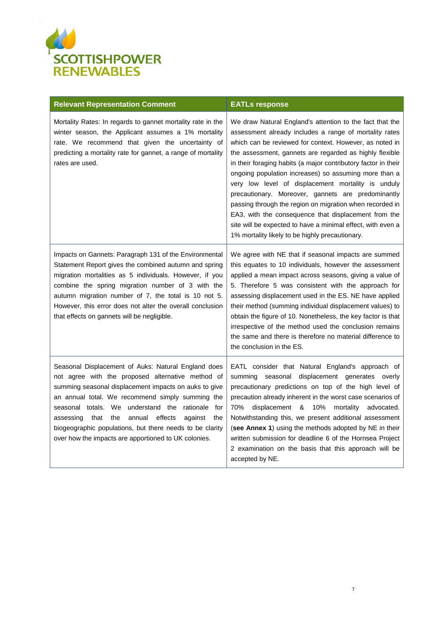

| <b>Relevant Representation Comment</b>                                                                                                                                                                                                                                                                                                                                                                                                                                 | <b>EATLs response</b>                                                                                                                                                                                                                                                                                                                                                                                                                                                                                                                                                                                                                                                                                                 |
|------------------------------------------------------------------------------------------------------------------------------------------------------------------------------------------------------------------------------------------------------------------------------------------------------------------------------------------------------------------------------------------------------------------------------------------------------------------------|-----------------------------------------------------------------------------------------------------------------------------------------------------------------------------------------------------------------------------------------------------------------------------------------------------------------------------------------------------------------------------------------------------------------------------------------------------------------------------------------------------------------------------------------------------------------------------------------------------------------------------------------------------------------------------------------------------------------------|
| Mortality Rates: In regards to gannet mortality rate in the<br>winter season, the Applicant assumes a 1% mortality<br>rate. We recommend that given the uncertainty of<br>predicting a mortality rate for gannet, a range of mortality<br>rates are used.                                                                                                                                                                                                              | We draw Natural England's attention to the fact that the<br>assessment already includes a range of mortality rates<br>which can be reviewed for context. However, as noted in<br>the assessment, gannets are regarded as highly flexible<br>in their foraging habits (a major contributory factor in their<br>ongoing population increases) so assuming more than a<br>very low level of displacement mortality is unduly<br>precautionary. Moreover, gannets are predominantly<br>passing through the region on migration when recorded in<br>EA3, with the consequence that displacement from the<br>site will be expected to have a minimal effect, with even a<br>1% mortality likely to be highly precautionary. |
| Impacts on Gannets: Paragraph 131 of the Environmental<br>Statement Report gives the combined autumn and spring<br>migration mortalities as 5 individuals. However, if you<br>combine the spring migration number of 3 with the<br>autumn migration number of 7, the total is 10 not 5.<br>However, this error does not alter the overall conclusion<br>that effects on gannets will be negligible.                                                                    | We agree with NE that if seasonal impacts are summed<br>this equates to 10 individuals, however the assessment<br>applied a mean impact across seasons, giving a value of<br>5. Therefore 5 was consistent with the approach for<br>assessing displacement used in the ES. NE have applied<br>their method (summing individual displacement values) to<br>obtain the figure of 10. Nonetheless, the key factor is that<br>irrespective of the method used the conclusion remains<br>the same and there is therefore no material difference to<br>the conclusion in the ES.                                                                                                                                            |
| Seasonal Displacement of Auks: Natural England does<br>not agree with the proposed alternative method of<br>summing seasonal displacement impacts on auks to give<br>an annual total. We recommend simply summing the<br>seasonal totals. We understand the<br>rationale<br>for<br>effects<br>that<br>the<br>annual<br>against<br>the<br>assessing<br>biogeographic populations, but there needs to be clarity<br>over how the impacts are apportioned to UK colonies. | EATL consider that Natural England's approach of<br>summing seasonal displacement generates overly<br>precautionary predictions on top of the high level of<br>precaution already inherent in the worst case scenarios of<br>70%<br>displacement & 10%<br>mortality<br>advocated.<br>Notwithstanding this, we present additional assessment<br>(see Annex 1) using the methods adopted by NE in their<br>written submission for deadline 6 of the Hornsea Project<br>2 examination on the basis that this approach will be<br>accepted by NE.                                                                                                                                                                         |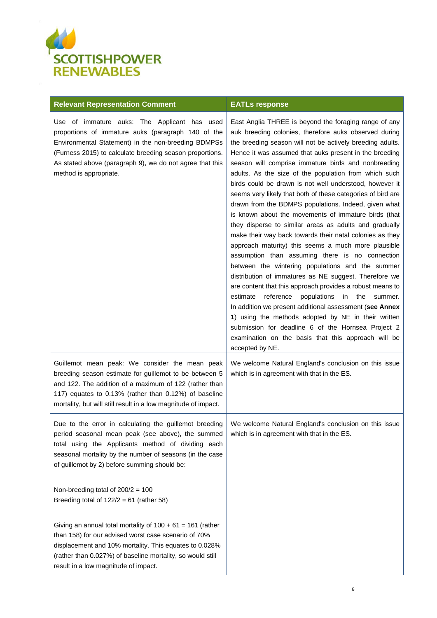

| <b>Relevant Representation Comment</b>                                                                                                                                                                                                                                                                      | <b>EATLs response</b>                                                                                                                                                                                                                                                                                                                                                                                                                                                                                                                                                                                                                                                                                                                                                                                                                                                                                                                                                                                                                                                                                                                                                                                                                                                                                                    |
|-------------------------------------------------------------------------------------------------------------------------------------------------------------------------------------------------------------------------------------------------------------------------------------------------------------|--------------------------------------------------------------------------------------------------------------------------------------------------------------------------------------------------------------------------------------------------------------------------------------------------------------------------------------------------------------------------------------------------------------------------------------------------------------------------------------------------------------------------------------------------------------------------------------------------------------------------------------------------------------------------------------------------------------------------------------------------------------------------------------------------------------------------------------------------------------------------------------------------------------------------------------------------------------------------------------------------------------------------------------------------------------------------------------------------------------------------------------------------------------------------------------------------------------------------------------------------------------------------------------------------------------------------|
| Use of immature auks: The Applicant has used<br>proportions of immature auks (paragraph 140 of the<br>Environmental Statement) in the non-breeding BDMPSs<br>(Furness 2015) to calculate breeding season proportions.<br>As stated above (paragraph 9), we do not agree that this<br>method is appropriate. | East Anglia THREE is beyond the foraging range of any<br>auk breeding colonies, therefore auks observed during<br>the breeding season will not be actively breeding adults.<br>Hence it was assumed that auks present in the breeding<br>season will comprise immature birds and nonbreeding<br>adults. As the size of the population from which such<br>birds could be drawn is not well understood, however it<br>seems very likely that both of these categories of bird are<br>drawn from the BDMPS populations. Indeed, given what<br>is known about the movements of immature birds (that<br>they disperse to similar areas as adults and gradually<br>make their way back towards their natal colonies as they<br>approach maturity) this seems a much more plausible<br>assumption than assuming there is no connection<br>between the wintering populations and the summer<br>distribution of immatures as NE suggest. Therefore we<br>are content that this approach provides a robust means to<br>estimate reference<br>populations<br>in<br>the<br>summer.<br>In addition we present additional assessment (see Annex<br>1) using the methods adopted by NE in their written<br>submission for deadline 6 of the Hornsea Project 2<br>examination on the basis that this approach will be<br>accepted by NE. |
| Guillemot mean peak: We consider the mean peak<br>breeding season estimate for guillemot to be between 5<br>and 122. The addition of a maximum of 122 (rather than<br>117) equates to 0.13% (rather than 0.12%) of baseline<br>mortality, but will still result in a low magnitude of impact.               | We welcome Natural England's conclusion on this issue<br>which is in agreement with that in the ES.                                                                                                                                                                                                                                                                                                                                                                                                                                                                                                                                                                                                                                                                                                                                                                                                                                                                                                                                                                                                                                                                                                                                                                                                                      |
| Due to the error in calculating the guillemot breeding<br>period seasonal mean peak (see above), the summed<br>total using the Applicants method of dividing each<br>seasonal mortality by the number of seasons (in the case<br>of guillemot by 2) before summing should be:                               | We welcome Natural England's conclusion on this issue<br>which is in agreement with that in the ES.                                                                                                                                                                                                                                                                                                                                                                                                                                                                                                                                                                                                                                                                                                                                                                                                                                                                                                                                                                                                                                                                                                                                                                                                                      |
| Non-breeding total of $200/2 = 100$<br>Breeding total of $122/2 = 61$ (rather 58)                                                                                                                                                                                                                           |                                                                                                                                                                                                                                                                                                                                                                                                                                                                                                                                                                                                                                                                                                                                                                                                                                                                                                                                                                                                                                                                                                                                                                                                                                                                                                                          |
| Giving an annual total mortality of $100 + 61 = 161$ (rather<br>than 158) for our advised worst case scenario of 70%<br>displacement and 10% mortality. This equates to 0.028%<br>(rather than 0.027%) of baseline mortality, so would still<br>result in a low magnitude of impact.                        |                                                                                                                                                                                                                                                                                                                                                                                                                                                                                                                                                                                                                                                                                                                                                                                                                                                                                                                                                                                                                                                                                                                                                                                                                                                                                                                          |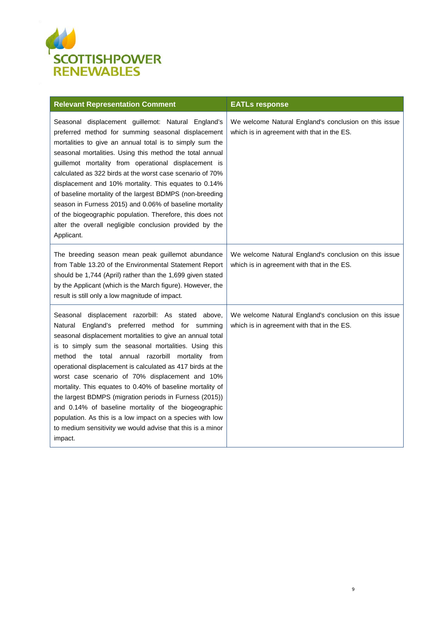

| <b>Relevant Representation Comment</b>                                                                                                                                                                                                                                                                                                                                                                                                                                                                                                                                                                                                                                                                               | <b>EATLs response</b>                                                                               |
|----------------------------------------------------------------------------------------------------------------------------------------------------------------------------------------------------------------------------------------------------------------------------------------------------------------------------------------------------------------------------------------------------------------------------------------------------------------------------------------------------------------------------------------------------------------------------------------------------------------------------------------------------------------------------------------------------------------------|-----------------------------------------------------------------------------------------------------|
| Seasonal displacement guillemot: Natural England's<br>preferred method for summing seasonal displacement<br>mortalities to give an annual total is to simply sum the<br>seasonal mortalities. Using this method the total annual<br>guillemot mortality from operational displacement is<br>calculated as 322 birds at the worst case scenario of 70%<br>displacement and 10% mortality. This equates to 0.14%<br>of baseline mortality of the largest BDMPS (non-breeding<br>season in Furness 2015) and 0.06% of baseline mortality<br>of the biogeographic population. Therefore, this does not<br>alter the overall negligible conclusion provided by the<br>Applicant.                                          | We welcome Natural England's conclusion on this issue<br>which is in agreement with that in the ES. |
| The breeding season mean peak guillemot abundance<br>from Table 13.20 of the Environmental Statement Report<br>should be 1,744 (April) rather than the 1,699 given stated<br>by the Applicant (which is the March figure). However, the<br>result is still only a low magnitude of impact.                                                                                                                                                                                                                                                                                                                                                                                                                           | We welcome Natural England's conclusion on this issue<br>which is in agreement with that in the ES. |
| Seasonal displacement razorbill: As stated above,<br>Natural England's preferred method for summing<br>seasonal displacement mortalities to give an annual total<br>is to simply sum the seasonal mortalities. Using this<br>method the total annual razorbill mortality from<br>operational displacement is calculated as 417 birds at the<br>worst case scenario of 70% displacement and 10%<br>mortality. This equates to 0.40% of baseline mortality of<br>the largest BDMPS (migration periods in Furness (2015))<br>and 0.14% of baseline mortality of the biogeographic<br>population. As this is a low impact on a species with low<br>to medium sensitivity we would advise that this is a minor<br>impact. | We welcome Natural England's conclusion on this issue<br>which is in agreement with that in the ES. |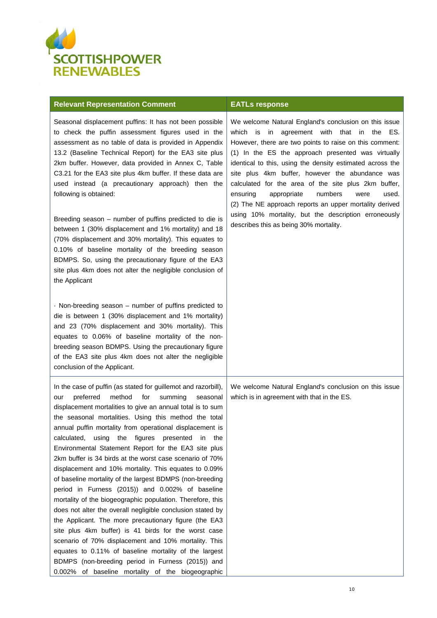

| <b>Relevant Representation Comment</b>                                                                                                                                                                                                                                                                                                                                                                                                                                                                                                                                                                                                                                                                                                                                                                                                                                                                                                                                                                                                                                                                                                                  | <b>EATLs response</b>                                                                                                                                                                                                                                                                                                                                                                                                                                                                                                                                                                                           |
|---------------------------------------------------------------------------------------------------------------------------------------------------------------------------------------------------------------------------------------------------------------------------------------------------------------------------------------------------------------------------------------------------------------------------------------------------------------------------------------------------------------------------------------------------------------------------------------------------------------------------------------------------------------------------------------------------------------------------------------------------------------------------------------------------------------------------------------------------------------------------------------------------------------------------------------------------------------------------------------------------------------------------------------------------------------------------------------------------------------------------------------------------------|-----------------------------------------------------------------------------------------------------------------------------------------------------------------------------------------------------------------------------------------------------------------------------------------------------------------------------------------------------------------------------------------------------------------------------------------------------------------------------------------------------------------------------------------------------------------------------------------------------------------|
| Seasonal displacement puffins: It has not been possible<br>to check the puffin assessment figures used in the<br>assessment as no table of data is provided in Appendix<br>13.2 (Baseline Technical Report) for the EA3 site plus<br>2km buffer. However, data provided in Annex C, Table<br>C3.21 for the EA3 site plus 4km buffer. If these data are<br>used instead (a precautionary approach) then the<br>following is obtained:<br>Breeding season $-$ number of puffins predicted to die is<br>between 1 (30% displacement and 1% mortality) and 18<br>(70% displacement and 30% mortality). This equates to<br>0.10% of baseline mortality of the breeding season<br>BDMPS. So, using the precautionary figure of the EA3<br>site plus 4km does not alter the negligible conclusion of<br>the Applicant                                                                                                                                                                                                                                                                                                                                          | We welcome Natural England's conclusion on this issue<br>which is in agreement with that in the ES.<br>However, there are two points to raise on this comment:<br>(1) In the ES the approach presented was virtually<br>identical to this, using the density estimated across the<br>site plus 4km buffer, however the abundance was<br>calculated for the area of the site plus 2km buffer,<br>ensuring<br>numbers<br>appropriate<br>were<br>used.<br>(2) The NE approach reports an upper mortality derived<br>using 10% mortality, but the description erroneously<br>describes this as being 30% mortality. |
| · Non-breeding season – number of puffins predicted to<br>die is between 1 (30% displacement and 1% mortality)<br>and 23 (70% displacement and 30% mortality). This<br>equates to 0.06% of baseline mortality of the non-<br>breeding season BDMPS. Using the precautionary figure<br>of the EA3 site plus 4km does not alter the negligible<br>conclusion of the Applicant.                                                                                                                                                                                                                                                                                                                                                                                                                                                                                                                                                                                                                                                                                                                                                                            |                                                                                                                                                                                                                                                                                                                                                                                                                                                                                                                                                                                                                 |
| In the case of puffin (as stated for guillemot and razorbill),<br>preferred<br>method<br>for<br>summing<br>seasonal<br>our<br>displacement mortalities to give an annual total is to sum<br>the seasonal mortalities. Using this method the total<br>annual puffin mortality from operational displacement is<br>the figures presented<br>calculated,<br>using<br><b>in</b><br>the<br>Environmental Statement Report for the EA3 site plus<br>2km buffer is 34 birds at the worst case scenario of 70%<br>displacement and 10% mortality. This equates to 0.09%<br>of baseline mortality of the largest BDMPS (non-breeding<br>period in Furness (2015)) and 0.002% of baseline<br>mortality of the biogeographic population. Therefore, this<br>does not alter the overall negligible conclusion stated by<br>the Applicant. The more precautionary figure (the EA3<br>site plus 4km buffer) is 41 birds for the worst case<br>scenario of 70% displacement and 10% mortality. This<br>equates to 0.11% of baseline mortality of the largest<br>BDMPS (non-breeding period in Furness (2015)) and<br>0.002% of baseline mortality of the biogeographic | We welcome Natural England's conclusion on this issue<br>which is in agreement with that in the ES.                                                                                                                                                                                                                                                                                                                                                                                                                                                                                                             |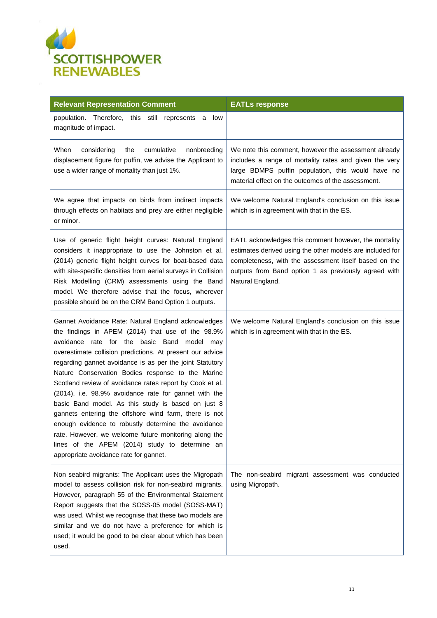

| <b>Relevant Representation Comment</b>                                                                                                                                                                                                                                                                                                                                                                                                                                                                                                                                                                                                                                                                                                                                                | <b>EATLs response</b>                                                                                                                                                                                                                                   |
|---------------------------------------------------------------------------------------------------------------------------------------------------------------------------------------------------------------------------------------------------------------------------------------------------------------------------------------------------------------------------------------------------------------------------------------------------------------------------------------------------------------------------------------------------------------------------------------------------------------------------------------------------------------------------------------------------------------------------------------------------------------------------------------|---------------------------------------------------------------------------------------------------------------------------------------------------------------------------------------------------------------------------------------------------------|
| population. Therefore, this still represents a<br>low<br>magnitude of impact.                                                                                                                                                                                                                                                                                                                                                                                                                                                                                                                                                                                                                                                                                                         |                                                                                                                                                                                                                                                         |
| When<br>considering<br>cumulative<br>nonbreeding<br>the<br>displacement figure for puffin, we advise the Applicant to<br>use a wider range of mortality than just 1%.                                                                                                                                                                                                                                                                                                                                                                                                                                                                                                                                                                                                                 | We note this comment, however the assessment already<br>includes a range of mortality rates and given the very<br>large BDMPS puffin population, this would have no<br>material effect on the outcomes of the assessment.                               |
| We agree that impacts on birds from indirect impacts<br>through effects on habitats and prey are either negligible<br>or minor.                                                                                                                                                                                                                                                                                                                                                                                                                                                                                                                                                                                                                                                       | We welcome Natural England's conclusion on this issue<br>which is in agreement with that in the ES.                                                                                                                                                     |
| Use of generic flight height curves: Natural England<br>considers it inappropriate to use the Johnston et al.<br>(2014) generic flight height curves for boat-based data<br>with site-specific densities from aerial surveys in Collision<br>Risk Modelling (CRM) assessments using the Band<br>model. We therefore advise that the focus, wherever<br>possible should be on the CRM Band Option 1 outputs.                                                                                                                                                                                                                                                                                                                                                                           | EATL acknowledges this comment however, the mortality<br>estimates derived using the other models are included for<br>completeness, with the assessment itself based on the<br>outputs from Band option 1 as previously agreed with<br>Natural England. |
| Gannet Avoidance Rate: Natural England acknowledges<br>the findings in APEM (2014) that use of the 98.9%<br>avoidance rate for the basic Band model may<br>overestimate collision predictions. At present our advice<br>regarding gannet avoidance is as per the joint Statutory<br>Nature Conservation Bodies response to the Marine<br>Scotland review of avoidance rates report by Cook et al.<br>(2014), i.e. 98.9% avoidance rate for gannet with the<br>basic Band model. As this study is based on just 8<br>gannets entering the offshore wind farm, there is not<br>enough evidence to robustly determine the avoidance<br>rate. However, we welcome future monitoring along the<br>lines of the APEM (2014) study to determine an<br>appropriate avoidance rate for gannet. | We welcome Natural England's conclusion on this issue<br>which is in agreement with that in the ES.                                                                                                                                                     |
| Non seabird migrants: The Applicant uses the Migropath<br>model to assess collision risk for non-seabird migrants.<br>However, paragraph 55 of the Environmental Statement<br>Report suggests that the SOSS-05 model (SOSS-MAT)<br>was used. Whilst we recognise that these two models are<br>similar and we do not have a preference for which is<br>used; it would be good to be clear about which has been<br>used.                                                                                                                                                                                                                                                                                                                                                                | The non-seabird migrant assessment was conducted<br>using Migropath.                                                                                                                                                                                    |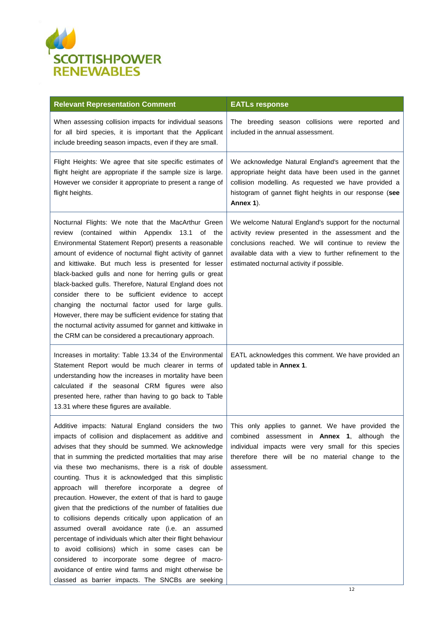

| <b>Relevant Representation Comment</b>                                                                                                                                                                                                                                                                                                                                                                                                                                                                                                                                                                                                                                                                                                                                                                                                                                                                                         | <b>EATLs response</b>                                                                                                                                                                                                                                                        |
|--------------------------------------------------------------------------------------------------------------------------------------------------------------------------------------------------------------------------------------------------------------------------------------------------------------------------------------------------------------------------------------------------------------------------------------------------------------------------------------------------------------------------------------------------------------------------------------------------------------------------------------------------------------------------------------------------------------------------------------------------------------------------------------------------------------------------------------------------------------------------------------------------------------------------------|------------------------------------------------------------------------------------------------------------------------------------------------------------------------------------------------------------------------------------------------------------------------------|
| When assessing collision impacts for individual seasons<br>for all bird species, it is important that the Applicant<br>include breeding season impacts, even if they are small.                                                                                                                                                                                                                                                                                                                                                                                                                                                                                                                                                                                                                                                                                                                                                | The breeding season collisions were reported and<br>included in the annual assessment.                                                                                                                                                                                       |
| Flight Heights: We agree that site specific estimates of<br>flight height are appropriate if the sample size is large.<br>However we consider it appropriate to present a range of<br>flight heights.                                                                                                                                                                                                                                                                                                                                                                                                                                                                                                                                                                                                                                                                                                                          | We acknowledge Natural England's agreement that the<br>appropriate height data have been used in the gannet<br>collision modelling. As requested we have provided a<br>histogram of gannet flight heights in our response (see<br>Annex 1).                                  |
| Nocturnal Flights: We note that the MacArthur Green<br>(contained within<br>Appendix 13.1 of the<br>review<br>Environmental Statement Report) presents a reasonable<br>amount of evidence of nocturnal flight activity of gannet<br>and kittiwake. But much less is presented for lesser<br>black-backed gulls and none for herring gulls or great<br>black-backed gulls. Therefore, Natural England does not<br>consider there to be sufficient evidence to accept<br>changing the nocturnal factor used for large gulls.<br>However, there may be sufficient evidence for stating that<br>the nocturnal activity assumed for gannet and kittiwake in<br>the CRM can be considered a precautionary approach.                                                                                                                                                                                                                  | We welcome Natural England's support for the nocturnal<br>activity review presented in the assessment and the<br>conclusions reached. We will continue to review the<br>available data with a view to further refinement to the<br>estimated nocturnal activity if possible. |
| Increases in mortality: Table 13.34 of the Environmental<br>Statement Report would be much clearer in terms of<br>understanding how the increases in mortality have been<br>calculated if the seasonal CRM figures were also<br>presented here, rather than having to go back to Table<br>13.31 where these figures are available.                                                                                                                                                                                                                                                                                                                                                                                                                                                                                                                                                                                             | EATL acknowledges this comment. We have provided an<br>updated table in Annex 1.                                                                                                                                                                                             |
| Additive impacts: Natural England considers the two<br>impacts of collision and displacement as additive and<br>advises that they should be summed. We acknowledge<br>that in summing the predicted mortalities that may arise<br>via these two mechanisms, there is a risk of double<br>counting. Thus it is acknowledged that this simplistic<br>approach will therefore incorporate a degree of<br>precaution. However, the extent of that is hard to gauge<br>given that the predictions of the number of fatalities due<br>to collisions depends critically upon application of an<br>assumed overall avoidance rate (i.e. an assumed<br>percentage of individuals which alter their flight behaviour<br>to avoid collisions) which in some cases can be<br>considered to incorporate some degree of macro-<br>avoidance of entire wind farms and might otherwise be<br>classed as barrier impacts. The SNCBs are seeking | This only applies to gannet. We have provided the<br>combined assessment in <b>Annex 1</b> , although the<br>individual impacts were very small for this species<br>therefore there will be no material change to the<br>assessment.                                         |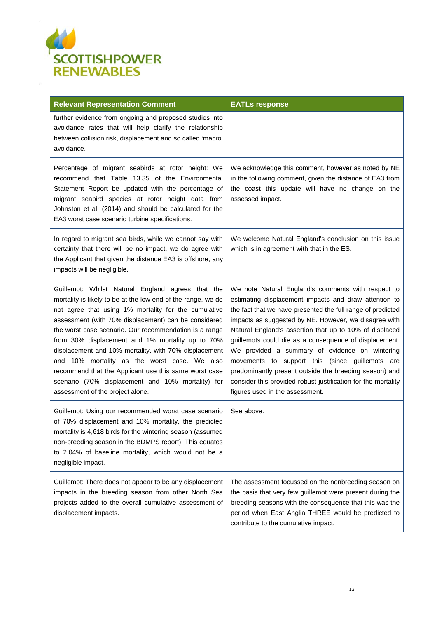

| <b>Relevant Representation Comment</b>                                                                                                                                                                                                                                                                                                                                                                                                                                                                                                                                                                     | <b>EATLs response</b>                                                                                                                                                                                                                                                                                                                                                                                                                                                                                                                                                                                                       |
|------------------------------------------------------------------------------------------------------------------------------------------------------------------------------------------------------------------------------------------------------------------------------------------------------------------------------------------------------------------------------------------------------------------------------------------------------------------------------------------------------------------------------------------------------------------------------------------------------------|-----------------------------------------------------------------------------------------------------------------------------------------------------------------------------------------------------------------------------------------------------------------------------------------------------------------------------------------------------------------------------------------------------------------------------------------------------------------------------------------------------------------------------------------------------------------------------------------------------------------------------|
| further evidence from ongoing and proposed studies into<br>avoidance rates that will help clarify the relationship<br>between collision risk, displacement and so called 'macro'<br>avoidance.                                                                                                                                                                                                                                                                                                                                                                                                             |                                                                                                                                                                                                                                                                                                                                                                                                                                                                                                                                                                                                                             |
| Percentage of migrant seabirds at rotor height: We<br>recommend that Table 13.35 of the Environmental<br>Statement Report be updated with the percentage of<br>migrant seabird species at rotor height data from<br>Johnston et al. (2014) and should be calculated for the<br>EA3 worst case scenario turbine specifications.                                                                                                                                                                                                                                                                             | We acknowledge this comment, however as noted by NE<br>in the following comment, given the distance of EA3 from<br>the coast this update will have no change on the<br>assessed impact.                                                                                                                                                                                                                                                                                                                                                                                                                                     |
| In regard to migrant sea birds, while we cannot say with<br>certainty that there will be no impact, we do agree with<br>the Applicant that given the distance EA3 is offshore, any<br>impacts will be negligible.                                                                                                                                                                                                                                                                                                                                                                                          | We welcome Natural England's conclusion on this issue<br>which is in agreement with that in the ES.                                                                                                                                                                                                                                                                                                                                                                                                                                                                                                                         |
| Guillemot: Whilst Natural England agrees that the<br>mortality is likely to be at the low end of the range, we do<br>not agree that using 1% mortality for the cumulative<br>assessment (with 70% displacement) can be considered<br>the worst case scenario. Our recommendation is a range<br>from 30% displacement and 1% mortality up to 70%<br>displacement and 10% mortality, with 70% displacement<br>and 10% mortality as the worst case. We also<br>recommend that the Applicant use this same worst case<br>scenario (70% displacement and 10% mortality) for<br>assessment of the project alone. | We note Natural England's comments with respect to<br>estimating displacement impacts and draw attention to<br>the fact that we have presented the full range of predicted<br>impacts as suggested by NE. However, we disagree with<br>Natural England's assertion that up to 10% of displaced<br>guillemots could die as a consequence of displacement.<br>We provided a summary of evidence on wintering<br>movements to support this (since guillemots are<br>predominantly present outside the breeding season) and<br>consider this provided robust justification for the mortality<br>figures used in the assessment. |
| Guillemot: Using our recommended worst case scenario<br>of 70% displacement and 10% mortality, the predicted<br>mortality is 4,618 birds for the wintering season (assumed<br>non-breeding season in the BDMPS report). This equates<br>to 2.04% of baseline mortality, which would not be a<br>negligible impact.                                                                                                                                                                                                                                                                                         | See above.                                                                                                                                                                                                                                                                                                                                                                                                                                                                                                                                                                                                                  |
| Guillemot: There does not appear to be any displacement<br>impacts in the breeding season from other North Sea<br>projects added to the overall cumulative assessment of<br>displacement impacts.                                                                                                                                                                                                                                                                                                                                                                                                          | The assessment focussed on the nonbreeding season on<br>the basis that very few guillemot were present during the<br>breeding seasons with the consequence that this was the<br>period when East Anglia THREE would be predicted to<br>contribute to the cumulative impact.                                                                                                                                                                                                                                                                                                                                                 |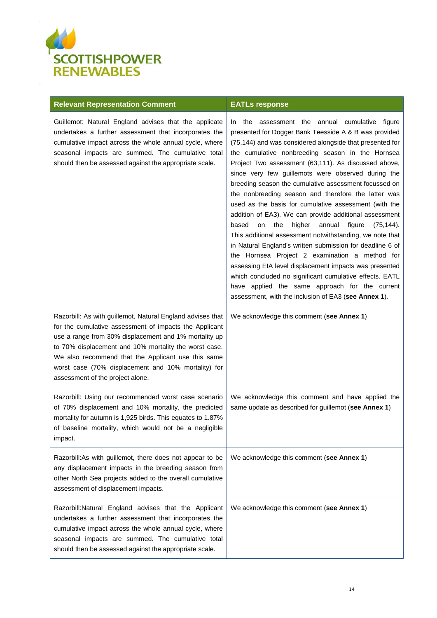

| <b>Relevant Representation Comment</b>                                                                                                                                                                                                                                                                                                                                                  | <b>EATLs response</b>                                                                                                                                                                                                                                                                                                                                                                                                                                                                                                                                                                                                                                                                                                                                                                                                                                                                                                                                                                                                                             |
|-----------------------------------------------------------------------------------------------------------------------------------------------------------------------------------------------------------------------------------------------------------------------------------------------------------------------------------------------------------------------------------------|---------------------------------------------------------------------------------------------------------------------------------------------------------------------------------------------------------------------------------------------------------------------------------------------------------------------------------------------------------------------------------------------------------------------------------------------------------------------------------------------------------------------------------------------------------------------------------------------------------------------------------------------------------------------------------------------------------------------------------------------------------------------------------------------------------------------------------------------------------------------------------------------------------------------------------------------------------------------------------------------------------------------------------------------------|
| Guillemot: Natural England advises that the applicate<br>undertakes a further assessment that incorporates the<br>cumulative impact across the whole annual cycle, where<br>seasonal impacts are summed. The cumulative total<br>should then be assessed against the appropriate scale.                                                                                                 | the assessment the annual cumulative figure<br>In<br>presented for Dogger Bank Teesside A & B was provided<br>(75,144) and was considered alongside that presented for<br>the cumulative nonbreeding season in the Hornsea<br>Project Two assessment (63,111). As discussed above,<br>since very few guillemots were observed during the<br>breeding season the cumulative assessment focussed on<br>the nonbreeding season and therefore the latter was<br>used as the basis for cumulative assessment (with the<br>addition of EA3). We can provide additional assessment<br>based<br>higher annual figure<br>on the<br>$(75, 144)$ .<br>This additional assessment notwithstanding, we note that<br>in Natural England's written submission for deadline 6 of<br>the Hornsea Project 2 examination a method for<br>assessing EIA level displacement impacts was presented<br>which concluded no significant cumulative effects. EATL<br>have applied the same approach for the current<br>assessment, with the inclusion of EA3 (see Annex 1). |
| Razorbill: As with guillemot, Natural England advises that<br>for the cumulative assessment of impacts the Applicant<br>use a range from 30% displacement and 1% mortality up<br>to 70% displacement and 10% mortality the worst case.<br>We also recommend that the Applicant use this same<br>worst case (70% displacement and 10% mortality) for<br>assessment of the project alone. | We acknowledge this comment (see Annex 1)                                                                                                                                                                                                                                                                                                                                                                                                                                                                                                                                                                                                                                                                                                                                                                                                                                                                                                                                                                                                         |
| Razorbill: Using our recommended worst case scenario<br>of 70% displacement and 10% mortality, the predicted<br>mortality for autumn is 1,925 birds. This equates to 1.87%<br>of baseline mortality, which would not be a negligible<br>impact.                                                                                                                                         | We acknowledge this comment and have applied the<br>same update as described for guillemot (see Annex 1)                                                                                                                                                                                                                                                                                                                                                                                                                                                                                                                                                                                                                                                                                                                                                                                                                                                                                                                                          |
| Razorbill:As with guillemot, there does not appear to be<br>any displacement impacts in the breeding season from<br>other North Sea projects added to the overall cumulative<br>assessment of displacement impacts.                                                                                                                                                                     | We acknowledge this comment (see Annex 1)                                                                                                                                                                                                                                                                                                                                                                                                                                                                                                                                                                                                                                                                                                                                                                                                                                                                                                                                                                                                         |
| Razorbill: Natural England advises that the Applicant<br>undertakes a further assessment that incorporates the<br>cumulative impact across the whole annual cycle, where<br>seasonal impacts are summed. The cumulative total<br>should then be assessed against the appropriate scale.                                                                                                 | We acknowledge this comment (see Annex 1)                                                                                                                                                                                                                                                                                                                                                                                                                                                                                                                                                                                                                                                                                                                                                                                                                                                                                                                                                                                                         |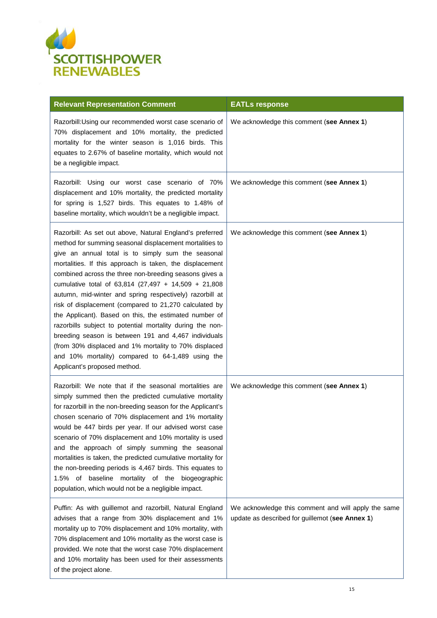

| <b>Relevant Representation Comment</b>                                                                                                                                                                                                                                                                                                                                                                                                                                                                                                                                                                                                                                                                                                                                                                     | <b>EATLs response</b>                                                                                  |
|------------------------------------------------------------------------------------------------------------------------------------------------------------------------------------------------------------------------------------------------------------------------------------------------------------------------------------------------------------------------------------------------------------------------------------------------------------------------------------------------------------------------------------------------------------------------------------------------------------------------------------------------------------------------------------------------------------------------------------------------------------------------------------------------------------|--------------------------------------------------------------------------------------------------------|
| Razorbill: Using our recommended worst case scenario of<br>70% displacement and 10% mortality, the predicted<br>mortality for the winter season is 1,016 birds. This<br>equates to 2.67% of baseline mortality, which would not<br>be a negligible impact.                                                                                                                                                                                                                                                                                                                                                                                                                                                                                                                                                 | We acknowledge this comment (see Annex 1)                                                              |
| Razorbill: Using our worst case scenario of 70%<br>displacement and 10% mortality, the predicted mortality<br>for spring is 1,527 birds. This equates to 1.48% of<br>baseline mortality, which wouldn't be a negligible impact.                                                                                                                                                                                                                                                                                                                                                                                                                                                                                                                                                                            | We acknowledge this comment (see Annex 1)                                                              |
| Razorbill: As set out above, Natural England's preferred<br>method for summing seasonal displacement mortalities to<br>give an annual total is to simply sum the seasonal<br>mortalities. If this approach is taken, the displacement<br>combined across the three non-breeding seasons gives a<br>cumulative total of 63,814 (27,497 + 14,509 + 21,808<br>autumn, mid-winter and spring respectively) razorbill at<br>risk of displacement (compared to 21,270 calculated by<br>the Applicant). Based on this, the estimated number of<br>razorbills subject to potential mortality during the non-<br>breeding season is between 191 and 4,467 individuals<br>(from 30% displaced and 1% mortality to 70% displaced<br>and 10% mortality) compared to 64-1,489 using the<br>Applicant's proposed method. | We acknowledge this comment (see Annex 1)                                                              |
| Razorbill: We note that if the seasonal mortalities are<br>simply summed then the predicted cumulative mortality<br>for razorbill in the non-breeding season for the Applicant's<br>chosen scenario of 70% displacement and 1% mortality<br>would be 447 birds per year. If our advised worst case<br>scenario of 70% displacement and 10% mortality is used<br>and the approach of simply summing the seasonal<br>mortalities is taken, the predicted cumulative mortality for<br>the non-breeding periods is 4,467 birds. This equates to<br>1.5% of baseline mortality of the biogeographic<br>population, which would not be a negligible impact.                                                                                                                                                      | We acknowledge this comment (see Annex 1)                                                              |
| Puffin: As with guillemot and razorbill, Natural England<br>advises that a range from 30% displacement and 1%<br>mortality up to 70% displacement and 10% mortality, with<br>70% displacement and 10% mortality as the worst case is<br>provided. We note that the worst case 70% displacement<br>and 10% mortality has been used for their assessments<br>of the project alone.                                                                                                                                                                                                                                                                                                                                                                                                                           | We acknowledge this comment and will apply the same<br>update as described for guillemot (see Annex 1) |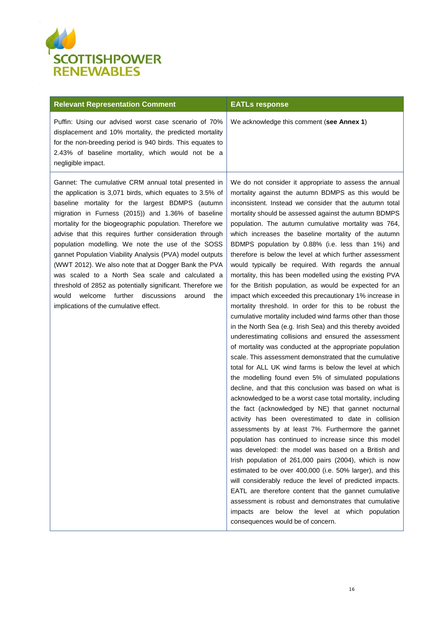

| <b>Relevant Representation Comment</b>                                                                                                                                                                                                                                                                                                                                                                                                                                                                                                                                                                                                                                                                                                                | <b>EATLs response</b>                                                                                                                                                                                                                                                                                                                                                                                                                                                                                                                                                                                                                                                                                                                                                                                                                                                                                                                                                                                                                                                                                                                                                                                                                                                                                                                                                                                                                                                                                                                                                                                                                                                                                                                                                                                                                                                                                                                                                                                          |
|-------------------------------------------------------------------------------------------------------------------------------------------------------------------------------------------------------------------------------------------------------------------------------------------------------------------------------------------------------------------------------------------------------------------------------------------------------------------------------------------------------------------------------------------------------------------------------------------------------------------------------------------------------------------------------------------------------------------------------------------------------|----------------------------------------------------------------------------------------------------------------------------------------------------------------------------------------------------------------------------------------------------------------------------------------------------------------------------------------------------------------------------------------------------------------------------------------------------------------------------------------------------------------------------------------------------------------------------------------------------------------------------------------------------------------------------------------------------------------------------------------------------------------------------------------------------------------------------------------------------------------------------------------------------------------------------------------------------------------------------------------------------------------------------------------------------------------------------------------------------------------------------------------------------------------------------------------------------------------------------------------------------------------------------------------------------------------------------------------------------------------------------------------------------------------------------------------------------------------------------------------------------------------------------------------------------------------------------------------------------------------------------------------------------------------------------------------------------------------------------------------------------------------------------------------------------------------------------------------------------------------------------------------------------------------------------------------------------------------------------------------------------------------|
| Puffin: Using our advised worst case scenario of 70%<br>displacement and 10% mortality, the predicted mortality<br>for the non-breeding period is 940 birds. This equates to<br>2.43% of baseline mortality, which would not be a<br>negligible impact.                                                                                                                                                                                                                                                                                                                                                                                                                                                                                               | We acknowledge this comment (see Annex 1)                                                                                                                                                                                                                                                                                                                                                                                                                                                                                                                                                                                                                                                                                                                                                                                                                                                                                                                                                                                                                                                                                                                                                                                                                                                                                                                                                                                                                                                                                                                                                                                                                                                                                                                                                                                                                                                                                                                                                                      |
| Gannet: The cumulative CRM annual total presented in<br>the application is 3,071 birds, which equates to 3.5% of<br>baseline mortality for the largest BDMPS (autumn<br>migration in Furness (2015)) and 1.36% of baseline<br>mortality for the biogeographic population. Therefore we<br>advise that this requires further consideration through<br>population modelling. We note the use of the SOSS<br>gannet Population Viability Analysis (PVA) model outputs<br>(WWT 2012). We also note that at Dogger Bank the PVA<br>was scaled to a North Sea scale and calculated a<br>threshold of 2852 as potentially significant. Therefore we<br>discussions<br>welcome<br>further<br>would<br>around<br>the<br>implications of the cumulative effect. | We do not consider it appropriate to assess the annual<br>mortality against the autumn BDMPS as this would be<br>inconsistent. Instead we consider that the autumn total<br>mortality should be assessed against the autumn BDMPS<br>population. The autumn cumulative mortality was 764,<br>which increases the baseline mortality of the autumn<br>BDMPS population by 0.88% (i.e. less than 1%) and<br>therefore is below the level at which further assessment<br>would typically be required. With regards the annual<br>mortality, this has been modelled using the existing PVA<br>for the British population, as would be expected for an<br>impact which exceeded this precautionary 1% increase in<br>mortality threshold. In order for this to be robust the<br>cumulative mortality included wind farms other than those<br>in the North Sea (e.g. Irish Sea) and this thereby avoided<br>underestimating collisions and ensured the assessment<br>of mortality was conducted at the appropriate population<br>scale. This assessment demonstrated that the cumulative<br>total for ALL UK wind farms is below the level at which<br>the modelling found even 5% of simulated populations<br>decline, and that this conclusion was based on what is<br>acknowledged to be a worst case total mortality, including<br>the fact (acknowledged by NE) that gannet nocturnal<br>activity has been overestimated to date in collision<br>assessments by at least 7%. Furthermore the gannet<br>population has continued to increase since this model<br>was developed: the model was based on a British and<br>Irish population of 261,000 pairs (2004), which is now<br>estimated to be over 400,000 (i.e. 50% larger), and this<br>will considerably reduce the level of predicted impacts.<br>EATL are therefore content that the gannet cumulative<br>assessment is robust and demonstrates that cumulative<br>impacts are below the level at which population<br>consequences would be of concern. |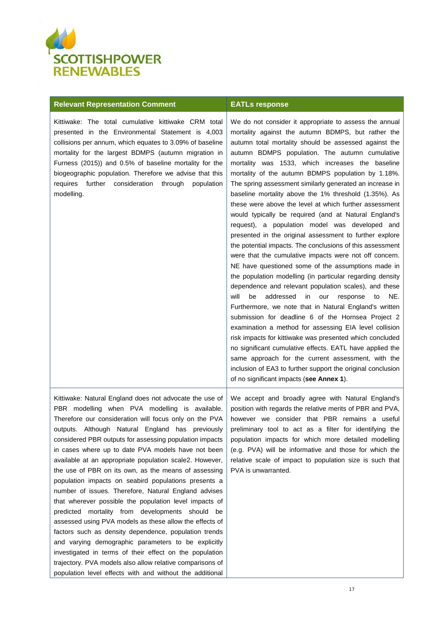

### **Relevant Representation Comment EATLs response**

Kittiwake: The total cumulative kittiwake CRM total presented in the Environmental Statement is 4,003 collisions per annum, which equates to 3.09% of baseline mortality for the largest BDMPS (autumn migration in Furness (2015)) and 0.5% of baseline mortality for the biogeographic population. Therefore we advise that this requires further consideration through population modelling.

We do not consider it appropriate to assess the annual mortality against the autumn BDMPS, but rather the autumn total mortality should be assessed against the autumn BDMPS population. The autumn cumulative mortality was 1533, which increases the baseline mortality of the autumn BDMPS population by 1.18%. The spring assessment similarly generated an increase in baseline mortality above the 1% threshold (1.35%). As these were above the level at which further assessment would typically be required (and at Natural England's request), a population model was developed and presented in the original assessment to further explore the potential impacts. The conclusions of this assessment were that the cumulative impacts were not off concern. NE have questioned some of the assumptions made in the population modelling (in particular regarding density dependence and relevant population scales), and these will be addressed in our response to NE. Furthermore, we note that in Natural England's written submission for deadline 6 of the Hornsea Project 2 examination a method for assessing EIA level collision risk impacts for kittiwake was presented which concluded no significant cumulative effects. EATL have applied the same approach for the current assessment, with the inclusion of EA3 to further support the original conclusion of no significant impacts (**see Annex 1**).

Kittiwake: Natural England does not advocate the use of PBR modelling when PVA modelling is available. Therefore our consideration will focus only on the PVA outputs. Although Natural England has previously considered PBR outputs for assessing population impacts in cases where up to date PVA models have not been available at an appropriate population scale2. However, the use of PBR on its own, as the means of assessing population impacts on seabird populations presents a number of issues. Therefore, Natural England advises that wherever possible the population level impacts of predicted mortality from developments should be assessed using PVA models as these allow the effects of factors such as density dependence, population trends and varying demographic parameters to be explicitly investigated in terms of their effect on the population trajectory. PVA models also allow relative comparisons of population level effects with and without the additional We accept and broadly agree with Natural England's position with regards the relative merits of PBR and PVA, however we consider that PBR remains a useful preliminary tool to act as a filter for identifying the population impacts for which more detailed modelling (e.g. PVA) will be informative and those for which the relative scale of impact to population size is such that PVA is unwarranted.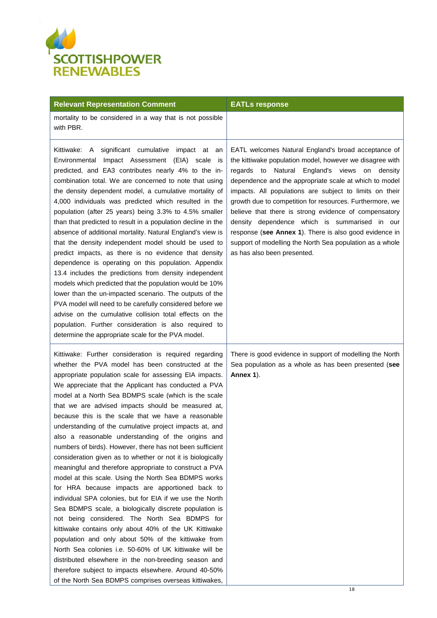

| <b>Relevant Representation Comment</b>                                                                                                                                                                                                                                                                                                                                                                                                                                                                                                                                                                                                                                                                                                                                                                                                                                                                                                                                                                                                                                                                                                                                                                                                                                                                                                            | <b>EATLs response</b>                                                                                                                                                                                                                                                                                                                                                                                                                                                                                                                                                                                            |
|---------------------------------------------------------------------------------------------------------------------------------------------------------------------------------------------------------------------------------------------------------------------------------------------------------------------------------------------------------------------------------------------------------------------------------------------------------------------------------------------------------------------------------------------------------------------------------------------------------------------------------------------------------------------------------------------------------------------------------------------------------------------------------------------------------------------------------------------------------------------------------------------------------------------------------------------------------------------------------------------------------------------------------------------------------------------------------------------------------------------------------------------------------------------------------------------------------------------------------------------------------------------------------------------------------------------------------------------------|------------------------------------------------------------------------------------------------------------------------------------------------------------------------------------------------------------------------------------------------------------------------------------------------------------------------------------------------------------------------------------------------------------------------------------------------------------------------------------------------------------------------------------------------------------------------------------------------------------------|
| mortality to be considered in a way that is not possible<br>with PBR.                                                                                                                                                                                                                                                                                                                                                                                                                                                                                                                                                                                                                                                                                                                                                                                                                                                                                                                                                                                                                                                                                                                                                                                                                                                                             |                                                                                                                                                                                                                                                                                                                                                                                                                                                                                                                                                                                                                  |
| Kittiwake: A significant cumulative<br>impact at<br>an<br>Environmental<br>Impact Assessment<br>(EIA) scale<br>IS<br>predicted, and EA3 contributes nearly 4% to the in-<br>combination total. We are concerned to note that using<br>the density dependent model, a cumulative mortality of<br>4,000 individuals was predicted which resulted in the<br>population (after 25 years) being 3.3% to 4.5% smaller<br>than that predicted to result in a population decline in the<br>absence of additional mortality. Natural England's view is<br>that the density independent model should be used to<br>predict impacts, as there is no evidence that density<br>dependence is operating on this population. Appendix<br>13.4 includes the predictions from density independent<br>models which predicted that the population would be 10%<br>lower than the un-impacted scenario. The outputs of the<br>PVA model will need to be carefully considered before we<br>advise on the cumulative collision total effects on the<br>population. Further consideration is also required to<br>determine the appropriate scale for the PVA model.                                                                                                                                                                                                      | EATL welcomes Natural England's broad acceptance of<br>the kittiwake population model, however we disagree with<br>regards to Natural England's views on density<br>dependence and the appropriate scale at which to model<br>impacts. All populations are subject to limits on their<br>growth due to competition for resources. Furthermore, we<br>believe that there is strong evidence of compensatory<br>density dependence which is summarised in our<br>response (see Annex 1). There is also good evidence in<br>support of modelling the North Sea population as a whole<br>as has also been presented. |
| Kittiwake: Further consideration is required regarding<br>whether the PVA model has been constructed at the<br>appropriate population scale for assessing EIA impacts.<br>We appreciate that the Applicant has conducted a PVA<br>model at a North Sea BDMPS scale (which is the scale<br>that we are advised impacts should be measured at,<br>because this is the scale that we have a reasonable<br>understanding of the cumulative project impacts at, and<br>also a reasonable understanding of the origins and<br>numbers of birds). However, there has not been sufficient<br>consideration given as to whether or not it is biologically<br>meaningful and therefore appropriate to construct a PVA<br>model at this scale. Using the North Sea BDMPS works<br>for HRA because impacts are apportioned back to<br>individual SPA colonies, but for EIA if we use the North<br>Sea BDMPS scale, a biologically discrete population is<br>not being considered. The North Sea BDMPS for<br>kittiwake contains only about 40% of the UK Kittiwake<br>population and only about 50% of the kittiwake from<br>North Sea colonies i.e. 50-60% of UK kittiwake will be<br>distributed elsewhere in the non-breeding season and<br>therefore subject to impacts elsewhere. Around 40-50%<br>of the North Sea BDMPS comprises overseas kittiwakes, | There is good evidence in support of modelling the North<br>Sea population as a whole as has been presented (see<br>Annex 1).                                                                                                                                                                                                                                                                                                                                                                                                                                                                                    |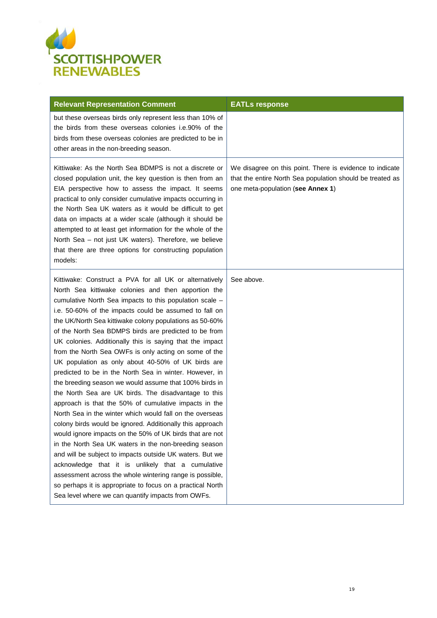

| <b>Relevant Representation Comment</b>                                                                                                                                                                                                                                                                                                                                                                                                                                                                                                                                                                                                                                                                                                                                                                                                                                                                                                                                                                                                                                                                                                                                                                                                                                                                                 | <b>EATLs response</b>                                                                                                                                      |
|------------------------------------------------------------------------------------------------------------------------------------------------------------------------------------------------------------------------------------------------------------------------------------------------------------------------------------------------------------------------------------------------------------------------------------------------------------------------------------------------------------------------------------------------------------------------------------------------------------------------------------------------------------------------------------------------------------------------------------------------------------------------------------------------------------------------------------------------------------------------------------------------------------------------------------------------------------------------------------------------------------------------------------------------------------------------------------------------------------------------------------------------------------------------------------------------------------------------------------------------------------------------------------------------------------------------|------------------------------------------------------------------------------------------------------------------------------------------------------------|
| but these overseas birds only represent less than 10% of<br>the birds from these overseas colonies i.e.90% of the<br>birds from these overseas colonies are predicted to be in<br>other areas in the non-breeding season.                                                                                                                                                                                                                                                                                                                                                                                                                                                                                                                                                                                                                                                                                                                                                                                                                                                                                                                                                                                                                                                                                              |                                                                                                                                                            |
| Kittiwake: As the North Sea BDMPS is not a discrete or<br>closed population unit, the key question is then from an<br>EIA perspective how to assess the impact. It seems<br>practical to only consider cumulative impacts occurring in<br>the North Sea UK waters as it would be difficult to get<br>data on impacts at a wider scale (although it should be<br>attempted to at least get information for the whole of the<br>North Sea - not just UK waters). Therefore, we believe<br>that there are three options for constructing population<br>models:                                                                                                                                                                                                                                                                                                                                                                                                                                                                                                                                                                                                                                                                                                                                                            | We disagree on this point. There is evidence to indicate<br>that the entire North Sea population should be treated as<br>one meta-population (see Annex 1) |
| Kittiwake: Construct a PVA for all UK or alternatively<br>North Sea kittiwake colonies and then apportion the<br>cumulative North Sea impacts to this population scale -<br>i.e. 50-60% of the impacts could be assumed to fall on<br>the UK/North Sea kittiwake colony populations as 50-60%<br>of the North Sea BDMPS birds are predicted to be from<br>UK colonies. Additionally this is saying that the impact<br>from the North Sea OWFs is only acting on some of the<br>UK population as only about 40-50% of UK birds are<br>predicted to be in the North Sea in winter. However, in<br>the breeding season we would assume that 100% birds in<br>the North Sea are UK birds. The disadvantage to this<br>approach is that the 50% of cumulative impacts in the<br>North Sea in the winter which would fall on the overseas<br>colony birds would be ignored. Additionally this approach<br>would ignore impacts on the 50% of UK birds that are not<br>in the North Sea UK waters in the non-breeding season<br>and will be subject to impacts outside UK waters. But we<br>acknowledge that it is unlikely that a cumulative<br>assessment across the whole wintering range is possible,<br>so perhaps it is appropriate to focus on a practical North<br>Sea level where we can quantify impacts from OWFs. | See above.                                                                                                                                                 |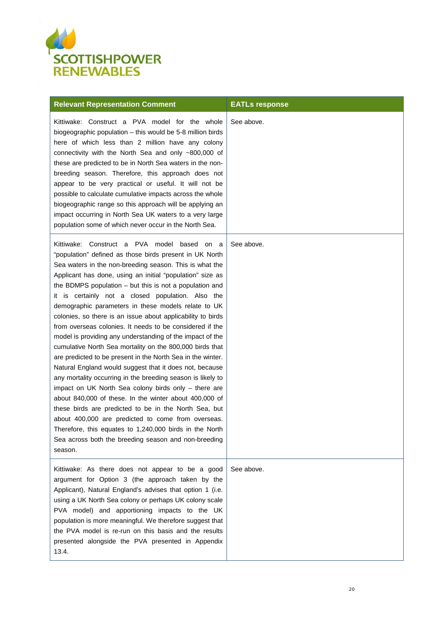

| <b>Relevant Representation Comment</b>                                                                                                                                                                                                                                                                                                                                                                                                                                                                                                                                                                                                                                                                                                                                                                                                                                                                                                                                                                                                                                                                                                                                                                            | <b>EATLs response</b> |
|-------------------------------------------------------------------------------------------------------------------------------------------------------------------------------------------------------------------------------------------------------------------------------------------------------------------------------------------------------------------------------------------------------------------------------------------------------------------------------------------------------------------------------------------------------------------------------------------------------------------------------------------------------------------------------------------------------------------------------------------------------------------------------------------------------------------------------------------------------------------------------------------------------------------------------------------------------------------------------------------------------------------------------------------------------------------------------------------------------------------------------------------------------------------------------------------------------------------|-----------------------|
| Kittiwake: Construct a PVA model for the whole<br>biogeographic population - this would be 5-8 million birds<br>here of which less than 2 million have any colony<br>connectivity with the North Sea and only ~800,000 of<br>these are predicted to be in North Sea waters in the non-<br>breeding season. Therefore, this approach does not<br>appear to be very practical or useful. It will not be<br>possible to calculate cumulative impacts across the whole<br>biogeographic range so this approach will be applying an<br>impact occurring in North Sea UK waters to a very large<br>population some of which never occur in the North Sea.                                                                                                                                                                                                                                                                                                                                                                                                                                                                                                                                                               | See above.            |
| Kittiwake: Construct a PVA model based on a<br>"population" defined as those birds present in UK North<br>Sea waters in the non-breeding season. This is what the<br>Applicant has done, using an initial "population" size as<br>the BDMPS population - but this is not a population and<br>it is certainly not a closed population. Also the<br>demographic parameters in these models relate to UK<br>colonies, so there is an issue about applicability to birds<br>from overseas colonies. It needs to be considered if the<br>model is providing any understanding of the impact of the<br>cumulative North Sea mortality on the 800,000 birds that<br>are predicted to be present in the North Sea in the winter.<br>Natural England would suggest that it does not, because<br>any mortality occurring in the breeding season is likely to<br>impact on UK North Sea colony birds only - there are<br>about 840,000 of these. In the winter about 400,000 of<br>these birds are predicted to be in the North Sea, but<br>about 400,000 are predicted to come from overseas.<br>Therefore, this equates to 1,240,000 birds in the North<br>Sea across both the breeding season and non-breeding<br>season. | See above.            |
| Kittiwake: As there does not appear to be a good<br>argument for Option 3 (the approach taken by the<br>Applicant), Natural England's advises that option 1 (i.e.<br>using a UK North Sea colony or perhaps UK colony scale<br>PVA model) and apportioning impacts to the UK<br>population is more meaningful. We therefore suggest that<br>the PVA model is re-run on this basis and the results<br>presented alongside the PVA presented in Appendix<br>13.4.                                                                                                                                                                                                                                                                                                                                                                                                                                                                                                                                                                                                                                                                                                                                                   | See above.            |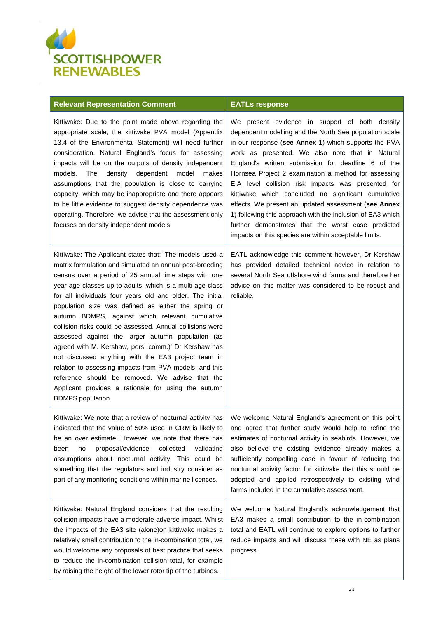

| <b>Relevant Representation Comment</b>                                                                                                                                                                                                                                                                                                                                                                                                                                                                                                                                                                                                                                                                                                                                                                                                       | EATLs response                                                                                                                                                                                                                                                                                                                                                                                                                                                                                                                                                                                                                                                                      |
|----------------------------------------------------------------------------------------------------------------------------------------------------------------------------------------------------------------------------------------------------------------------------------------------------------------------------------------------------------------------------------------------------------------------------------------------------------------------------------------------------------------------------------------------------------------------------------------------------------------------------------------------------------------------------------------------------------------------------------------------------------------------------------------------------------------------------------------------|-------------------------------------------------------------------------------------------------------------------------------------------------------------------------------------------------------------------------------------------------------------------------------------------------------------------------------------------------------------------------------------------------------------------------------------------------------------------------------------------------------------------------------------------------------------------------------------------------------------------------------------------------------------------------------------|
| Kittiwake: Due to the point made above regarding the<br>appropriate scale, the kittiwake PVA model (Appendix<br>13.4 of the Environmental Statement) will need further<br>consideration. Natural England's focus for assessing<br>impacts will be on the outputs of density independent<br>models.<br>The<br>density<br>dependent<br>model<br>makes<br>assumptions that the population is close to carrying<br>capacity, which may be inappropriate and there appears<br>to be little evidence to suggest density dependence was<br>operating. Therefore, we advise that the assessment only<br>focuses on density independent models.                                                                                                                                                                                                       | We present evidence in support of both density<br>dependent modelling and the North Sea population scale<br>in our response (see Annex 1) which supports the PVA<br>work as presented. We also note that in Natural<br>England's written submission for deadline 6 of the<br>Hornsea Project 2 examination a method for assessing<br>EIA level collision risk impacts was presented for<br>kittiwake which concluded no significant cumulative<br>effects. We present an updated assessment (see Annex<br>1) following this approach with the inclusion of EA3 which<br>further demonstrates that the worst case predicted<br>impacts on this species are within acceptable limits. |
| Kittiwake: The Applicant states that: 'The models used a<br>matrix formulation and simulated an annual post-breeding<br>census over a period of 25 annual time steps with one<br>year age classes up to adults, which is a multi-age class<br>for all individuals four years old and older. The initial<br>population size was defined as either the spring or<br>autumn BDMPS, against which relevant cumulative<br>collision risks could be assessed. Annual collisions were<br>assessed against the larger autumn population (as<br>agreed with M. Kershaw, pers. comm.)' Dr Kershaw has<br>not discussed anything with the EA3 project team in<br>relation to assessing impacts from PVA models, and this<br>reference should be removed. We advise that the<br>Applicant provides a rationale for using the autumn<br>BDMPS population. | EATL acknowledge this comment however, Dr Kershaw<br>has provided detailed technical advice in relation to<br>several North Sea offshore wind farms and therefore her<br>advice on this matter was considered to be robust and<br>reliable.                                                                                                                                                                                                                                                                                                                                                                                                                                         |
| Kittiwake: We note that a review of nocturnal activity has<br>indicated that the value of 50% used in CRM is likely to<br>be an over estimate. However, we note that there has<br>collected<br>proposal/evidence<br>validating<br>been<br>no<br>assumptions about nocturnal activity. This could be<br>something that the regulators and industry consider as<br>part of any monitoring conditions within marine licences.                                                                                                                                                                                                                                                                                                                                                                                                                   | We welcome Natural England's agreement on this point<br>and agree that further study would help to refine the<br>estimates of nocturnal activity in seabirds. However, we<br>also believe the existing evidence already makes a<br>sufficiently compelling case in favour of reducing the<br>nocturnal activity factor for kittiwake that this should be<br>adopted and applied retrospectively to existing wind<br>farms included in the cumulative assessment.                                                                                                                                                                                                                    |
| Kittiwake: Natural England considers that the resulting<br>collision impacts have a moderate adverse impact. Whilst<br>the impacts of the EA3 site (alone)on kittiwake makes a<br>relatively small contribution to the in-combination total, we<br>would welcome any proposals of best practice that seeks<br>to reduce the in-combination collision total, for example<br>by raising the height of the lower rotor tip of the turbines.                                                                                                                                                                                                                                                                                                                                                                                                     | We welcome Natural England's acknowledgement that<br>EA3 makes a small contribution to the in-combination<br>total and EATL will continue to explore options to further<br>reduce impacts and will discuss these with NE as plans<br>progress.                                                                                                                                                                                                                                                                                                                                                                                                                                      |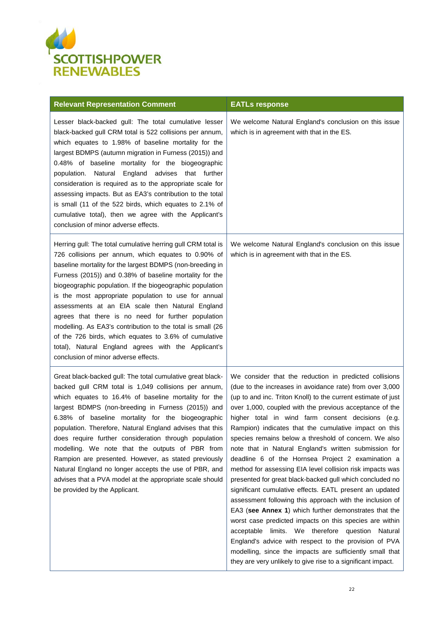

| <b>Relevant Representation Comment</b>                                                                                                                                                                                                                                                                                                                                                                                                                                                                                                                                                                                                                                                            | <b>EATLs response</b>                                                                                                                                                                                                                                                                                                                                                                                                                                                                                                                                                                                                                                                                                                                                                                                                                                                                                                                                                                                                                                                                                                                            |
|---------------------------------------------------------------------------------------------------------------------------------------------------------------------------------------------------------------------------------------------------------------------------------------------------------------------------------------------------------------------------------------------------------------------------------------------------------------------------------------------------------------------------------------------------------------------------------------------------------------------------------------------------------------------------------------------------|--------------------------------------------------------------------------------------------------------------------------------------------------------------------------------------------------------------------------------------------------------------------------------------------------------------------------------------------------------------------------------------------------------------------------------------------------------------------------------------------------------------------------------------------------------------------------------------------------------------------------------------------------------------------------------------------------------------------------------------------------------------------------------------------------------------------------------------------------------------------------------------------------------------------------------------------------------------------------------------------------------------------------------------------------------------------------------------------------------------------------------------------------|
| Lesser black-backed gull: The total cumulative lesser<br>black-backed gull CRM total is 522 collisions per annum,<br>which equates to 1.98% of baseline mortality for the<br>largest BDMPS (autumn migration in Furness (2015)) and<br>0.48% of baseline mortality for the biogeographic<br>population. Natural England advises that further<br>consideration is required as to the appropriate scale for<br>assessing impacts. But as EA3's contribution to the total<br>is small (11 of the 522 birds, which equates to 2.1% of<br>cumulative total), then we agree with the Applicant's<br>conclusion of minor adverse effects.                                                                | We welcome Natural England's conclusion on this issue<br>which is in agreement with that in the ES.                                                                                                                                                                                                                                                                                                                                                                                                                                                                                                                                                                                                                                                                                                                                                                                                                                                                                                                                                                                                                                              |
| Herring gull: The total cumulative herring gull CRM total is<br>726 collisions per annum, which equates to 0.90% of<br>baseline mortality for the largest BDMPS (non-breeding in<br>Furness (2015)) and 0.38% of baseline mortality for the<br>biogeographic population. If the biogeographic population<br>is the most appropriate population to use for annual<br>assessments at an EIA scale then Natural England<br>agrees that there is no need for further population<br>modelling. As EA3's contribution to the total is small (26<br>of the 726 birds, which equates to 3.6% of cumulative<br>total), Natural England agrees with the Applicant's<br>conclusion of minor adverse effects. | We welcome Natural England's conclusion on this issue<br>which is in agreement with that in the ES.                                                                                                                                                                                                                                                                                                                                                                                                                                                                                                                                                                                                                                                                                                                                                                                                                                                                                                                                                                                                                                              |
| Great black-backed gull: The total cumulative great black-<br>backed gull CRM total is 1,049 collisions per annum,<br>which equates to 16.4% of baseline mortality for the<br>largest BDMPS (non-breeding in Furness (2015)) and<br>6.38% of baseline mortality for the biogeographic<br>population. Therefore, Natural England advises that this<br>does require further consideration through population<br>modelling. We note that the outputs of PBR from<br>Rampion are presented. However, as stated previously<br>Natural England no longer accepts the use of PBR, and<br>advises that a PVA model at the appropriate scale should<br>be provided by the Applicant.                       | We consider that the reduction in predicted collisions<br>(due to the increases in avoidance rate) from over 3,000<br>(up to and inc. Triton Knoll) to the current estimate of just<br>over 1,000, coupled with the previous acceptance of the<br>higher total in wind farm consent decisions (e.g.<br>Rampion) indicates that the cumulative impact on this<br>species remains below a threshold of concern. We also<br>note that in Natural England's written submission for<br>deadline 6 of the Hornsea Project 2 examination a<br>method for assessing EIA level collision risk impacts was<br>presented for great black-backed gull which concluded no<br>significant cumulative effects. EATL present an updated<br>assessment following this approach with the inclusion of<br>EA3 (see Annex 1) which further demonstrates that the<br>worst case predicted impacts on this species are within<br>acceptable limits. We therefore question Natural<br>England's advice with respect to the provision of PVA<br>modelling, since the impacts are sufficiently small that<br>they are very unlikely to give rise to a significant impact. |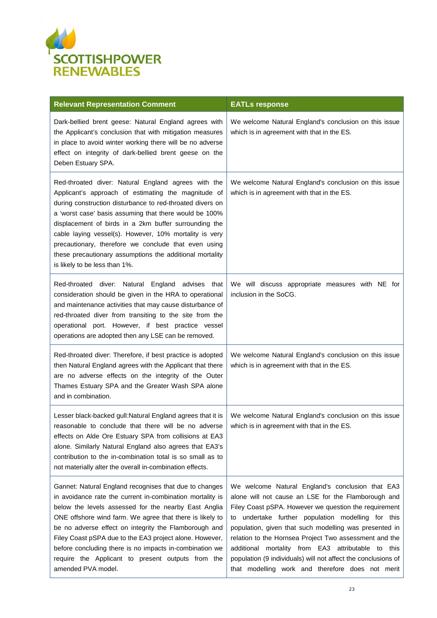

| <b>Relevant Representation Comment</b>                                                                                                                                                                                                                                                                                                                                                                                                                                                                    | <b>EATLs response</b>                                                                                                                                                                                                                                                                                                                                                                                                                                                                                                 |
|-----------------------------------------------------------------------------------------------------------------------------------------------------------------------------------------------------------------------------------------------------------------------------------------------------------------------------------------------------------------------------------------------------------------------------------------------------------------------------------------------------------|-----------------------------------------------------------------------------------------------------------------------------------------------------------------------------------------------------------------------------------------------------------------------------------------------------------------------------------------------------------------------------------------------------------------------------------------------------------------------------------------------------------------------|
| Dark-bellied brent geese: Natural England agrees with<br>the Applicant's conclusion that with mitigation measures<br>in place to avoid winter working there will be no adverse<br>effect on integrity of dark-bellied brent geese on the<br>Deben Estuary SPA.                                                                                                                                                                                                                                            | We welcome Natural England's conclusion on this issue<br>which is in agreement with that in the ES.                                                                                                                                                                                                                                                                                                                                                                                                                   |
| Red-throated diver: Natural England agrees with the<br>Applicant's approach of estimating the magnitude of<br>during construction disturbance to red-throated divers on<br>a 'worst case' basis assuming that there would be 100%<br>displacement of birds in a 2km buffer surrounding the<br>cable laying vessel(s). However, 10% mortality is very<br>precautionary, therefore we conclude that even using<br>these precautionary assumptions the additional mortality<br>is likely to be less than 1%. | We welcome Natural England's conclusion on this issue<br>which is in agreement with that in the ES.                                                                                                                                                                                                                                                                                                                                                                                                                   |
| Red-throated diver: Natural England advises that<br>consideration should be given in the HRA to operational<br>and maintenance activities that may cause disturbance of<br>red-throated diver from transiting to the site from the<br>operational port. However, if best practice vessel<br>operations are adopted then any LSE can be removed.                                                                                                                                                           | We will discuss appropriate measures with NE for<br>inclusion in the SoCG.                                                                                                                                                                                                                                                                                                                                                                                                                                            |
| Red-throated diver: Therefore, if best practice is adopted<br>then Natural England agrees with the Applicant that there<br>are no adverse effects on the integrity of the Outer<br>Thames Estuary SPA and the Greater Wash SPA alone<br>and in combination.                                                                                                                                                                                                                                               | We welcome Natural England's conclusion on this issue<br>which is in agreement with that in the ES.                                                                                                                                                                                                                                                                                                                                                                                                                   |
| Lesser black-backed gull: Natural England agrees that it is<br>reasonable to conclude that there will be no adverse<br>effects on Alde Ore Estuary SPA from collisions at EA3<br>alone. Similarly Natural England also agrees that EA3's<br>contribution to the in-combination total is so small as to<br>not materially alter the overall in-combination effects.                                                                                                                                        | We welcome Natural England's conclusion on this issue<br>which is in agreement with that in the ES.                                                                                                                                                                                                                                                                                                                                                                                                                   |
| Gannet: Natural England recognises that due to changes<br>in avoidance rate the current in-combination mortality is<br>below the levels assessed for the nearby East Anglia<br>ONE offshore wind farm. We agree that there is likely to<br>be no adverse effect on integrity the Flamborough and<br>Filey Coast pSPA due to the EA3 project alone. However,<br>before concluding there is no impacts in-combination we<br>require the Applicant to present outputs from the<br>amended PVA model.         | We welcome Natural England's conclusion that EA3<br>alone will not cause an LSE for the Flamborough and<br>Filey Coast pSPA. However we question the requirement<br>to undertake further population modelling for this<br>population, given that such modelling was presented in<br>relation to the Hornsea Project Two assessment and the<br>additional mortality from EA3 attributable to this<br>population (9 individuals) will not affect the conclusions of<br>that modelling work and therefore does not merit |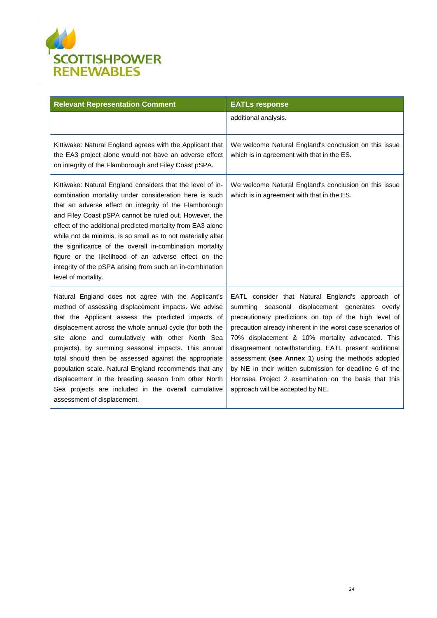

| <b>Relevant Representation Comment</b>                                                                                                                                                                                                                                                                                                                                                                                                                                                                                                                                                                  | <b>EATLs response</b>                                                                                                                                                                                                                                                                                                                                                                                                                                                                                                                               |
|---------------------------------------------------------------------------------------------------------------------------------------------------------------------------------------------------------------------------------------------------------------------------------------------------------------------------------------------------------------------------------------------------------------------------------------------------------------------------------------------------------------------------------------------------------------------------------------------------------|-----------------------------------------------------------------------------------------------------------------------------------------------------------------------------------------------------------------------------------------------------------------------------------------------------------------------------------------------------------------------------------------------------------------------------------------------------------------------------------------------------------------------------------------------------|
|                                                                                                                                                                                                                                                                                                                                                                                                                                                                                                                                                                                                         | additional analysis.                                                                                                                                                                                                                                                                                                                                                                                                                                                                                                                                |
| Kittiwake: Natural England agrees with the Applicant that<br>the EA3 project alone would not have an adverse effect<br>on integrity of the Flamborough and Filey Coast pSPA.                                                                                                                                                                                                                                                                                                                                                                                                                            | We welcome Natural England's conclusion on this issue<br>which is in agreement with that in the ES.                                                                                                                                                                                                                                                                                                                                                                                                                                                 |
| Kittiwake: Natural England considers that the level of in-<br>combination mortality under consideration here is such<br>that an adverse effect on integrity of the Flamborough<br>and Filey Coast pSPA cannot be ruled out. However, the<br>effect of the additional predicted mortality from EA3 alone<br>while not de minimis, is so small as to not materially alter<br>the significance of the overall in-combination mortality<br>figure or the likelihood of an adverse effect on the<br>integrity of the pSPA arising from such an in-combination<br>level of mortality.                         | We welcome Natural England's conclusion on this issue<br>which is in agreement with that in the ES.                                                                                                                                                                                                                                                                                                                                                                                                                                                 |
| Natural England does not agree with the Applicant's<br>method of assessing displacement impacts. We advise<br>that the Applicant assess the predicted impacts of<br>displacement across the whole annual cycle (for both the<br>site alone and cumulatively with other North Sea<br>projects), by summing seasonal impacts. This annual<br>total should then be assessed against the appropriate<br>population scale. Natural England recommends that any<br>displacement in the breeding season from other North<br>Sea projects are included in the overall cumulative<br>assessment of displacement. | EATL consider that Natural England's approach of<br>summing seasonal displacement generates overly<br>precautionary predictions on top of the high level of<br>precaution already inherent in the worst case scenarios of<br>70% displacement & 10% mortality advocated. This<br>disagreement notwithstanding, EATL present additional<br>assessment (see Annex 1) using the methods adopted<br>by NE in their written submission for deadline 6 of the<br>Hornsea Project 2 examination on the basis that this<br>approach will be accepted by NE. |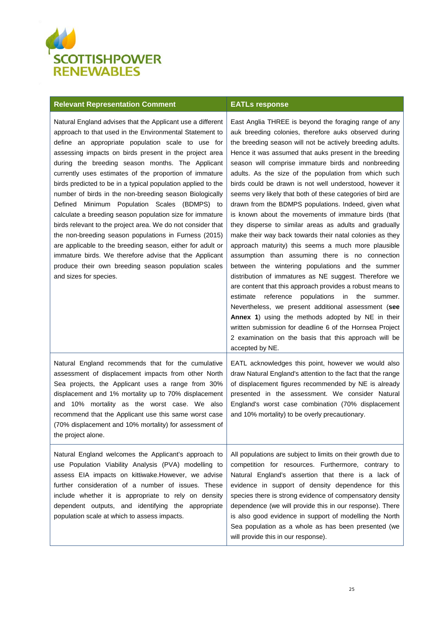

### **Relevant Representation Comment EATLs response**

Natural England advises that the Applicant use a different approach to that used in the Environmental Statement to define an appropriate population scale to use for assessing impacts on birds present in the project area during the breeding season months. The Applicant currently uses estimates of the proportion of immature birds predicted to be in a typical population applied to the number of birds in the non-breeding season Biologically Defined Minimum Population Scales (BDMPS) to calculate a breeding season population size for immature birds relevant to the project area. We do not consider that the non-breeding season populations in Furness (2015) are applicable to the breeding season, either for adult or immature birds. We therefore advise that the Applicant produce their own breeding season population scales and sizes for species.

East Anglia THREE is beyond the foraging range of any auk breeding colonies, therefore auks observed during the breeding season will not be actively breeding adults. Hence it was assumed that auks present in the breeding season will comprise immature birds and nonbreeding adults. As the size of the population from which such birds could be drawn is not well understood, however it seems very likely that both of these categories of bird are drawn from the BDMPS populations. Indeed, given what is known about the movements of immature birds (that they disperse to similar areas as adults and gradually make their way back towards their natal colonies as they approach maturity) this seems a much more plausible assumption than assuming there is no connection between the wintering populations and the summer distribution of immatures as NE suggest. Therefore we are content that this approach provides a robust means to estimate reference populations in the summer. Nevertheless, we present additional assessment (**see Annex 1**) using the methods adopted by NE in their written submission for deadline 6 of the Hornsea Project 2 examination on the basis that this approach will be accepted by NE.

Natural England recommends that for the cumulative assessment of displacement impacts from other North Sea projects, the Applicant uses a range from 30% displacement and 1% mortality up to 70% displacement and 10% mortality as the worst case. We also recommend that the Applicant use this same worst case (70% displacement and 10% mortality) for assessment of the project alone.

Natural England welcomes the Applicant's approach to use Population Viability Analysis (PVA) modelling to assess EIA impacts on kittiwake.However, we advise further consideration of a number of issues. These include whether it is appropriate to rely on density dependent outputs, and identifying the appropriate population scale at which to assess impacts.

EATL acknowledges this point, however we would also draw Natural England's attention to the fact that the range of displacement figures recommended by NE is already presented in the assessment. We consider Natural England's worst case combination (70% displacement and 10% mortality) to be overly precautionary.

All populations are subject to limits on their growth due to competition for resources. Furthermore, contrary to Natural England's assertion that there is a lack of evidence in support of density dependence for this species there is strong evidence of compensatory density dependence (we will provide this in our response). There is also good evidence in support of modelling the North Sea population as a whole as has been presented (we will provide this in our response).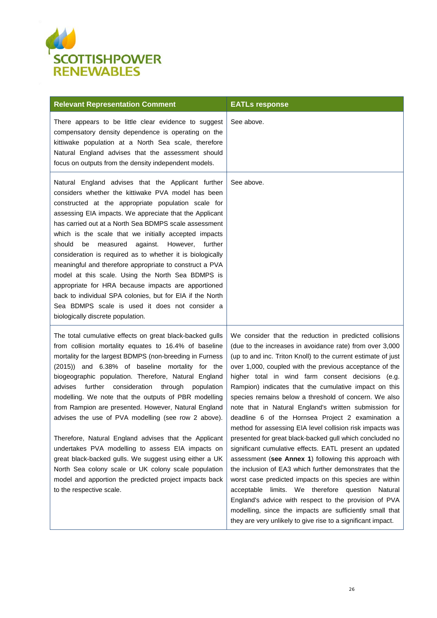

| <b>Relevant Representation Comment</b>                                                                                                                                                                                                                                                                                                                                                                                                                                                                                                                                                                                                                                                                                                                                                                                                             | <b>EATLs response</b>                                                                                                                                                                                                                                                                                                                                                                                                                                                                                                                                                                                                                                                                                                                                                                                                                                                                                                                                                                                                                                                                                                                            |
|----------------------------------------------------------------------------------------------------------------------------------------------------------------------------------------------------------------------------------------------------------------------------------------------------------------------------------------------------------------------------------------------------------------------------------------------------------------------------------------------------------------------------------------------------------------------------------------------------------------------------------------------------------------------------------------------------------------------------------------------------------------------------------------------------------------------------------------------------|--------------------------------------------------------------------------------------------------------------------------------------------------------------------------------------------------------------------------------------------------------------------------------------------------------------------------------------------------------------------------------------------------------------------------------------------------------------------------------------------------------------------------------------------------------------------------------------------------------------------------------------------------------------------------------------------------------------------------------------------------------------------------------------------------------------------------------------------------------------------------------------------------------------------------------------------------------------------------------------------------------------------------------------------------------------------------------------------------------------------------------------------------|
| There appears to be little clear evidence to suggest<br>compensatory density dependence is operating on the<br>kittiwake population at a North Sea scale, therefore<br>Natural England advises that the assessment should<br>focus on outputs from the density independent models.                                                                                                                                                                                                                                                                                                                                                                                                                                                                                                                                                                 | See above.                                                                                                                                                                                                                                                                                                                                                                                                                                                                                                                                                                                                                                                                                                                                                                                                                                                                                                                                                                                                                                                                                                                                       |
| Natural England advises that the Applicant further<br>considers whether the kittiwake PVA model has been<br>constructed at the appropriate population scale for<br>assessing EIA impacts. We appreciate that the Applicant<br>has carried out at a North Sea BDMPS scale assessment<br>which is the scale that we initially accepted impacts<br>should<br>measured<br>against.<br>However,<br>be<br>further<br>consideration is required as to whether it is biologically<br>meaningful and therefore appropriate to construct a PVA<br>model at this scale. Using the North Sea BDMPS is<br>appropriate for HRA because impacts are apportioned<br>back to individual SPA colonies, but for EIA if the North<br>Sea BDMPS scale is used it does not consider a<br>biologically discrete population.                                               | See above.                                                                                                                                                                                                                                                                                                                                                                                                                                                                                                                                                                                                                                                                                                                                                                                                                                                                                                                                                                                                                                                                                                                                       |
| The total cumulative effects on great black-backed gulls<br>from collision mortality equates to 16.4% of baseline<br>mortality for the largest BDMPS (non-breeding in Furness<br>(2015)) and 6.38% of baseline mortality for the<br>biogeographic population. Therefore, Natural England<br>further consideration<br>advises<br>through<br>population<br>modelling. We note that the outputs of PBR modelling<br>from Rampion are presented. However, Natural England<br>advises the use of PVA modelling (see row 2 above).<br>Therefore, Natural England advises that the Applicant<br>undertakes PVA modelling to assess EIA impacts on<br>great black-backed gulls. We suggest using either a UK<br>North Sea colony scale or UK colony scale population<br>model and apportion the predicted project impacts back<br>to the respective scale. | We consider that the reduction in predicted collisions<br>(due to the increases in avoidance rate) from over 3,000<br>(up to and inc. Triton Knoll) to the current estimate of just<br>over 1,000, coupled with the previous acceptance of the<br>higher total in wind farm consent decisions (e.g.<br>Rampion) indicates that the cumulative impact on this<br>species remains below a threshold of concern. We also<br>note that in Natural England's written submission for<br>deadline 6 of the Hornsea Project 2 examination a<br>method for assessing EIA level collision risk impacts was<br>presented for great black-backed gull which concluded no<br>significant cumulative effects. EATL present an updated<br>assessment (see Annex 1) following this approach with<br>the inclusion of EA3 which further demonstrates that the<br>worst case predicted impacts on this species are within<br>acceptable limits. We therefore question Natural<br>England's advice with respect to the provision of PVA<br>modelling, since the impacts are sufficiently small that<br>they are very unlikely to give rise to a significant impact. |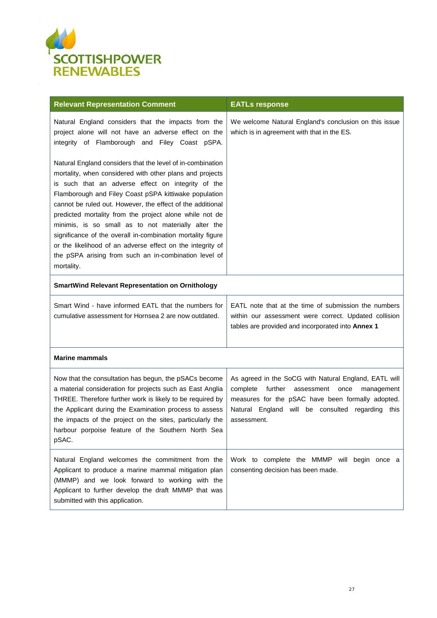

| <b>Relevant Representation Comment</b>                                                                                                                                                                                                                                                                                                                                                                                   | <b>EATLs response</b>                                                                                                                                                                                                                    |
|--------------------------------------------------------------------------------------------------------------------------------------------------------------------------------------------------------------------------------------------------------------------------------------------------------------------------------------------------------------------------------------------------------------------------|------------------------------------------------------------------------------------------------------------------------------------------------------------------------------------------------------------------------------------------|
| Natural England considers that the impacts from the<br>project alone will not have an adverse effect on the<br>integrity of Flamborough and Filey Coast pSPA.<br>Natural England considers that the level of in-combination<br>mortality, when considered with other plans and projects                                                                                                                                  | We welcome Natural England's conclusion on this issue<br>which is in agreement with that in the ES.                                                                                                                                      |
| is such that an adverse effect on integrity of the<br>Flamborough and Filey Coast pSPA kittiwake population<br>cannot be ruled out. However, the effect of the additional<br>predicted mortality from the project alone while not de<br>minimis, is so small as to not materially alter the<br>significance of the overall in-combination mortality figure<br>or the likelihood of an adverse effect on the integrity of |                                                                                                                                                                                                                                          |
| the pSPA arising from such an in-combination level of<br>mortality.                                                                                                                                                                                                                                                                                                                                                      |                                                                                                                                                                                                                                          |
| <b>SmartWind Relevant Representation on Ornithology</b>                                                                                                                                                                                                                                                                                                                                                                  |                                                                                                                                                                                                                                          |
| Smart Wind - have informed EATL that the numbers for<br>cumulative assessment for Hornsea 2 are now outdated.                                                                                                                                                                                                                                                                                                            | EATL note that at the time of submission the numbers<br>within our assessment were correct. Updated collision<br>tables are provided and incorporated into Annex 1                                                                       |
| <b>Marine mammals</b>                                                                                                                                                                                                                                                                                                                                                                                                    |                                                                                                                                                                                                                                          |
| Now that the consultation has begun, the pSACs become<br>a material consideration for projects such as East Anglia<br>THREE. Therefore further work is likely to be required by<br>the Applicant during the Examination process to assess<br>the impacts of the project on the sites, particularly the<br>harbour porpoise feature of the Southern North Sea<br>pSAC.                                                    | As agreed in the SoCG with Natural England, EATL will<br>further<br>complete<br>assessment<br>once<br>management<br>measures for the pSAC have been formally adopted.<br>Natural England will be consulted regarding this<br>assessment. |
| Natural England welcomes the commitment from the<br>Applicant to produce a marine mammal mitigation plan<br>(MMMP) and we look forward to working with the<br>Applicant to further develop the draft MMMP that was<br>submitted with this application.                                                                                                                                                                   | Work to complete the MMMP will begin once a<br>consenting decision has been made.                                                                                                                                                        |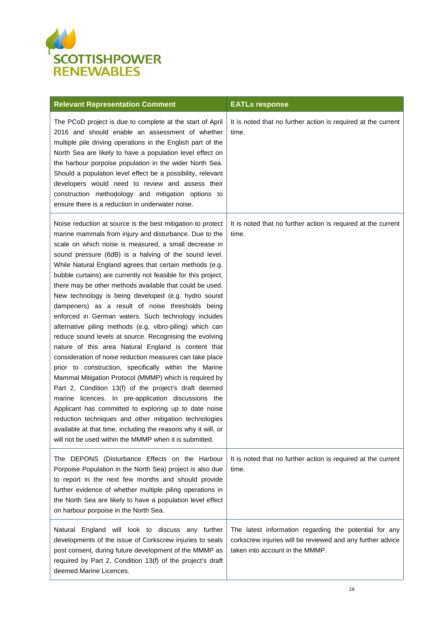

| <b>Relevant Representation Comment</b>                                                                                                                                                                                                                                                                                                                                                                                                                                                                                                                                                                                                                                                                                                                                                                                                                                                                                                                                                                                                                                                                                                                                                                                                                                                                                       | <b>EATLs response</b>                                                                                                                                   |
|------------------------------------------------------------------------------------------------------------------------------------------------------------------------------------------------------------------------------------------------------------------------------------------------------------------------------------------------------------------------------------------------------------------------------------------------------------------------------------------------------------------------------------------------------------------------------------------------------------------------------------------------------------------------------------------------------------------------------------------------------------------------------------------------------------------------------------------------------------------------------------------------------------------------------------------------------------------------------------------------------------------------------------------------------------------------------------------------------------------------------------------------------------------------------------------------------------------------------------------------------------------------------------------------------------------------------|---------------------------------------------------------------------------------------------------------------------------------------------------------|
| The PCoD project is due to complete at the start of April<br>2016 and should enable an assessment of whether<br>multiple pile driving operations in the English part of the<br>North Sea are likely to have a population level effect on<br>the harbour porpoise population in the wider North Sea.<br>Should a population level effect be a possibility, relevant<br>developers would need to review and assess their<br>construction methodology and mitigation options to<br>ensure there is a reduction in underwater noise.                                                                                                                                                                                                                                                                                                                                                                                                                                                                                                                                                                                                                                                                                                                                                                                             | It is noted that no further action is required at the current<br>time.                                                                                  |
| Noise reduction at source is the best mitigation to protect<br>marine mammals from injury and disturbance. Due to the<br>scale on which noise is measured, a small decrease in<br>sound pressure (6dB) is a halving of the sound level.<br>While Natural England agrees that certain methods (e.g.<br>bubble curtains) are currently not feasible for this project,<br>there may be other methods available that could be used.<br>New technology is being developed (e.g. hydro sound<br>dampeners) as a result of noise thresholds being<br>enforced in German waters. Such technology includes<br>alternative piling methods (e.g. vibro-piling) which can<br>reduce sound levels at source. Recognising the evolving<br>nature of this area Natural England is content that<br>consideration of noise reduction measures can take place<br>prior to construction, specifically within the Marine<br>Mammal Mitigation Protocol (MMMP) which is required by<br>Part 2, Condition 13(f) of the project's draft deemed<br>marine licences. In pre-application discussions the<br>Applicant has committed to exploring up to date noise<br>reduction techniques and other mitigation technologies<br>available at that time, including the reasons why it will, or<br>will not be used within the MMMP when it is submitted. | It is noted that no further action is required at the current<br>time.                                                                                  |
| The DEPONS (Disturbance Effects on the Harbour<br>Porpoise Population in the North Sea) project is also due<br>to report in the next few months and should provide<br>further evidence of whether multiple piling operations in<br>the North Sea are likely to have a population level effect<br>on harbour porpoise in the North Sea.                                                                                                                                                                                                                                                                                                                                                                                                                                                                                                                                                                                                                                                                                                                                                                                                                                                                                                                                                                                       | It is noted that no further action is required at the current<br>time.                                                                                  |
| Natural England will look to discuss any further<br>developments of the issue of Corkscrew injuries to seals<br>post consent, during future development of the MMMP as<br>required by Part 2, Condition 13(f) of the project's draft<br>deemed Marine Licences.                                                                                                                                                                                                                                                                                                                                                                                                                                                                                                                                                                                                                                                                                                                                                                                                                                                                                                                                                                                                                                                              | The latest information regarding the potential for any<br>corkscrew injuries will be reviewed and any further advice<br>taken into account in the MMMP. |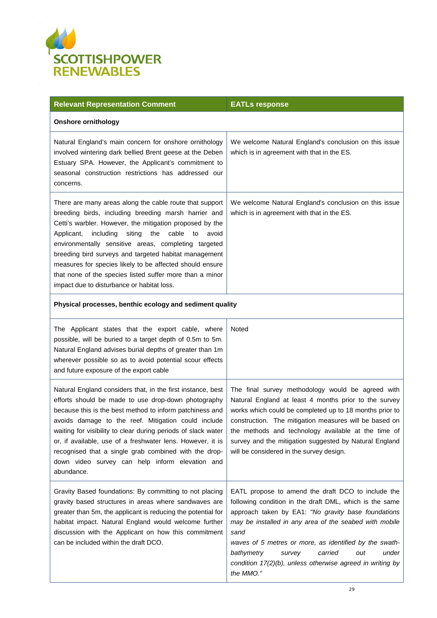

| <b>Relevant Representation Comment</b>                                                                                                                                                                                                                                                                                                                                                                                                                                                                                                 | <b>EATLs response</b>                                                                                                                                                                                                                                                                                                                                                                                                         |
|----------------------------------------------------------------------------------------------------------------------------------------------------------------------------------------------------------------------------------------------------------------------------------------------------------------------------------------------------------------------------------------------------------------------------------------------------------------------------------------------------------------------------------------|-------------------------------------------------------------------------------------------------------------------------------------------------------------------------------------------------------------------------------------------------------------------------------------------------------------------------------------------------------------------------------------------------------------------------------|
| <b>Onshore ornithology</b>                                                                                                                                                                                                                                                                                                                                                                                                                                                                                                             |                                                                                                                                                                                                                                                                                                                                                                                                                               |
| Natural England's main concern for onshore ornithology<br>involved wintering dark bellied Brent geese at the Deben<br>Estuary SPA. However, the Applicant's commitment to<br>seasonal construction restrictions has addressed our<br>concerns.                                                                                                                                                                                                                                                                                         | We welcome Natural England's conclusion on this issue<br>which is in agreement with that in the ES.                                                                                                                                                                                                                                                                                                                           |
| There are many areas along the cable route that support<br>breeding birds, including breeding marsh harrier and<br>Cetti's warbler. However, the mitigation proposed by the<br>including<br>siting<br>the<br>cable<br>Applicant,<br>to<br>avoid<br>environmentally sensitive areas, completing targeted<br>breeding bird surveys and targeted habitat management<br>measures for species likely to be affected should ensure<br>that none of the species listed suffer more than a minor<br>impact due to disturbance or habitat loss. | We welcome Natural England's conclusion on this issue<br>which is in agreement with that in the ES.                                                                                                                                                                                                                                                                                                                           |
| Physical processes, benthic ecology and sediment quality                                                                                                                                                                                                                                                                                                                                                                                                                                                                               |                                                                                                                                                                                                                                                                                                                                                                                                                               |
| The Applicant states that the export cable, where<br>possible, will be buried to a target depth of 0.5m to 5m.<br>Natural England advises burial depths of greater than 1m<br>wherever possible so as to avoid potential scour effects<br>and future exposure of the export cable                                                                                                                                                                                                                                                      | Noted                                                                                                                                                                                                                                                                                                                                                                                                                         |
| Natural England considers that, in the first instance, best<br>efforts should be made to use drop-down photography<br>because this is the best method to inform patchiness and<br>avoids damage to the reef. Mitigation could include<br>waiting for visibility to clear during periods of slack water<br>or, if available, use of a freshwater lens. However, it is<br>recognised that a single grab combined with the drop-<br>down video survey can help inform elevation and<br>abundance.                                         | The final survey methodology would be agreed with<br>Natural England at least 4 months prior to the survey<br>works which could be completed up to 18 months prior to<br>construction. The mitigation measures will be based on<br>the methods and technology available at the time of<br>survey and the mitigation suggested by Natural England<br>will be considered in the survey design.                                  |
| Gravity Based foundations: By committing to not placing<br>gravity based structures in areas where sandwaves are<br>greater than 5m, the applicant is reducing the potential for<br>habitat impact. Natural England would welcome further<br>discussion with the Applicant on how this commitment<br>can be included within the draft DCO.                                                                                                                                                                                             | EATL propose to amend the draft DCO to include the<br>following condition in the draft DML, which is the same<br>approach taken by EA1: "No gravity base foundations<br>may be installed in any area of the seabed with mobile<br>sand<br>waves of 5 metres or more, as identified by the swath-<br>bathymetry<br>carried<br>under<br>survey<br>out<br>condition 17(2)(b), unless otherwise agreed in writing by<br>the MMO." |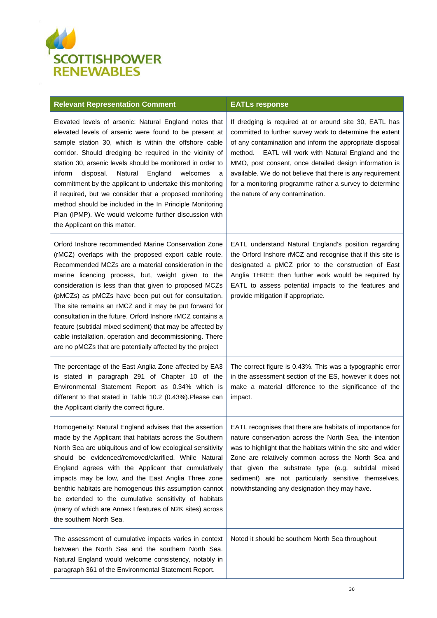

| <b>Relevant Representation Comment</b>                                                                                                                                                                                                                                                                                                                                                                                                                                                                                                                                                                                                                     | <b>EATLs response</b>                                                                                                                                                                                                                                                                                                                                                                                                                                                 |
|------------------------------------------------------------------------------------------------------------------------------------------------------------------------------------------------------------------------------------------------------------------------------------------------------------------------------------------------------------------------------------------------------------------------------------------------------------------------------------------------------------------------------------------------------------------------------------------------------------------------------------------------------------|-----------------------------------------------------------------------------------------------------------------------------------------------------------------------------------------------------------------------------------------------------------------------------------------------------------------------------------------------------------------------------------------------------------------------------------------------------------------------|
| Elevated levels of arsenic: Natural England notes that<br>elevated levels of arsenic were found to be present at<br>sample station 30, which is within the offshore cable<br>corridor. Should dredging be required in the vicinity of<br>station 30, arsenic levels should be monitored in order to<br>inform<br>disposal. Natural<br>England<br>welcomes<br>a<br>commitment by the applicant to undertake this monitoring<br>if required, but we consider that a proposed monitoring<br>method should be included in the In Principle Monitoring<br>Plan (IPMP). We would welcome further discussion with<br>the Applicant on this matter.                | If dredging is required at or around site 30, EATL has<br>committed to further survey work to determine the extent<br>of any contamination and inform the appropriate disposal<br>EATL will work with Natural England and the<br>method.<br>MMO, post consent, once detailed design information is<br>available. We do not believe that there is any requirement<br>for a monitoring programme rather a survey to determine<br>the nature of any contamination.       |
| Orford Inshore recommended Marine Conservation Zone<br>(rMCZ) overlaps with the proposed export cable route.<br>Recommended MCZs are a material consideration in the<br>marine licencing process, but, weight given to the<br>consideration is less than that given to proposed MCZs<br>(pMCZs) as pMCZs have been put out for consultation.<br>The site remains an rMCZ and it may be put forward for<br>consultation in the future. Orford Inshore rMCZ contains a<br>feature (subtidal mixed sediment) that may be affected by<br>cable installation, operation and decommissioning. There<br>are no pMCZs that are potentially affected by the project | EATL understand Natural England's position regarding<br>the Orford Inshore rMCZ and recognise that if this site is<br>designated a pMCZ prior to the construction of East<br>Anglia THREE then further work would be required by<br>EATL to assess potential impacts to the features and<br>provide mitigation if appropriate.                                                                                                                                        |
| The percentage of the East Anglia Zone affected by EA3<br>is stated in paragraph 291 of Chapter 10 of the<br>Environmental Statement Report as 0.34% which is<br>different to that stated in Table 10.2 (0.43%). Please can<br>the Applicant clarify the correct figure.                                                                                                                                                                                                                                                                                                                                                                                   | The correct figure is 0.43%. This was a typographic error<br>in the assessment section of the ES, however it does not<br>make a material difference to the significance of the<br>impact.                                                                                                                                                                                                                                                                             |
| made by the Applicant that habitats across the Southern<br>North Sea are ubiquitous and of low ecological sensitivity<br>should be evidenced/removed/clarified. While Natural<br>England agrees with the Applicant that cumulatively<br>impacts may be low, and the East Anglia Three zone<br>benthic habitats are homogenous this assumption cannot<br>be extended to the cumulative sensitivity of habitats<br>(many of which are Annex I features of N2K sites) across<br>the southern North Sea.                                                                                                                                                       | Homogeneity: Natural England advises that the assertion   EATL recognises that there are habitats of importance for<br>nature conservation across the North Sea, the intention<br>was to highlight that the habitats within the site and wider<br>Zone are relatively common across the North Sea and<br>that given the substrate type (e.g. subtidal mixed<br>sediment) are not particularly sensitive themselves,<br>notwithstanding any designation they may have. |
| The assessment of cumulative impacts varies in context<br>between the North Sea and the southern North Sea.<br>Natural England would welcome consistency, notably in<br>paragraph 361 of the Environmental Statement Report.                                                                                                                                                                                                                                                                                                                                                                                                                               | Noted it should be southern North Sea throughout                                                                                                                                                                                                                                                                                                                                                                                                                      |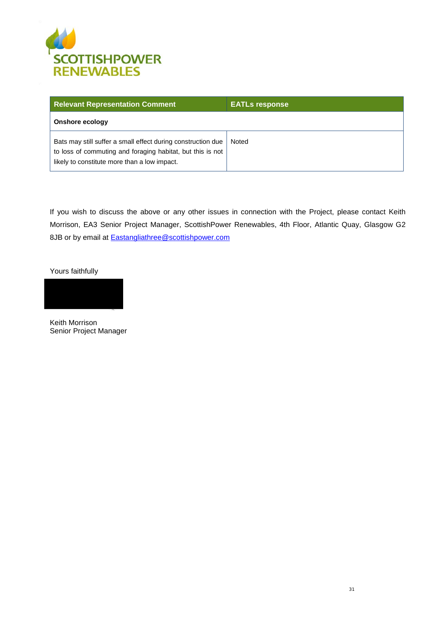

| <b>Relevant Representation Comment</b>                                                                                                                                     | <b>EATLs response</b> |
|----------------------------------------------------------------------------------------------------------------------------------------------------------------------------|-----------------------|
| Onshore ecology                                                                                                                                                            |                       |
| Bats may still suffer a small effect during construction due<br>to loss of commuting and foraging habitat, but this is not<br>likely to constitute more than a low impact. | Noted                 |

If you wish to discuss the above or any other issues in connection with the Project, please contact Keith Morrison, EA3 Senior Project Manager, ScottishPower Renewables, 4th Floor, Atlantic Quay, Glasgow G2 8JB or by email at **Eastangliathree@scottishpower.com** 

Yours faithfully



Keith Morrison Senior Project Manager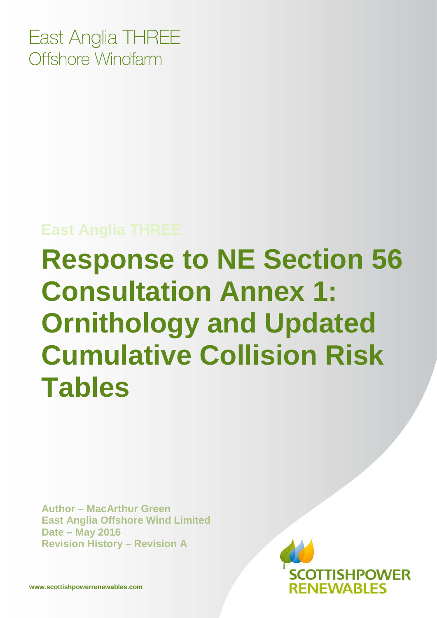East Anglia THREE Offshore Windfarm

### **East Anglia THREE**

# **Response to NE Section 56 Consultation Annex 1: Ornithology and Updated Cumulative Collision Risk Tables**

**Author – MacArthur Green East Anglia Offshore Wind Limited Date – May 2016 Revision History – Revision A**

RENEWARI ES

**www.scottishpowerrenewables.com**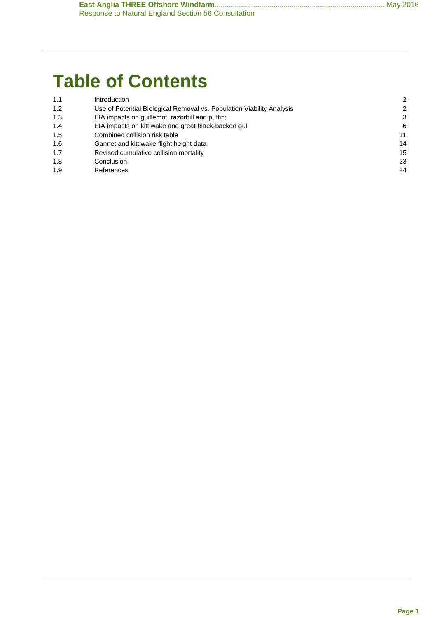| <b>Response to Natural England Section 56 Consultation</b> |  |
|------------------------------------------------------------|--|

## **Table of Contents**

| 1.1 | Introduction                                                          | 2              |
|-----|-----------------------------------------------------------------------|----------------|
| 1.2 | Use of Potential Biological Removal vs. Population Viability Analysis | $\overline{2}$ |
| 1.3 | EIA impacts on guillemot, razorbill and puffin;                       | 3              |
| 1.4 | EIA impacts on kittiwake and great black-backed gull                  | 6              |
| 1.5 | Combined collision risk table                                         | 11             |
| 1.6 | Gannet and kittiwake flight height data                               | 14             |
| 1.7 | Revised cumulative collision mortality                                | 15             |
| 1.8 | Conclusion                                                            | 23             |
| 1.9 | References                                                            | 24             |
|     |                                                                       |                |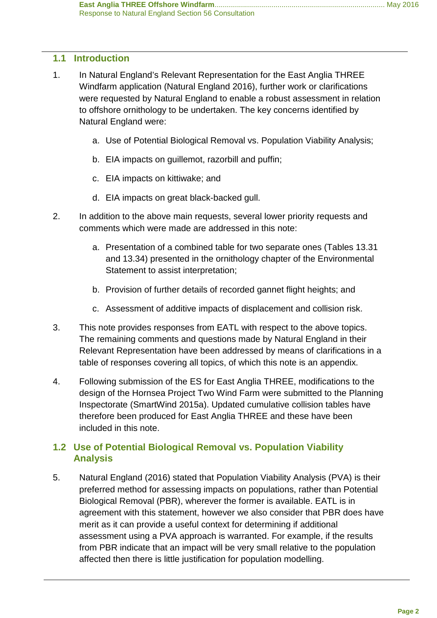| Response to Natural England Section 56 Consultation |  |
|-----------------------------------------------------|--|

#### <span id="page-75-0"></span>**1.1 Introduction**

- 1. In Natural England's Relevant Representation for the East Anglia THREE Windfarm application (Natural England 2016), further work or clarifications were requested by Natural England to enable a robust assessment in relation to offshore ornithology to be undertaken. The key concerns identified by Natural England were:
	- a. Use of Potential Biological Removal vs. Population Viability Analysis;
	- b. EIA impacts on guillemot, razorbill and puffin;
	- c. EIA impacts on kittiwake; and
	- d. EIA impacts on great black-backed gull.
- 2. In addition to the above main requests, several lower priority requests and comments which were made are addressed in this note:
	- a. Presentation of a combined table for two separate ones (Tables 13.31 and 13.34) presented in the ornithology chapter of the Environmental Statement to assist interpretation;
	- b. Provision of further details of recorded gannet flight heights; and
	- c. Assessment of additive impacts of displacement and collision risk.
- 3. This note provides responses from EATL with respect to the above topics. The remaining comments and questions made by Natural England in their Relevant Representation have been addressed by means of clarifications in a table of responses covering all topics, of which this note is an appendix.
- 4. Following submission of the ES for East Anglia THREE, modifications to the design of the Hornsea Project Two Wind Farm were submitted to the Planning Inspectorate (SmartWind 2015a). Updated cumulative collision tables have therefore been produced for East Anglia THREE and these have been included in this note.

#### <span id="page-75-1"></span>**1.2 Use of Potential Biological Removal vs. Population Viability Analysis**

5. Natural England (2016) stated that Population Viability Analysis (PVA) is their preferred method for assessing impacts on populations, rather than Potential Biological Removal (PBR), wherever the former is available. EATL is in agreement with this statement, however we also consider that PBR does have merit as it can provide a useful context for determining if additional assessment using a PVA approach is warranted. For example, if the results from PBR indicate that an impact will be very small relative to the population affected then there is little justification for population modelling.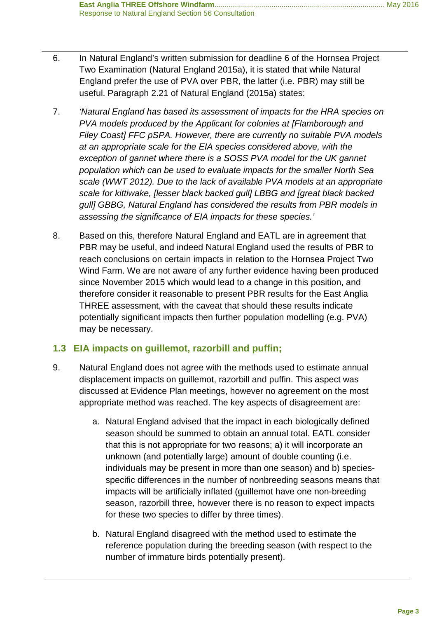| Response to Natural England Section 56 Consultation |  |
|-----------------------------------------------------|--|

- 6. In Natural England's written submission for deadline 6 of the Hornsea Project Two Examination (Natural England 2015a), it is stated that while Natural England prefer the use of PVA over PBR, the latter (i.e. PBR) may still be useful. Paragraph 2.21 of Natural England (2015a) states:
- 7. *'Natural England has based its assessment of impacts for the HRA species on PVA models produced by the Applicant for colonies at [Flamborough and Filey Coast] FFC pSPA. However, there are currently no suitable PVA models at an appropriate scale for the EIA species considered above, with the*  exception of gannet where there is a SOSS PVA model for the UK gannet *population which can be used to evaluate impacts for the smaller North Sea scale (WWT 2012). Due to the lack of available PVA models at an appropriate scale for kittiwake, [lesser black backed gull] LBBG and [great black backed gull] GBBG, Natural England has considered the results from PBR models in assessing the significance of EIA impacts for these species.'*
- 8. Based on this, therefore Natural England and EATL are in agreement that PBR may be useful, and indeed Natural England used the results of PBR to reach conclusions on certain impacts in relation to the Hornsea Project Two Wind Farm. We are not aware of any further evidence having been produced since November 2015 which would lead to a change in this position, and therefore consider it reasonable to present PBR results for the East Anglia THREE assessment, with the caveat that should these results indicate potentially significant impacts then further population modelling (e.g. PVA) may be necessary.

#### <span id="page-76-0"></span>**1.3 EIA impacts on guillemot, razorbill and puffin;**

- 9. Natural England does not agree with the methods used to estimate annual displacement impacts on guillemot, razorbill and puffin. This aspect was discussed at Evidence Plan meetings, however no agreement on the most appropriate method was reached. The key aspects of disagreement are:
	- a. Natural England advised that the impact in each biologically defined season should be summed to obtain an annual total. EATL consider that this is not appropriate for two reasons; a) it will incorporate an unknown (and potentially large) amount of double counting (i.e. individuals may be present in more than one season) and b) speciesspecific differences in the number of nonbreeding seasons means that impacts will be artificially inflated (guillemot have one non-breeding season, razorbill three, however there is no reason to expect impacts for these two species to differ by three times).
	- b. Natural England disagreed with the method used to estimate the reference population during the breeding season (with respect to the number of immature birds potentially present).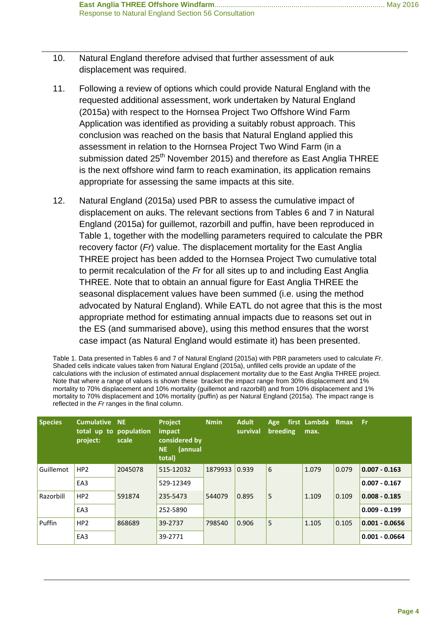| Response to Natural England Section 56 Consultation |  |
|-----------------------------------------------------|--|

- 10. Natural England therefore advised that further assessment of auk displacement was required.
- 11. Following a review of options which could provide Natural England with the requested additional assessment, work undertaken by Natural England (2015a) with respect to the Hornsea Project Two Offshore Wind Farm Application was identified as providing a suitably robust approach. This conclusion was reached on the basis that Natural England applied this assessment in relation to the Hornsea Project Two Wind Farm (in a submission dated 25<sup>th</sup> November 2015) and therefore as East Anglia THREE is the next offshore wind farm to reach examination, its application remains appropriate for assessing the same impacts at this site.
- 12. Natural England (2015a) used PBR to assess the cumulative impact of displacement on auks. The relevant sections from Tables 6 and 7 in Natural England (2015a) for guillemot, razorbill and puffin, have been reproduced in Table 1, together with the modelling parameters required to calculate the PBR recovery factor (*Fr*) value. The displacement mortality for the East Anglia THREE project has been added to the Hornsea Project Two cumulative total to permit recalculation of the *Fr* for all sites up to and including East Anglia THREE. Note that to obtain an annual figure for East Anglia THREE the seasonal displacement values have been summed (i.e. using the method advocated by Natural England). While EATL do not agree that this is the most appropriate method for estimating annual impacts due to reasons set out in the ES (and summarised above), using this method ensures that the worst case impact (as Natural England would estimate it) has been presented.

Table 1. Data presented in Tables 6 and 7 of Natural England (2015a) with PBR parameters used to calculate *Fr*. Shaded cells indicate values taken from Natural England (2015a), unfilled cells provide an update of the calculations with the inclusion of estimated annual displacement mortality due to the East Anglia THREE project. Note that where a range of values is shown these bracket the impact range from 30% displacement and 1% mortality to 70% displacement and 10% mortality (guillemot and razorbill) and from 10% displacement and 1% mortality to 70% displacement and 10% mortality (puffin) as per Natural England (2015a). The impact range is reflected in the *Fr* ranges in the final column.

| <b>Species</b> | <b>Cumulative</b><br>total up to population<br>project: | <b>NE</b><br>scale                | Project<br>impact<br>considered by<br>(annual<br>NE.<br>total) | <b>Nmin</b> | <b>Adult</b><br>survival | Age<br>breeding | first Lambda<br>max. | <b>Rmax</b>     | – Fr               |                 |
|----------------|---------------------------------------------------------|-----------------------------------|----------------------------------------------------------------|-------------|--------------------------|-----------------|----------------------|-----------------|--------------------|-----------------|
| Guillemot      | HP <sub>2</sub>                                         | 515-12032<br>2045078<br>529-12349 | 1879933                                                        | 0.939       | 6                        | 1.079           | 0.079                | $0.007 - 0.163$ |                    |                 |
|                | EA3                                                     |                                   |                                                                |             |                          |                 |                      |                 |                    | $0.007 - 0.167$ |
| Razorbill      | HP <sub>2</sub>                                         | 591874                            | 235-5473                                                       | 544079      | 0.895                    | 5               | 1.109                | 0.109           | $0.008 - 0.185$    |                 |
|                | EA3                                                     |                                   | 252-5890                                                       |             |                          |                 |                      |                 | $0.009 - 0.199$    |                 |
| Puffin         | HP <sub>2</sub>                                         | 868689                            | 39-2737                                                        | 798540      | 0.906                    | 5               | 1.105                | 0.105           | $ 0.001 - 0.0656 $ |                 |
|                | EA3                                                     |                                   | 39-2771                                                        |             |                          |                 |                      |                 |                    |                 |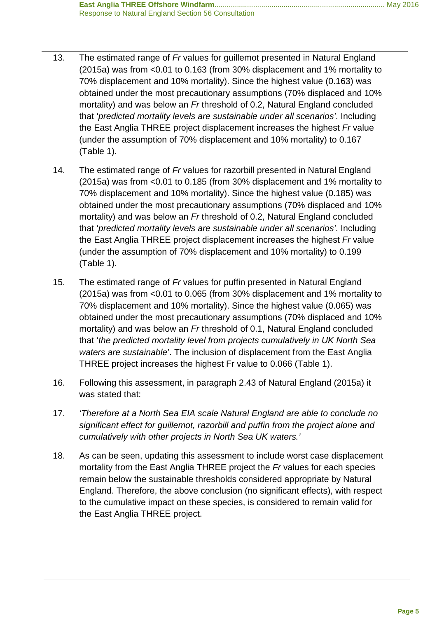| Response to Natural England Section 56 Consultation |  |
|-----------------------------------------------------|--|

- 13. The estimated range of *Fr* values for guillemot presented in Natural England (2015a) was from <0.01 to 0.163 (from 30% displacement and 1% mortality to 70% displacement and 10% mortality). Since the highest value (0.163) was obtained under the most precautionary assumptions (70% displaced and 10% mortality) and was below an *Fr* threshold of 0.2, Natural England concluded that '*predicted mortality levels are sustainable under all scenarios'*. Including the East Anglia THREE project displacement increases the highest *Fr* value (under the assumption of 70% displacement and 10% mortality) to 0.167 (Table 1).
- 14. The estimated range of *Fr* values for razorbill presented in Natural England (2015a) was from <0.01 to 0.185 (from 30% displacement and 1% mortality to 70% displacement and 10% mortality). Since the highest value (0.185) was obtained under the most precautionary assumptions (70% displaced and 10% mortality) and was below an *Fr* threshold of 0.2, Natural England concluded that '*predicted mortality levels are sustainable under all scenarios'*. Including the East Anglia THREE project displacement increases the highest *Fr* value (under the assumption of 70% displacement and 10% mortality) to 0.199 (Table 1).
- 15. The estimated range of *Fr* values for puffin presented in Natural England (2015a) was from <0.01 to 0.065 (from 30% displacement and 1% mortality to 70% displacement and 10% mortality). Since the highest value (0.065) was obtained under the most precautionary assumptions (70% displaced and 10% mortality) and was below an *Fr* threshold of 0.1, Natural England concluded that '*the predicted mortality level from projects cumulatively in UK North Sea waters are sustainable*'. The inclusion of displacement from the East Anglia THREE project increases the highest Fr value to 0.066 (Table 1).
- 16. Following this assessment, in paragraph 2.43 of Natural England (2015a) it was stated that:
- 17. *'Therefore at a North Sea EIA scale Natural England are able to conclude no significant effect for guillemot, razorbill and puffin from the project alone and cumulatively with other projects in North Sea UK waters.'*
- 18. As can be seen, updating this assessment to include worst case displacement mortality from the East Anglia THREE project the *Fr* values for each species remain below the sustainable thresholds considered appropriate by Natural England. Therefore, the above conclusion (no significant effects), with respect to the cumulative impact on these species, is considered to remain valid for the East Anglia THREE project.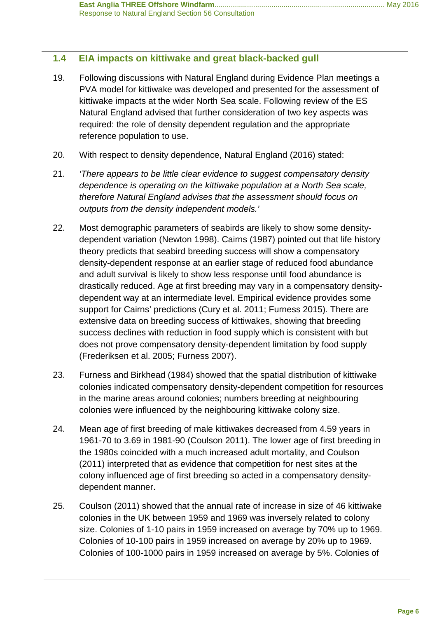| Response to Natural England Section 56 Consultation |  |
|-----------------------------------------------------|--|

#### <span id="page-79-0"></span>**1.4 EIA impacts on kittiwake and great black-backed gull**

- 19. Following discussions with Natural England during Evidence Plan meetings a PVA model for kittiwake was developed and presented for the assessment of kittiwake impacts at the wider North Sea scale. Following review of the ES Natural England advised that further consideration of two key aspects was required: the role of density dependent regulation and the appropriate reference population to use.
- 20. With respect to density dependence, Natural England (2016) stated:
- 21. *'There appears to be little clear evidence to suggest compensatory density dependence is operating on the kittiwake population at a North Sea scale, therefore Natural England advises that the assessment should focus on outputs from the density independent models.'*
- 22. Most demographic parameters of seabirds are likely to show some densitydependent variation (Newton 1998). Cairns (1987) pointed out that life history theory predicts that seabird breeding success will show a compensatory density-dependent response at an earlier stage of reduced food abundance and adult survival is likely to show less response until food abundance is drastically reduced. Age at first breeding may vary in a compensatory densitydependent way at an intermediate level. Empirical evidence provides some support for Cairns' predictions (Cury et al. 2011; Furness 2015). There are extensive data on breeding success of kittiwakes, showing that breeding success declines with reduction in food supply which is consistent with but does not prove compensatory density-dependent limitation by food supply (Frederiksen et al. 2005; Furness 2007).
- 23. Furness and Birkhead (1984) showed that the spatial distribution of kittiwake colonies indicated compensatory density-dependent competition for resources in the marine areas around colonies; numbers breeding at neighbouring colonies were influenced by the neighbouring kittiwake colony size.
- 24. Mean age of first breeding of male kittiwakes decreased from 4.59 years in 1961-70 to 3.69 in 1981-90 (Coulson 2011). The lower age of first breeding in the 1980s coincided with a much increased adult mortality, and Coulson (2011) interpreted that as evidence that competition for nest sites at the colony influenced age of first breeding so acted in a compensatory densitydependent manner.
- 25. Coulson (2011) showed that the annual rate of increase in size of 46 kittiwake colonies in the UK between 1959 and 1969 was inversely related to colony size. Colonies of 1-10 pairs in 1959 increased on average by 70% up to 1969. Colonies of 10-100 pairs in 1959 increased on average by 20% up to 1969. Colonies of 100-1000 pairs in 1959 increased on average by 5%. Colonies of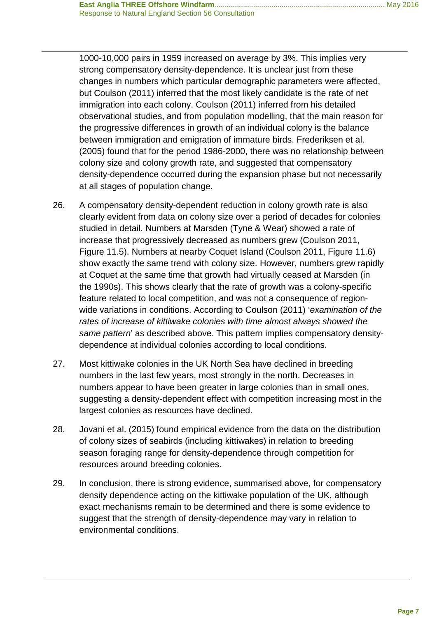| Response to Natural England Section 56 Consultation |  |
|-----------------------------------------------------|--|

1000-10,000 pairs in 1959 increased on average by 3%. This implies very strong compensatory density-dependence. It is unclear just from these changes in numbers which particular demographic parameters were affected, but Coulson (2011) inferred that the most likely candidate is the rate of net immigration into each colony. Coulson (2011) inferred from his detailed observational studies, and from population modelling, that the main reason for the progressive differences in growth of an individual colony is the balance between immigration and emigration of immature birds. Frederiksen et al. (2005) found that for the period 1986-2000, there was no relationship between colony size and colony growth rate, and suggested that compensatory density-dependence occurred during the expansion phase but not necessarily at all stages of population change.

- 26. A compensatory density-dependent reduction in colony growth rate is also clearly evident from data on colony size over a period of decades for colonies studied in detail. Numbers at Marsden (Tyne & Wear) showed a rate of increase that progressively decreased as numbers grew (Coulson 2011, Figure 11.5). Numbers at nearby Coquet Island (Coulson 2011, Figure 11.6) show exactly the same trend with colony size. However, numbers grew rapidly at Coquet at the same time that growth had virtually ceased at Marsden (in the 1990s). This shows clearly that the rate of growth was a colony-specific feature related to local competition, and was not a consequence of regionwide variations in conditions. According to Coulson (2011) '*examination of the rates of increase of kittiwake colonies with time almost always showed the same pattern*' as described above. This pattern implies compensatory densitydependence at individual colonies according to local conditions.
- 27. Most kittiwake colonies in the UK North Sea have declined in breeding numbers in the last few years, most strongly in the north. Decreases in numbers appear to have been greater in large colonies than in small ones, suggesting a density-dependent effect with competition increasing most in the largest colonies as resources have declined.
- 28. Jovani et al. (2015) found empirical evidence from the data on the distribution of colony sizes of seabirds (including kittiwakes) in relation to breeding season foraging range for density-dependence through competition for resources around breeding colonies.
- 29. In conclusion, there is strong evidence, summarised above, for compensatory density dependence acting on the kittiwake population of the UK, although exact mechanisms remain to be determined and there is some evidence to suggest that the strength of density-dependence may vary in relation to environmental conditions.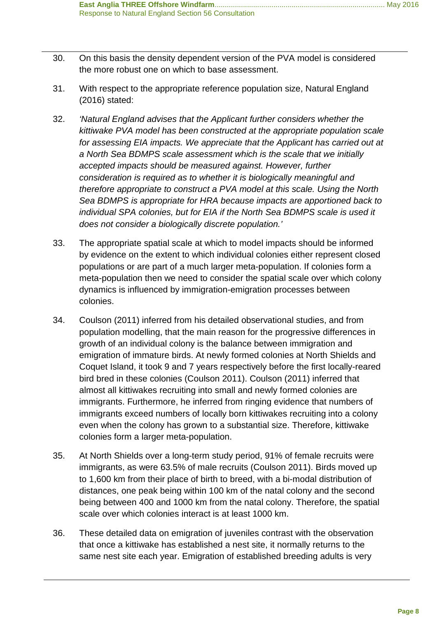| Response to Natural England Section 56 Consultation |  |
|-----------------------------------------------------|--|

- 30. On this basis the density dependent version of the PVA model is considered the more robust one on which to base assessment.
- 31. With respect to the appropriate reference population size, Natural England (2016) stated:
- 32. *'Natural England advises that the Applicant further considers whether the kittiwake PVA model has been constructed at the appropriate population scale for assessing EIA impacts. We appreciate that the Applicant has carried out at a North Sea BDMPS scale assessment which is the scale that we initially accepted impacts should be measured against. However, further consideration is required as to whether it is biologically meaningful and therefore appropriate to construct a PVA model at this scale. Using the North Sea BDMPS is appropriate for HRA because impacts are apportioned back to individual SPA colonies, but for EIA if the North Sea BDMPS scale is used it does not consider a biologically discrete population.'*
- 33. The appropriate spatial scale at which to model impacts should be informed by evidence on the extent to which individual colonies either represent closed populations or are part of a much larger meta-population. If colonies form a meta-population then we need to consider the spatial scale over which colony dynamics is influenced by immigration-emigration processes between colonies.
- 34. Coulson (2011) inferred from his detailed observational studies, and from population modelling, that the main reason for the progressive differences in growth of an individual colony is the balance between immigration and emigration of immature birds. At newly formed colonies at North Shields and Coquet Island, it took 9 and 7 years respectively before the first locally-reared bird bred in these colonies (Coulson 2011). Coulson (2011) inferred that almost all kittiwakes recruiting into small and newly formed colonies are immigrants. Furthermore, he inferred from ringing evidence that numbers of immigrants exceed numbers of locally born kittiwakes recruiting into a colony even when the colony has grown to a substantial size. Therefore, kittiwake colonies form a larger meta-population.
- 35. At North Shields over a long-term study period, 91% of female recruits were immigrants, as were 63.5% of male recruits (Coulson 2011). Birds moved up to 1,600 km from their place of birth to breed, with a bi-modal distribution of distances, one peak being within 100 km of the natal colony and the second being between 400 and 1000 km from the natal colony. Therefore, the spatial scale over which colonies interact is at least 1000 km.
- 36. These detailed data on emigration of juveniles contrast with the observation that once a kittiwake has established a nest site, it normally returns to the same nest site each year. Emigration of established breeding adults is very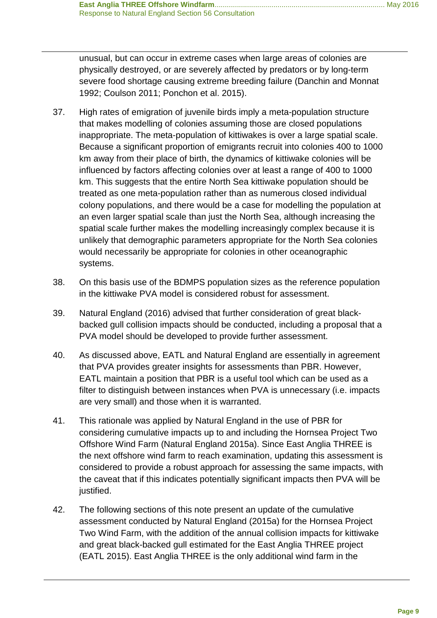| Response to Natural England Section 56 Consultation |  |
|-----------------------------------------------------|--|

unusual, but can occur in extreme cases when large areas of colonies are physically destroyed, or are severely affected by predators or by long-term severe food shortage causing extreme breeding failure (Danchin and Monnat 1992; Coulson 2011; Ponchon et al. 2015).

- 37. High rates of emigration of juvenile birds imply a meta-population structure that makes modelling of colonies assuming those are closed populations inappropriate. The meta-population of kittiwakes is over a large spatial scale. Because a significant proportion of emigrants recruit into colonies 400 to 1000 km away from their place of birth, the dynamics of kittiwake colonies will be influenced by factors affecting colonies over at least a range of 400 to 1000 km. This suggests that the entire North Sea kittiwake population should be treated as one meta-population rather than as numerous closed individual colony populations, and there would be a case for modelling the population at an even larger spatial scale than just the North Sea, although increasing the spatial scale further makes the modelling increasingly complex because it is unlikely that demographic parameters appropriate for the North Sea colonies would necessarily be appropriate for colonies in other oceanographic systems.
- 38. On this basis use of the BDMPS population sizes as the reference population in the kittiwake PVA model is considered robust for assessment.
- 39. Natural England (2016) advised that further consideration of great blackbacked gull collision impacts should be conducted, including a proposal that a PVA model should be developed to provide further assessment.
- 40. As discussed above, EATL and Natural England are essentially in agreement that PVA provides greater insights for assessments than PBR. However, EATL maintain a position that PBR is a useful tool which can be used as a filter to distinguish between instances when PVA is unnecessary (i.e. impacts are very small) and those when it is warranted.
- 41. This rationale was applied by Natural England in the use of PBR for considering cumulative impacts up to and including the Hornsea Project Two Offshore Wind Farm (Natural England 2015a). Since East Anglia THREE is the next offshore wind farm to reach examination, updating this assessment is considered to provide a robust approach for assessing the same impacts, with the caveat that if this indicates potentially significant impacts then PVA will be justified.
- 42. The following sections of this note present an update of the cumulative assessment conducted by Natural England (2015a) for the Hornsea Project Two Wind Farm, with the addition of the annual collision impacts for kittiwake and great black-backed gull estimated for the East Anglia THREE project (EATL 2015). East Anglia THREE is the only additional wind farm in the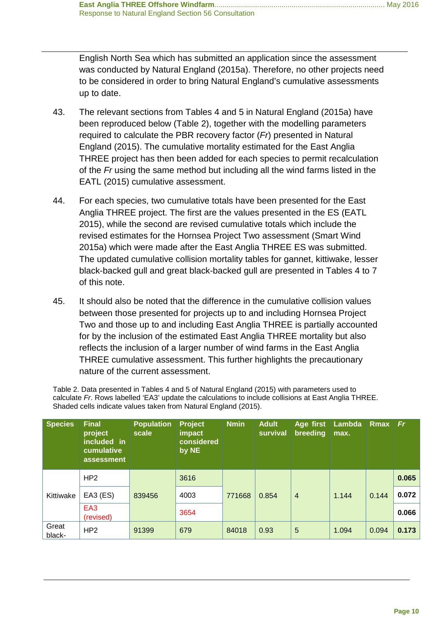| Response to Natural England Section 56 Consultation |  |
|-----------------------------------------------------|--|

English North Sea which has submitted an application since the assessment was conducted by Natural England (2015a). Therefore, no other projects need to be considered in order to bring Natural England's cumulative assessments up to date.

- 43. The relevant sections from Tables 4 and 5 in Natural England (2015a) have been reproduced below (Table 2), together with the modelling parameters required to calculate the PBR recovery factor (*Fr*) presented in Natural England (2015). The cumulative mortality estimated for the East Anglia THREE project has then been added for each species to permit recalculation of the *Fr* using the same method but including all the wind farms listed in the EATL (2015) cumulative assessment.
- 44. For each species, two cumulative totals have been presented for the East Anglia THREE project. The first are the values presented in the ES (EATL 2015), while the second are revised cumulative totals which include the revised estimates for the Hornsea Project Two assessment (Smart Wind 2015a) which were made after the East Anglia THREE ES was submitted. The updated cumulative collision mortality tables for gannet, kittiwake, lesser black-backed gull and great black-backed gull are presented in Tables 4 to 7 of this note.
- 45. It should also be noted that the difference in the cumulative collision values between those presented for projects up to and including Hornsea Project Two and those up to and including East Anglia THREE is partially accounted for by the inclusion of the estimated East Anglia THREE mortality but also reflects the inclusion of a larger number of wind farms in the East Anglia THREE cumulative assessment. This further highlights the precautionary nature of the current assessment.

Table 2. Data presented in Tables 4 and 5 of Natural England (2015) with parameters used to calculate *Fr*. Rows labelled 'EA3' update the calculations to include collisions at East Anglia THREE. Shaded cells indicate values taken from Natural England (2015).

| <b>Species</b>  | <b>Final</b><br>project<br>included in<br>cumulative<br>assessment | <b>Population</b><br>scale | <b>Project</b><br>impact<br>considered<br>by NE | <b>Nmin</b> | <b>Adult</b><br>survival | Age first<br>breeding | Lambda<br>max. | <b>Rmax</b> | <b>Fr</b> |
|-----------------|--------------------------------------------------------------------|----------------------------|-------------------------------------------------|-------------|--------------------------|-----------------------|----------------|-------------|-----------|
|                 | HP <sub>2</sub>                                                    |                            | 3616                                            |             |                          |                       |                |             | 0.065     |
| Kittiwake       | $E A3$ (ES)                                                        | 839456                     | 4003                                            | 771668      | 0.854                    | $\overline{4}$        | 1.144          | 0.144       | 0.072     |
|                 | EA <sub>3</sub><br>(revised)                                       |                            | 3654                                            |             |                          |                       |                |             | 0.066     |
| Great<br>black- | HP <sub>2</sub>                                                    | 91399                      | 679                                             | 84018       | 0.93                     | 5                     | 1.094          | 0.094       | 0.173     |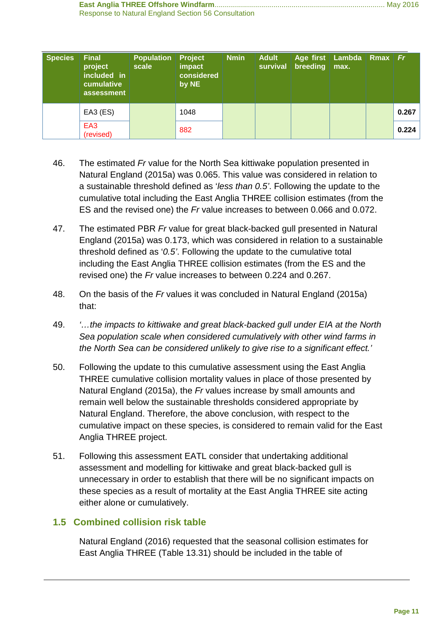| Response to Natural England Section 56 Consultation |  |
|-----------------------------------------------------|--|

| <b>Species</b> | <b>Final</b><br>project<br>included in<br>cumulative<br>assessment | <b>Population</b><br>scale | <b>Project</b><br>impact<br>considered<br>by NE | <b>Nmin</b> | <b>Adult</b><br>survival | Age first<br>breeding | $ $ Lambda $ $<br>$\parallel$ max. | <b>Rmax</b> $\vert$ Fr |       |
|----------------|--------------------------------------------------------------------|----------------------------|-------------------------------------------------|-------------|--------------------------|-----------------------|------------------------------------|------------------------|-------|
|                | EA3(ES)                                                            |                            | 1048                                            |             |                          |                       |                                    |                        | 0.267 |
|                | EA <sub>3</sub><br>(revised)                                       |                            | 882                                             |             |                          |                       |                                    |                        | 0.224 |

- 46. The estimated *Fr* value for the North Sea kittiwake population presented in Natural England (2015a) was 0.065. This value was considered in relation to a sustainable threshold defined as '*less than 0.5'*. Following the update to the cumulative total including the East Anglia THREE collision estimates (from the ES and the revised one) the *Fr* value increases to between 0.066 and 0.072.
- 47. The estimated PBR *Fr* value for great black-backed gull presented in Natural England (2015a) was 0.173, which was considered in relation to a sustainable threshold defined as '*0.5'*. Following the update to the cumulative total including the East Anglia THREE collision estimates (from the ES and the revised one) the *Fr* value increases to between 0.224 and 0.267.
- 48. On the basis of the *Fr* values it was concluded in Natural England (2015a) that:
- 49. *'…the impacts to kittiwake and great black-backed gull under EIA at the North Sea population scale when considered cumulatively with other wind farms in the North Sea can be considered unlikely to give rise to a significant effect.'*
- 50. Following the update to this cumulative assessment using the East Anglia THREE cumulative collision mortality values in place of those presented by Natural England (2015a), the *Fr* values increase by small amounts and remain well below the sustainable thresholds considered appropriate by Natural England. Therefore, the above conclusion, with respect to the cumulative impact on these species, is considered to remain valid for the East Anglia THREE project.
- 51. Following this assessment EATL consider that undertaking additional assessment and modelling for kittiwake and great black-backed gull is unnecessary in order to establish that there will be no significant impacts on these species as a result of mortality at the East Anglia THREE site acting either alone or cumulatively.

#### <span id="page-84-0"></span>**1.5 Combined collision risk table**

Natural England (2016) requested that the seasonal collision estimates for East Anglia THREE (Table 13.31) should be included in the table of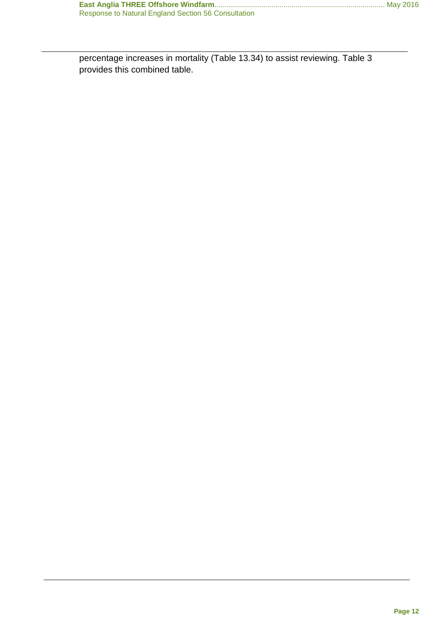| Response to Natural England Section 56 Consultation |  |
|-----------------------------------------------------|--|

percentage increases in mortality (Table 13.34) to assist reviewing. Table 3 provides this combined table.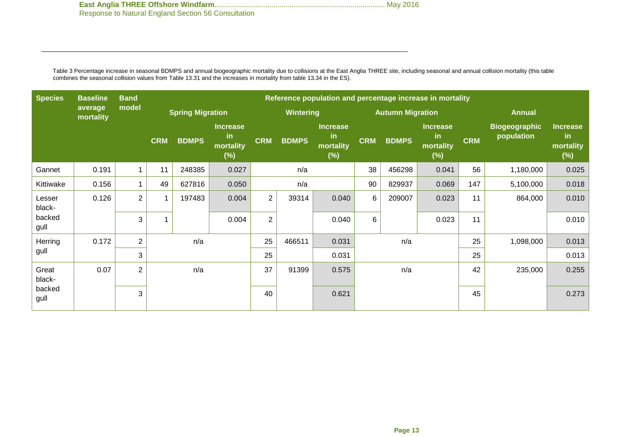Table 3 Percentage increase in seasonal BDMPS and annual biogeographic mortality due to collisions at the East Anglia THREE site, including seasonal and annual collision mortality (this table combines the seasonal collision values from Table 13.31 and the increases in mortality from table 13.34 in the ES).

| <b>Species</b>   | <b>Baseline</b>      | <b>Band</b>    |                         |              |                                               |                |                                                               | Reference population and percentage increase in mortality |            |              |                                            |            |                                    |                                                         |  |  |
|------------------|----------------------|----------------|-------------------------|--------------|-----------------------------------------------|----------------|---------------------------------------------------------------|-----------------------------------------------------------|------------|--------------|--------------------------------------------|------------|------------------------------------|---------------------------------------------------------|--|--|
|                  | average<br>mortality | model          | <b>Spring Migration</b> |              |                                               |                | Wintering<br><b>Autumn Migration</b>                          |                                                           |            |              |                                            |            | <b>Annual</b>                      |                                                         |  |  |
|                  |                      |                | <b>CRM</b>              | <b>BDMPS</b> | <b>Increase</b><br>in.<br>mortality<br>$(\%)$ | <b>CRM</b>     | <b>Increase</b><br>in.<br><b>BDMPS</b><br>mortality<br>$(\%)$ |                                                           | <b>CRM</b> | <b>BDMPS</b> | <b>Increase</b><br>in.<br>mortality<br>(%) | <b>CRM</b> | <b>Biogeographic</b><br>population | <b>Increase</b><br>$\mathsf{in}$<br>mortality<br>$(\%)$ |  |  |
| Gannet           | 0.191                | $\mathbf{1}$   | 11                      | 248385       | 0.027                                         |                | n/a                                                           |                                                           | 38         | 456298       | 0.041                                      | 56         | 1,180,000                          | 0.025                                                   |  |  |
| Kittiwake        | 0.156                | $\mathbf{1}$   | 49                      | 627816       | 0.050                                         |                | n/a                                                           |                                                           | 90         | 829937       | 0.069                                      | 147        | 5,100,000                          | 0.018                                                   |  |  |
| Lesser<br>black- | 0.126                | $\overline{2}$ | 1                       | 197483       | 0.004                                         | $\overline{2}$ | 39314                                                         | 0.040                                                     | 6          | 209007       | 0.023                                      | 11         | 864,000                            | 0.010                                                   |  |  |
| backed<br>gull   |                      | 3              |                         |              | 0.004                                         | $\overline{2}$ |                                                               | 0.040                                                     | 6          |              | 0.023                                      | 11         |                                    | 0.010                                                   |  |  |
| Herring          | 0.172                | $\overline{2}$ |                         | n/a          |                                               | 25             | 466511                                                        | 0.031                                                     | n/a        |              |                                            | 25         | 1,098,000                          | 0.013                                                   |  |  |
| gull             |                      | 3              |                         |              |                                               | 25             |                                                               | 0.031                                                     |            |              |                                            | 25         |                                    | 0.013                                                   |  |  |
| Great<br>black-  | 0.07                 | $\overline{2}$ |                         | n/a          |                                               | 37             | 91399                                                         | 0.575                                                     |            | n/a          |                                            | 42         | 235,000                            | 0.255                                                   |  |  |
| backed<br>gull   |                      | 3              |                         |              |                                               | 40             |                                                               | 0.621                                                     |            |              |                                            | 45         |                                    | 0.273                                                   |  |  |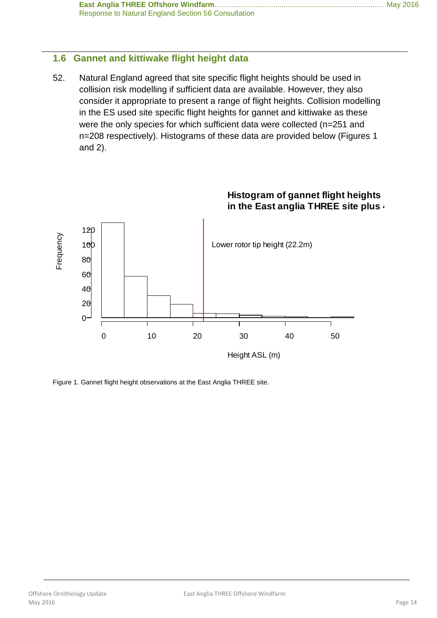| <b>Response to Natural England Section 56 Consultation</b> |  |
|------------------------------------------------------------|--|

#### <span id="page-87-0"></span>**1.6 Gannet and kittiwake flight height data**

52. Natural England agreed that site specific flight heights should be used in collision risk modelling if sufficient data are available. However, they also consider it appropriate to present a range of flight heights. Collision modelling in the ES used site specific flight heights for gannet and kittiwake as these were the only species for which sufficient data were collected (n=251 and n=208 respectively). Histograms of these data are provided below (Figures 1 and 2).



Figure 1. Gannet flight height observations at the East Anglia THREE site.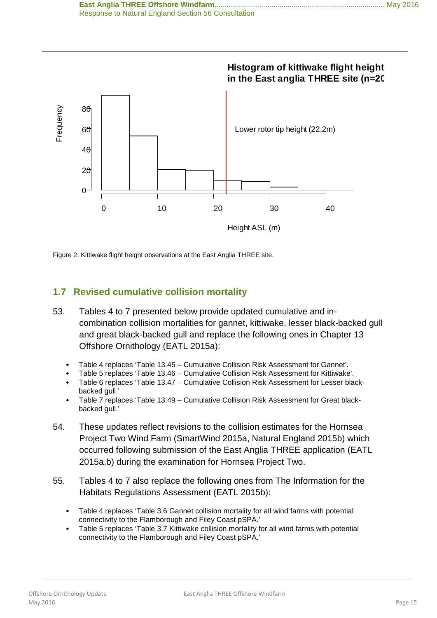| <b>Response to Natural England Section 56 Consultation</b> |  |
|------------------------------------------------------------|--|



Figure 2. Kittiwake flight height observations at the East Anglia THREE site.

#### <span id="page-88-0"></span>**1.7 Revised cumulative collision mortality**

- 53. Tables 4 to 7 presented below provide updated cumulative and incombination collision mortalities for gannet, kittiwake, lesser black-backed gull and great black-backed gull and replace the following ones in Chapter 13 Offshore Ornithology (EATL 2015a):
	- Table 4 replaces 'Table 13.45 Cumulative Collision Risk Assessment for Gannet'.
	- Table 5 replaces 'Table 13.46 Cumulative Collision Risk Assessment for Kittiwake'.
	- Table 6 replaces 'Table 13.47 Cumulative Collision Risk Assessment for Lesser blackbacked gull.'
	- Table 7 replaces 'Table 13.49 Cumulative Collision Risk Assessment for Great blackbacked gull.'
- 54. These updates reflect revisions to the collision estimates for the Hornsea Project Two Wind Farm (SmartWind 2015a, Natural England 2015b) which occurred following submission of the East Anglia THREE application (EATL 2015a,b) during the examination for Hornsea Project Two.
- 55. Tables 4 to 7 also replace the following ones from The Information for the Habitats Regulations Assessment (EATL 2015b):
	- Table 4 replaces 'Table 3.6 Gannet collision mortality for all wind farms with potential connectivity to the Flamborough and Filey Coast pSPA.'
	- Table 5 replaces 'Table 3.7 Kittiwake collision mortality for all wind farms with potential connectivity to the Flamborough and Filey Coast pSPA.'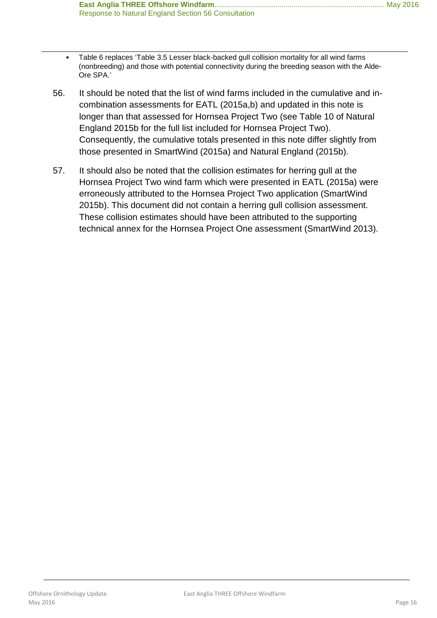| Response to Natural England Section 56 Consultation |  |
|-----------------------------------------------------|--|

- Table 6 replaces 'Table 3.5 Lesser black-backed gull collision mortality for all wind farms (nonbreeding) and those with potential connectivity during the breeding season with the Alde-Ore SPA.'
- 56. It should be noted that the list of wind farms included in the cumulative and incombination assessments for EATL (2015a,b) and updated in this note is longer than that assessed for Hornsea Project Two (see Table 10 of Natural England 2015b for the full list included for Hornsea Project Two). Consequently, the cumulative totals presented in this note differ slightly from those presented in SmartWind (2015a) and Natural England (2015b).
- 57. It should also be noted that the collision estimates for herring gull at the Hornsea Project Two wind farm which were presented in EATL (2015a) were erroneously attributed to the Hornsea Project Two application (SmartWind 2015b). This document did not contain a herring gull collision assessment. These collision estimates should have been attributed to the supporting technical annex for the Hornsea Project One assessment (SmartWind 2013).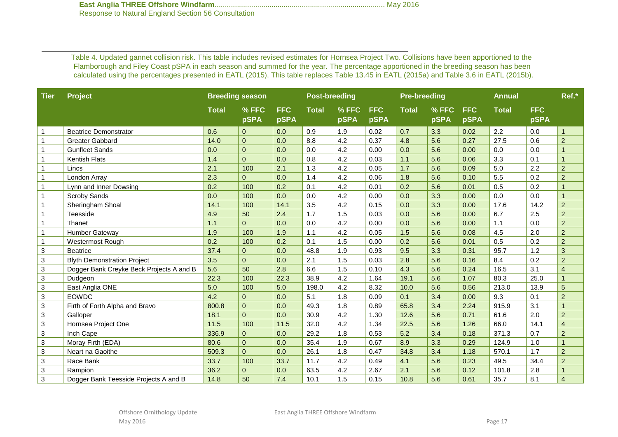#### **East Anglia THREE Offshore Windfarm**.................................................................................... May 2016 Response to Natural England Section 56 Consultation

Table 4. Updated gannet collision risk. This table includes revised estimates for Hornsea Project Two. Collisions have been apportioned to the Flamborough and Filey Coast pSPA in each season and summed for the year. The percentage apportioned in the breeding season has been calculated using the percentages presented in EATL (2015). This table replaces Table 13.45 in EATL (2015a) and Table 3.6 in EATL (2015b).

| <b>Tier</b> | <b>Project</b>                           |              | <b>Breeding season</b> |                    |              | <b>Post-breeding</b> |                           | <b>Pre-breeding</b> |               |                    | <b>Annual</b> | Ref.*                     |                         |
|-------------|------------------------------------------|--------------|------------------------|--------------------|--------------|----------------------|---------------------------|---------------------|---------------|--------------------|---------------|---------------------------|-------------------------|
|             |                                          | <b>Total</b> | % FFC<br><b>pSPA</b>   | <b>FFC</b><br>pSPA | <b>Total</b> | $%$ FFC<br>pSPA      | <b>FFC</b><br><b>pSPA</b> | <b>Total</b>        | % FFC<br>pSPA | <b>FFC</b><br>pSPA | <b>Total</b>  | <b>FFC</b><br><b>pSPA</b> |                         |
|             | <b>Beatrice Demonstrator</b>             | 0.6          | $\mathbf 0$            | 0.0                | 0.9          | 1.9                  | 0.02                      | 0.7                 | 3.3           | 0.02               | 2.2           | 0.0                       | $\mathbf{1}$            |
|             | <b>Greater Gabbard</b>                   | 14.0         | $\overline{0}$         | 0.0                | 8.8          | 4.2                  | 0.37                      | 4.8                 | 5.6           | 0.27               | 27.5          | 0.6                       | $\overline{2}$          |
|             | <b>Gunfleet Sands</b>                    | 0.0          | $\pmb{0}$              | 0.0                | 0.0          | 4.2                  | 0.00                      | 0.0                 | 5.6           | 0.00               | 0.0           | 0.0                       | $\mathbf{1}$            |
|             | <b>Kentish Flats</b>                     | 1.4          | $\mathbf 0$            | 0.0                | 0.8          | 4.2                  | 0.03                      | 1.1                 | 5.6           | 0.06               | 3.3           | 0.1                       | $\mathbf{1}$            |
|             | Lincs                                    | 2.1          | 100                    | 2.1                | 1.3          | 4.2                  | 0.05                      | 1.7                 | 5.6           | 0.09               | 5.0           | 2.2                       | $\overline{2}$          |
|             | London Array                             | 2.3          | $\Omega$               | 0.0                | 1.4          | 4.2                  | 0.06                      | 1.8                 | 5.6           | 0.10               | 5.5           | 0.2                       | $\overline{2}$          |
|             | Lynn and Inner Dowsing                   | 0.2          | 100                    | 0.2                | 0.1          | 4.2                  | 0.01                      | 0.2                 | 5.6           | 0.01               | 0.5           | 0.2                       | $\mathbf{1}$            |
|             | Scroby Sands                             | 0.0          | 100                    | 0.0                | 0.0          | 4.2                  | 0.00                      | 0.0                 | 3.3           | 0.00               | 0.0           | 0.0                       | $\mathbf{1}$            |
|             | Sheringham Shoal                         | 14.1         | 100                    | 14.1               | 3.5          | 4.2                  | 0.15                      | 0.0                 | 3.3           | 0.00               | 17.6          | 14.2                      | $\overline{2}$          |
|             | Teesside                                 | 4.9          | 50                     | 2.4                | 1.7          | 1.5                  | 0.03                      | 0.0                 | 5.6           | 0.00               | 6.7           | 2.5                       | $\overline{2}$          |
| 1           | Thanet                                   | 1.1          | $\mathbf 0$            | 0.0                | 0.0          | 4.2                  | 0.00                      | 0.0                 | 5.6           | 0.00               | 1.1           | 0.0                       | $\overline{2}$          |
|             | <b>Humber Gateway</b>                    | 1.9          | 100                    | 1.9                | 1.1          | 4.2                  | 0.05                      | 1.5                 | 5.6           | 0.08               | 4.5           | 2.0                       | $\overline{2}$          |
| 1           | Westermost Rough                         | 0.2          | 100                    | 0.2                | 0.1          | 1.5                  | 0.00                      | 0.2                 | 5.6           | 0.01               | 0.5           | 0.2                       | $\overline{2}$          |
| 3           | <b>Beatrice</b>                          | 37.4         | $\mathbf 0$            | 0.0                | 48.8         | 1.9                  | 0.93                      | 9.5                 | 3.3           | 0.31               | 95.7          | 1.2                       | 3                       |
| 3           | <b>Blyth Demonstration Project</b>       | 3.5          | $\mathbf 0$            | 0.0                | 2.1          | 1.5                  | 0.03                      | 2.8                 | 5.6           | 0.16               | 8.4           | 0.2                       | $\overline{2}$          |
| 3           | Dogger Bank Creyke Beck Projects A and B | 5.6          | 50                     | 2.8                | 6.6          | 1.5                  | 0.10                      | 4.3                 | 5.6           | 0.24               | 16.5          | 3.1                       | $\overline{\mathbf{4}}$ |
| 3           | Dudgeon                                  | 22.3         | 100                    | 22.3               | 38.9         | 4.2                  | 1.64                      | 19.1                | 5.6           | 1.07               | 80.3          | 25.0                      | $\mathbf{1}$            |
| 3           | East Anglia ONE                          | 5.0          | 100                    | 5.0                | 198.0        | 4.2                  | 8.32                      | 10.0                | 5.6           | 0.56               | 213.0         | 13.9                      | 5                       |
| 3           | EOWDC                                    | 4.2          | $\mathbf{0}$           | 0.0                | 5.1          | 1.8                  | 0.09                      | 0.1                 | 3.4           | 0.00               | 9.3           | 0.1                       | $\overline{2}$          |
| 3           | Firth of Forth Alpha and Bravo           | 800.8        | $\mathbf 0$            | 0.0                | 49.3         | 1.8                  | 0.89                      | 65.8                | 3.4           | 2.24               | 915.9         | 3.1                       | $\overline{1}$          |
| 3           | Galloper                                 | 18.1         | $\overline{0}$         | 0.0                | 30.9         | 4.2                  | 1.30                      | 12.6                | 5.6           | 0.71               | 61.6          | 2.0                       | $\overline{2}$          |
| 3           | Hornsea Project One                      | 11.5         | 100                    | 11.5               | 32.0         | 4.2                  | 1.34                      | 22.5                | 5.6           | 1.26               | 66.0          | 14.1                      | $\overline{4}$          |
| 3           | Inch Cape                                | 336.9        | $\mathbf 0$            | 0.0                | 29.2         | 1.8                  | 0.53                      | 5.2                 | 3.4           | 0.18               | 371.3         | 0.7                       | $\overline{2}$          |
| 3           | Moray Firth (EDA)                        | 80.6         | $\mathbf 0$            | 0.0                | 35.4         | 1.9                  | 0.67                      | 8.9                 | 3.3           | 0.29               | 124.9         | 1.0                       | $\mathbf{1}$            |
| 3           | Neart na Gaoithe                         | 509.3        | $\Omega$               | 0.0                | 26.1         | 1.8                  | 0.47                      | 34.8                | 3.4           | 1.18               | 570.1         | 1.7                       | $\overline{2}$          |
| 3           | Race Bank                                | 33.7         | 100                    | 33.7               | 11.7         | 4.2                  | 0.49                      | 4.1                 | 5.6           | 0.23               | 49.5          | 34.4                      | $\overline{2}$          |
| 3           | Rampion                                  | 36.2         | $\mathbf{0}$           | 0.0                | 63.5         | 4.2                  | 2.67                      | 2.1                 | 5.6           | 0.12               | 101.8         | 2.8                       | $\mathbf{1}$            |
| 3           | Dogger Bank Teesside Projects A and B    | 14.8         | 50                     | 7.4                | 10.1         | 1.5                  | 0.15                      | 10.8                | 5.6           | 0.61               | 35.7          | 8.1                       | $\overline{4}$          |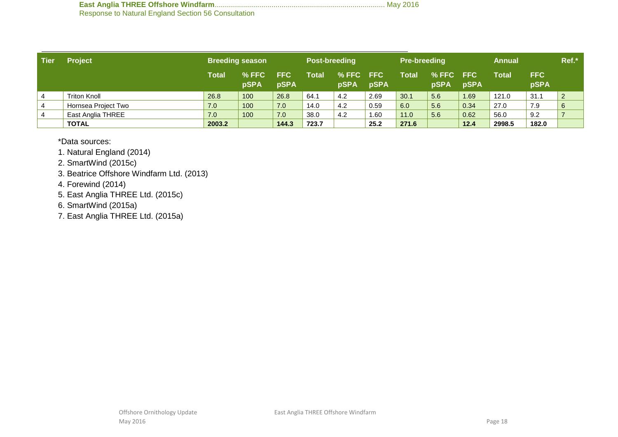#### **East Anglia THREE Offshore Windfarm**.................................................................................... May 2016

Response to Natural England Section 56 Consultation

| <b>Tier</b> | <b>Project</b>      | <b>Breeding season</b> |                        |                    | <b>Post-breeding</b> |                            |                    | <b>Pre-breeding</b> |                              |                    | <b>Annual</b> | Ref.*              |                 |
|-------------|---------------------|------------------------|------------------------|--------------------|----------------------|----------------------------|--------------------|---------------------|------------------------------|--------------------|---------------|--------------------|-----------------|
|             |                     | Total                  | $%$ FFC<br><b>pSPA</b> | <b>FFC</b><br>pSPA | <b>Total</b>         | $%$ FFC $+$<br><b>pSPA</b> | <b>FFC</b><br>pSPA | <b>Total</b>        | $\%$ FFC $\%$<br><b>pSPA</b> | <b>FFC</b><br>pSPA | Total         | <b>FFC</b><br>pSPA |                 |
|             | <b>Triton Knoll</b> | 26.8                   | 100                    | 26.8               | 64.1                 | 4.2                        | 2.69               | 30.1                | 5.6                          | 1.69               | 121.0         | 31.1               | $\overline{2}$  |
|             | Hornsea Project Two | 7.0                    | 100                    | 7.0                | 14.0                 | 4.2                        | 0.59               | 6.0                 | 5.6                          | 0.34               | 27.0          | 7.9                | $6\overline{6}$ |
|             | East Anglia THREE   | 7.0                    | 100                    | 7.0                | 38.0                 | 4.2                        | 1.60               | 11.0                | 5.6                          | 0.62               | 56.0          | 9.2                |                 |
|             | <b>TOTAL</b>        | 2003.2                 |                        | 144.3              | 723.7                |                            | 25.2               | 271.6               |                              | 12.4               | 2998.5        | 182.0              |                 |

\*Data sources:

1. Natural England (2014)

2. SmartWind (2015c)

3. Beatrice Offshore Windfarm Ltd. (2013)

4. Forewind (2014)

5. East Anglia THREE Ltd. (2015c)

6. SmartWind (2015a)

7. East Anglia THREE Ltd. (2015a)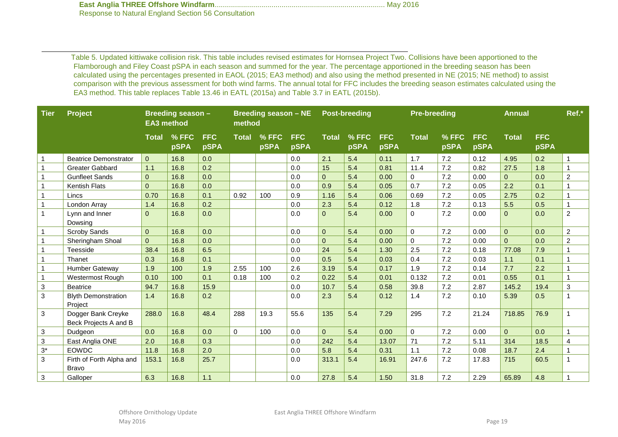Table 5. Updated kittiwake collision risk. This table includes revised estimates for Hornsea Project Two. Collisions have been apportioned to the Flamborough and Filey Coast pSPA in each season and summed for the year. The percentage apportioned in the breeding season has been calculated using the percentages presented in EAOL (2015; EA3 method) and also using the method presented in NE (2015; NE method) to assist comparison with the previous assessment for both wind farms. The annual total for FFC includes the breeding season estimates calculated using the EA3 method. This table replaces Table 13.46 in EATL (2015a) and Table 3.7 in EATL (2015b).

| <b>Tier</b>  | <b>Project</b>                              | <b>EA3</b> method | <b>Breeding season -</b> |                    | method       | Breeding season - NE   |                    | <b>Post-breeding</b> |                 |                    | <b>Pre-breeding</b> |                     |                           | <b>Annual</b>  | Ref.*                     |                  |
|--------------|---------------------------------------------|-------------------|--------------------------|--------------------|--------------|------------------------|--------------------|----------------------|-----------------|--------------------|---------------------|---------------------|---------------------------|----------------|---------------------------|------------------|
|              |                                             | <b>Total</b>      | % FFC<br><b>pSPA</b>     | <b>FFC</b><br>pSPA | <b>Total</b> | $%$ FFC<br><b>pSPA</b> | <b>FFC</b><br>pSPA | <b>Total</b>         | $%$ FFC<br>pSPA | <b>FFC</b><br>pSPA | <b>Total</b>        | %FFC<br><b>pSPA</b> | <b>FFC</b><br><b>pSPA</b> | <b>Total</b>   | <b>FFC</b><br><b>pSPA</b> |                  |
|              | <b>Beatrice Demonstrator</b>                | $\overline{0}$    | 16.8                     | 0.0                |              |                        | 0.0                | 2.1                  | 5.4             | 0.11               | 1.7                 | 7.2                 | 0.12                      | 4.95           | 0.2                       | $\mathbf{1}$     |
|              | <b>Greater Gabbard</b>                      | 1.1               | 16.8                     | 0.2                |              |                        | 0.0                | 15                   | 5.4             | 0.81               | 11.4                | 7.2                 | 0.82                      | 27.5           | 1.8                       |                  |
|              | <b>Gunfleet Sands</b>                       | $\overline{0}$    | 16.8                     | 0.0                |              |                        | 0.0                | $\Omega$             | 5.4             | 0.00               | $\mathbf 0$         | 7.2                 | 0.00                      | $\overline{0}$ | 0.0                       | $\overline{2}$   |
|              | <b>Kentish Flats</b>                        | $\Omega$          | 16.8                     | 0.0                |              |                        | 0.0                | 0.9                  | 5.4             | 0.05               | 0.7                 | 7.2                 | 0.05                      | 2.2            | 0.1                       | $\mathbf 1$      |
|              | Lincs                                       | 0.70              | 16.8                     | 0.1                | 0.92         | 100                    | 0.9                | 1.16                 | 5.4             | 0.06               | 0.69                | 7.2                 | 0.05                      | 2.75           | 0.2                       | 1                |
|              | London Array                                | 1.4               | 16.8                     | 0.2                |              |                        | 0.0                | 2.3                  | 5.4             | 0.12               | 1.8                 | 7.2                 | 0.13                      | 5.5            | 0.5                       | $\mathbf 1$      |
|              | Lynn and Inner<br>Dowsing                   | $\Omega$          | 16.8                     | 0.0                |              |                        | 0.0                | $\Omega$             | 5.4             | 0.00               | $\Omega$            | 7.2                 | 0.00                      | $\Omega$       | 0.0                       | $\boldsymbol{2}$ |
|              | <b>Scroby Sands</b>                         | $\Omega$          | 16.8                     | 0.0                |              |                        | 0.0                | $\overline{0}$       | 5.4             | 0.00               | $\mathbf 0$         | 7.2                 | 0.00                      | $\overline{0}$ | 0.0                       | $\overline{a}$   |
|              | Sheringham Shoal                            | $\overline{0}$    | 16.8                     | 0.0                |              |                        | 0.0                | $\overline{0}$       | 5.4             | 0.00               | $\mathbf 0$         | 7.2                 | 0.00                      | $\overline{0}$ | 0.0                       | $\overline{2}$   |
|              | Teesside                                    | 38.4              | 16.8                     | 6.5                |              |                        | 0.0                | 24                   | 5.4             | 1.30               | 2.5                 | 7.2                 | 0.18                      | 77.08          | 7.9                       | $\mathbf 1$      |
|              | Thanet                                      | 0.3               | 16.8                     | 0.1                |              |                        | 0.0                | 0.5                  | 5.4             | 0.03               | 0.4                 | 7.2                 | 0.03                      | 1.1            | 0.1                       | $\mathbf 1$      |
|              | Humber Gateway                              | 1.9               | 100                      | 1.9                | 2.55         | 100                    | 2.6                | 3.19                 | 5.4             | 0.17               | 1.9                 | 7.2                 | 0.14                      | 7.7            | 2.2                       | $\mathbf 1$      |
|              | Westermost Rough                            | 0.10              | 100                      | 0.1                | 0.18         | 100                    | 0.2                | 0.22                 | 5.4             | 0.01               | 0.132               | 7.2                 | 0.01                      | 0.55           | 0.1                       | $\mathbf 1$      |
| 3            | <b>Beatrice</b>                             | 94.7              | 16.8                     | 15.9               |              |                        | 0.0                | 10.7                 | 5.4             | 0.58               | 39.8                | 7.2                 | 2.87                      | 145.2          | 19.4                      | 3                |
| 3            | <b>Blyth Demonstration</b><br>Project       | 1.4               | 16.8                     | 0.2                |              |                        | 0.0                | 2.3                  | 5.4             | 0.12               | 1.4                 | 7.2                 | 0.10                      | 5.39           | 0.5                       | $\mathbf{1}$     |
| $\mathbf{3}$ | Dogger Bank Creyke<br>Beck Projects A and B | 288.0             | 16.8                     | 48.4               | 288          | 19.3                   | 55.6               | 135                  | 5.4             | 7.29               | 295                 | 7.2                 | 21.24                     | 718.85         | 76.9                      | 1                |
| 3            | Dudgeon                                     | 0.0               | 16.8                     | 0.0                | $\Omega$     | 100                    | 0.0                | $\Omega$             | 5.4             | 0.00               | $\Omega$            | 7.2                 | 0.00                      | $\Omega$       | 0.0                       | $\mathbf{1}$     |
| $\mathbf 3$  | East Anglia ONE                             | 2.0               | 16.8                     | 0.3                |              |                        | 0.0                | 242                  | 5.4             | 13.07              | 71                  | 7.2                 | 5.11                      | 314            | 18.5                      | 4                |
| $3^*$        | EOWDC                                       | 11.8              | 16.8                     | 2.0                |              |                        | 0.0                | 5.8                  | 5.4             | 0.31               | 1.1                 | 7.2                 | 0.08                      | 18.7           | 2.4                       | $\mathbf 1$      |
| 3            | Firth of Forth Alpha and<br>Bravo           | 153.1             | 16.8                     | 25.7               |              |                        | 0.0                | 313.1                | 5.4             | 16.91              | 247.6               | 7.2                 | 17.83                     | 715            | 60.5                      | $\mathbf{1}$     |
| 3            | Galloper                                    | 6.3               | 16.8                     | 1.1                |              |                        | 0.0                | 27.8                 | 5.4             | 1.50               | 31.8                | 7.2                 | 2.29                      | 65.89          | 4.8                       | 1                |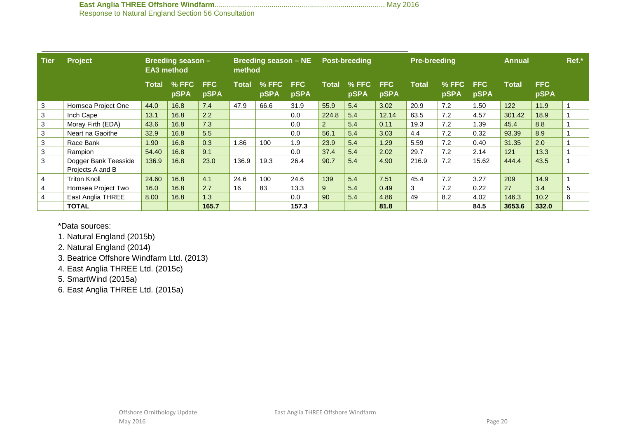#### **East Anglia THREE Offshore Windfarm**.................................................................................... May 2016

Response to Natural England Section 56 Consultation

| <b>Tier</b> | <b>Project</b>           |       | <b>Breeding season -</b><br><b>EA3</b> method |                    | method | <b>Breeding season - NE</b>   |                    | <b>Post-breeding</b> |                 | <b>Pre-breeding</b> |              | Annual                 |                           | Ref.*        |                           |   |
|-------------|--------------------------|-------|-----------------------------------------------|--------------------|--------|-------------------------------|--------------------|----------------------|-----------------|---------------------|--------------|------------------------|---------------------------|--------------|---------------------------|---|
|             |                          | Total | $%$ FFC $\overline{\phantom{a}}$<br>pSPA      | <b>FFC</b><br>pSPA | Total  | $\sqrt{2}$ FFC<br><b>pSPA</b> | <b>FFC</b><br>pSPA | Total                | $%$ FFC<br>pSPA | <b>FFC</b><br>pSPA  | <b>Total</b> | $%$ FFC<br><b>pSPA</b> | <b>FFC</b><br><b>pSPA</b> | <b>Total</b> | <b>FFC</b><br><b>pSPA</b> |   |
| 3           | Hornsea Project One      | 44.0  | 16.8                                          | 7.4                | 47.9   | 66.6                          | 31.9               | 55.9                 | 5.4             | 3.02                | 20.9         | 7.2                    | 1.50                      | 122          | 11.9                      |   |
| 3           | Inch Cape                | 13.1  | 16.8                                          | 2.2                |        |                               | 0.0                | 224.8                | 5.4             | 12.14               | 63.5         | 7.2                    | 4.57                      | 301.42       | 18.9                      |   |
| 3           | Moray Firth (EDA)        | 43.6  | 16.8                                          | 7.3                |        |                               | 0.0                | $\overline{2}$       | 5.4             | 0.11                | 19.3         | 7.2                    | 1.39                      | 45.4         | 8.8                       |   |
| 3           | Neart na Gaoithe         | 32.9  | 16.8                                          | 5.5                |        |                               | 0.0                | 56.1                 | 5.4             | 3.03                | 4.4          | 7.2                    | 0.32                      | 93.39        | 8.9                       |   |
| 3           | Race Bank                | 1.90  | 16.8                                          | 0.3                | 1.86   | 100                           | 1.9                | 23.9                 | 5.4             | 1.29                | 5.59         | 7.2                    | 0.40                      | 31.35        | 2.0                       |   |
| 3           | Rampion                  | 54.40 | 16.8                                          | 9.1                |        |                               | 0.0                | 37.4                 | 5.4             | 2.02                | 29.7         | 7.2                    | 2.14                      | 121          | 13.3                      |   |
| 3           | Dogger Bank Teesside     | 136.9 | 16.8                                          | 23.0               | 136.9  | 19.3                          | 26.4               | 90.7                 | 5.4             | 4.90                | 216.9        | 7.2                    | 15.62                     | 444.4        | 43.5                      |   |
|             | Projects A and B         |       |                                               |                    |        |                               |                    |                      |                 |                     |              |                        |                           |              |                           |   |
| 4           | <b>Triton Knoll</b>      | 24.60 | 16.8                                          | 4.1                | 24.6   | 100                           | 24.6               | 139                  | 5.4             | 7.51                | 45.4         | 7.2                    | 3.27                      | 209          | 14.9                      |   |
|             | Hornsea Project Two      | 16.0  | 16.8                                          | 2.7                | 16     | 83                            | 13.3               | 9                    | 5.4             | 0.49                | 3            | 7.2                    | 0.22                      | 27           | 3.4                       | 5 |
|             | <b>East Anglia THREE</b> | 8.00  | 16.8                                          | 1.3                |        |                               | 0.0                | 90                   | 5.4             | 4.86                | 49           | 8.2                    | 4.02                      | 146.3        | 10.2                      | 6 |
|             | <b>TOTAL</b>             |       |                                               | 165.7              |        |                               | 157.3              |                      |                 | 81.8                |              |                        | 84.5                      | 3653.6       | 332.0                     |   |

\*Data sources:

1. Natural England (2015b)

2. Natural England (2014)

3. Beatrice Offshore Windfarm Ltd. (2013)

4. East Anglia THREE Ltd. (2015c)

5. SmartWind (2015a)

6. East Anglia THREE Ltd. (2015a)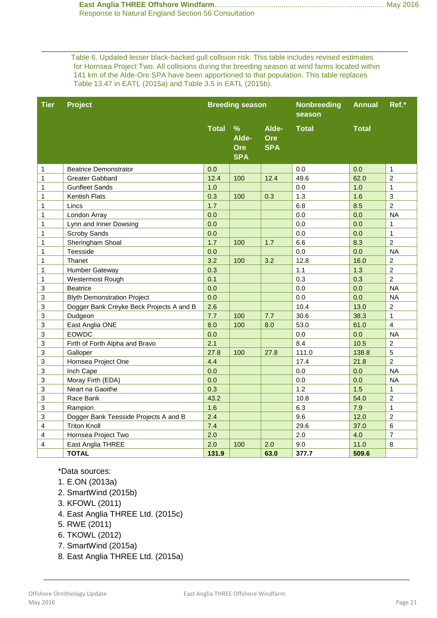| Response to Natural England Section 56 Consultation |  |
|-----------------------------------------------------|--|

Table 6. Updated lesser black-backed gull collision risk. This table includes revised estimates for Hornsea Project Two. All collisions during the breeding season at wind farms located within 141 km of the Alde-Ore SPA have been apportioned to that population. This table replaces Table 13.47 in EATL (2015a) and Table 3.5 in EATL (2015b).

| <b>Tier</b>               | <b>Project</b>                           |              | <b>Breeding season</b>                    |                            | <b>Nonbreeding</b><br>season | <b>Annual</b> | Ref.*          |
|---------------------------|------------------------------------------|--------------|-------------------------------------------|----------------------------|------------------------------|---------------|----------------|
|                           |                                          | <b>Total</b> | $\%$<br>Alde-<br><b>Ore</b><br><b>SPA</b> | Alde-<br>Ore<br><b>SPA</b> | <b>Total</b>                 | <b>Total</b>  |                |
| $\mathbf{1}$              | <b>Beatrice Demonstrator</b>             | 0.0          |                                           |                            | 0.0                          | 0.0           | $\mathbf{1}$   |
| $\mathbf{1}$              | <b>Greater Gabbard</b>                   | 12.4         | 100                                       | 12.4                       | 49.6                         | 62.0          | $\overline{2}$ |
| $\overline{1}$            | <b>Gunfleet Sands</b>                    | 1.0          |                                           |                            | 0.0                          | 1.0           | 1              |
| $\mathbf 1$               | Kentish Flats                            | 0.3          | 100                                       | 0.3                        | 1.3                          | 1.6           | $\mathbf{3}$   |
| $\mathbf 1$               | Lincs                                    | 1.7          |                                           |                            | 6.8                          | 8.5           | $\overline{c}$ |
| 1                         | London Array                             | 0.0          |                                           |                            | 0.0                          | 0.0           | <b>NA</b>      |
| $\mathbf 1$               | Lynn and Inner Dowsing                   | 0.0          |                                           |                            | 0.0                          | 0.0           | 1              |
| $\mathbf{1}$              | Scroby Sands                             | 0.0          |                                           |                            | 0.0                          | 0.0           | 1              |
| 1                         | Sheringham Shoal                         | 1.7          | 100                                       | 1.7                        | 6.6                          | 8.3           | $\overline{2}$ |
| $\mathbf 1$               | Teesside                                 | 0.0          |                                           |                            | 0.0                          | 0.0           | <b>NA</b>      |
| $\mathbf{1}$              | Thanet                                   | 3.2          | 100                                       | 3.2                        | 12.8                         | 16.0          | $\overline{2}$ |
| $\overline{1}$            | Humber Gateway                           | 0.3          |                                           |                            | $1.1$                        | 1.3           | $\overline{2}$ |
| $\mathbf{1}$              | Westermost Rough                         | 0.1          |                                           |                            | 0.3                          | 0.3           | $\overline{2}$ |
| 3                         | <b>Beatrice</b>                          | 0.0          |                                           |                            | 0.0                          | 0.0           | <b>NA</b>      |
| 3                         | <b>Blyth Demonstration Project</b>       | 0.0          |                                           |                            | 0.0                          | 0.0           | <b>NA</b>      |
| $\mathfrak{S}$            | Dogger Bank Creyke Beck Projects A and B | 2.6          |                                           |                            | 10.4                         | 13.0          | $\overline{2}$ |
| $\mathfrak{S}$            | Dudgeon                                  | 7.7          | 100                                       | 7.7                        | 30.6                         | 38.3          | $\mathbf{1}$   |
| $\mathbf{3}$              | East Anglia ONE                          | 8.0          | 100                                       | 8.0                        | 53.0                         | 61.0          | $\overline{4}$ |
| $\mathfrak{S}$            | EOWDC                                    | 0.0          |                                           |                            | 0.0                          | 0.0           | <b>NA</b>      |
| $\mathfrak{S}$            | Firth of Forth Alpha and Bravo           | 2.1          |                                           |                            | 8.4                          | 10.5          | $\overline{c}$ |
| $\mathfrak{S}$            | Galloper                                 | 27.8         | 100                                       | 27.8                       | 111.0                        | 138.8         | 5              |
| $\mathfrak{S}$            | Hornsea Project One                      | 4.4          |                                           |                            | 17.4                         | 21.8          | $\overline{2}$ |
| 3                         | Inch Cape                                | 0.0          |                                           |                            | 0.0                          | 0.0           | <b>NA</b>      |
| 3                         | Moray Firth (EDA)                        | 0.0          |                                           |                            | 0.0                          | 0.0           | <b>NA</b>      |
| $\mathbf{3}$              | Neart na Gaoithe                         | 0.3          |                                           |                            | 1.2                          | 1.5           | $\mathbf{1}$   |
| $\mathbf 3$               | Race Bank                                | 43.2         |                                           |                            | 10.8                         | 54.0          | $\sqrt{2}$     |
| $\ensuremath{\mathsf{3}}$ | Rampion                                  | 1.6          |                                           |                            | 6.3                          | 7.9           | $\mathbf{1}$   |
| 3                         | Dogger Bank Teesside Projects A and B    | 2.4          |                                           |                            | 9.6                          | 12.0          | $\overline{c}$ |
| $\overline{4}$            | <b>Triton Knoll</b>                      | 7.4          |                                           |                            | 29.6                         | 37.0          | 6              |
| $\overline{4}$            | Hornsea Project Two                      | 2.0          |                                           |                            | 2.0                          | 4.0           | $\overline{7}$ |
| 4                         | East Anglia THREE                        | 2.0          | 100                                       | 2.0                        | 9.0                          | 11.0          | 8              |
|                           | <b>TOTAL</b>                             | 131.9        |                                           | 63.0                       | 377.7                        | 509.6         |                |

\*Data sources:

- 1. E.ON (2013a)
- 2. SmartWind (2015b)
- 3. KFOWL (2011)
- 4. East Anglia THREE Ltd. (2015c)
- 5. RWE (2011)
- 6. TKOWL (2012)
- 7. SmartWind (2015a)
- 8. East Anglia THREE Ltd. (2015a)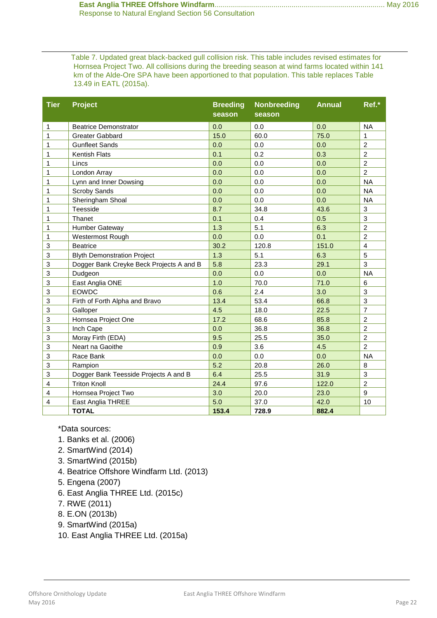| Response to Natural England Section 56 Consultation |  |
|-----------------------------------------------------|--|

Table 7. Updated great black-backed gull collision risk. This table includes revised estimates for Hornsea Project Two. All collisions during the breeding season at wind farms located within 141 km of the Alde-Ore SPA have been apportioned to that population. This table replaces Table 13.49 in EATL (2015a).

| <b>Tier</b>    | <b>Project</b>                           | <b>Breeding</b><br>season | <b>Nonbreeding</b><br>season | <b>Annual</b> | Ref.*          |
|----------------|------------------------------------------|---------------------------|------------------------------|---------------|----------------|
| 1              | <b>Beatrice Demonstrator</b>             | 0.0                       | 0.0                          | 0.0           | <b>NA</b>      |
| 1              | <b>Greater Gabbard</b>                   | 15.0                      | 60.0                         | 75.0          | 1              |
| 1              | <b>Gunfleet Sands</b>                    | 0.0                       | 0.0                          | 0.0           | $\overline{2}$ |
| 1              | <b>Kentish Flats</b>                     | 0.1                       | 0.2                          | 0.3           | $\overline{2}$ |
| 1              | Lincs                                    | 0.0                       | 0.0                          | 0.0           | $\overline{2}$ |
| 1              | London Array                             | 0.0                       | 0.0                          | 0.0           | $\overline{2}$ |
| 1              | Lynn and Inner Dowsing                   | 0.0                       | 0.0                          | 0.0           | <b>NA</b>      |
| $\mathbf{1}$   | <b>Scroby Sands</b>                      | 0.0                       | 0.0                          | 0.0           | <b>NA</b>      |
| 1              | Sheringham Shoal                         | 0.0                       | 0.0                          | 0.0           | <b>NA</b>      |
| 1              | Teesside                                 | 8.7                       | 34.8                         | 43.6          | $\mathbf{3}$   |
| 1              | Thanet                                   | 0.1                       | 0.4                          | 0.5           | 3              |
| 1              | Humber Gateway                           | 1.3                       | 5.1                          | 6.3           | $\overline{c}$ |
| 1              | Westermost Rough                         | 0.0                       | $0.0\,$                      | 0.1           | $\overline{2}$ |
| 3              | <b>Beatrice</b>                          | 30.2                      | 120.8                        | 151.0         | $\overline{4}$ |
| 3              | <b>Blyth Demonstration Project</b>       | 1.3                       | 5.1                          | 6.3           | 5              |
| 3              | Dogger Bank Creyke Beck Projects A and B | 5.8                       | 23.3                         | 29.1          | 3              |
| 3              | Dudgeon                                  | 0.0                       | 0.0                          | 0.0           | <b>NA</b>      |
| 3              | East Anglia ONE                          | 1.0                       | 70.0                         | 71.0          | 6              |
| 3              | EOWDC                                    | 0.6                       | 2.4                          | 3.0           | $\mathbf{3}$   |
| 3              | Firth of Forth Alpha and Bravo           | 13.4                      | 53.4                         | 66.8          | 3              |
| 3              | Galloper                                 | 4.5                       | 18.0                         | 22.5          | $\overline{7}$ |
| 3              | Hornsea Project One                      | 17.2                      | 68.6                         | 85.8          | $\overline{2}$ |
| 3              | Inch Cape                                | 0.0                       | 36.8                         | 36.8          | $\overline{a}$ |
| 3              | Moray Firth (EDA)                        | 9.5                       | 25.5                         | 35.0          | $\overline{2}$ |
| 3              | Neart na Gaoithe                         | 0.9                       | 3.6                          | 4.5           | $\overline{2}$ |
| 3              | Race Bank                                | 0.0                       | 0.0                          | 0.0           | <b>NA</b>      |
| 3              | Rampion                                  | 5.2                       | 20.8                         | 26.0          | 8              |
| 3              | Dogger Bank Teesside Projects A and B    | 6.4                       | 25.5                         | 31.9          | 3              |
| $\overline{4}$ | <b>Triton Knoll</b>                      | 24.4                      | 97.6                         | 122.0         | $\overline{2}$ |
| 4              | Hornsea Project Two                      | 3.0                       | 20.0                         | 23.0          | 9              |
| $\overline{4}$ | East Anglia THREE                        | 5.0                       | 37.0                         | 42.0          | 10             |
|                | <b>TOTAL</b>                             | 153.4                     | 728.9                        | 882.4         |                |

\*Data sources:

- 1. Banks et al. (2006)
- 2. SmartWind (2014)
- 3. SmartWind (2015b)
- 4. Beatrice Offshore Windfarm Ltd. (2013)
- 5. Engena (2007)
- 6. East Anglia THREE Ltd. (2015c)
- 7. RWE (2011)
- 8. E.ON (2013b)
- 9. SmartWind (2015a)
- 10. East Anglia THREE Ltd. (2015a)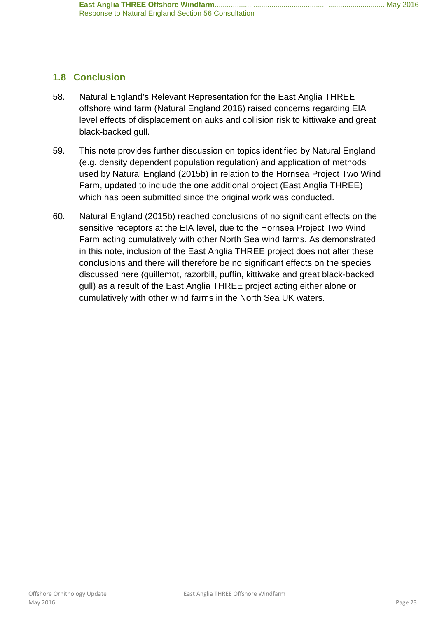| <b>Response to Natural England Section 56 Consultation</b> |  |
|------------------------------------------------------------|--|

#### <span id="page-96-0"></span>**1.8 Conclusion**

- 58. Natural England's Relevant Representation for the East Anglia THREE offshore wind farm (Natural England 2016) raised concerns regarding EIA level effects of displacement on auks and collision risk to kittiwake and great black-backed gull.
- 59. This note provides further discussion on topics identified by Natural England (e.g. density dependent population regulation) and application of methods used by Natural England (2015b) in relation to the Hornsea Project Two Wind Farm, updated to include the one additional project (East Anglia THREE) which has been submitted since the original work was conducted.
- 60. Natural England (2015b) reached conclusions of no significant effects on the sensitive receptors at the EIA level, due to the Hornsea Project Two Wind Farm acting cumulatively with other North Sea wind farms. As demonstrated in this note, inclusion of the East Anglia THREE project does not alter these conclusions and there will therefore be no significant effects on the species discussed here (guillemot, razorbill, puffin, kittiwake and great black-backed gull) as a result of the East Anglia THREE project acting either alone or cumulatively with other wind farms in the North Sea UK waters.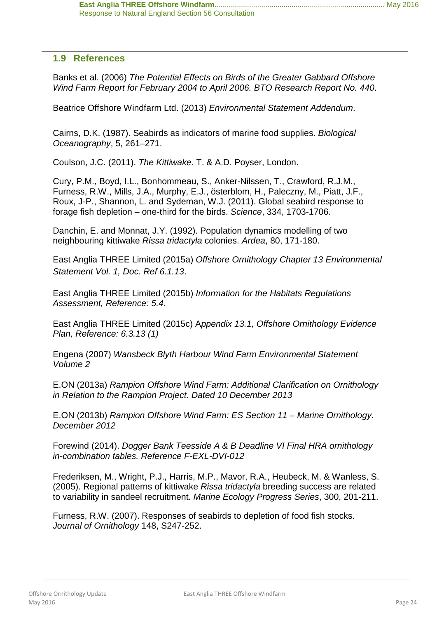| Response to Natural England Section 56 Consultation |  |
|-----------------------------------------------------|--|

#### <span id="page-97-0"></span>**1.9 References**

Banks et al. (2006) *The Potential Effects on Birds of the Greater Gabbard Offshore Wind Farm Report for February 2004 to April 2006. BTO Research Report No. 440*.

Beatrice Offshore Windfarm Ltd. (2013) *Environmental Statement Addendum*.

Cairns, D.K. (1987). Seabirds as indicators of marine food supplies. *Biological Oceanography*, 5, 261–271.

Coulson, J.C. (2011). *The Kittiwake*. T. & A.D. Poyser, London.

Cury, P.M., Boyd, I.L., Bonhommeau, S., Anker-Nilssen, T., Crawford, R.J.M., Furness, R.W., Mills, J.A., Murphy, E.J., österblom, H., Paleczny, M., Piatt, J.F., Roux, J-P., Shannon, L. and Sydeman, W.J. (2011). Global seabird response to forage fish depletion – one-third for the birds. *Science*, 334, 1703-1706.

Danchin, E. and Monnat, J.Y. (1992). Population dynamics modelling of two neighbouring kittiwake *Rissa tridactyla* colonies. *Ardea*, 80, 171-180.

East Anglia THREE Limited (2015a) *Offshore Ornithology Chapter 13 Environmental Statement Vol. 1, Doc. Ref 6.1.13*.

East Anglia THREE Limited (2015b) *Information for the Habitats Regulations Assessment, Reference: 5.4*.

East Anglia THREE Limited (2015c) A*ppendix 13.1, Offshore Ornithology Evidence Plan, Reference: 6.3.13 (1)*

Engena (2007) *Wansbeck Blyth Harbour Wind Farm Environmental Statement Volume 2*

E.ON (2013a) *Rampion Offshore Wind Farm: Additional Clarification on Ornithology in Relation to the Rampion Project. Dated 10 December 2013*

E.ON (2013b) *Rampion Offshore Wind Farm: ES Section 11 – Marine Ornithology. December 2012*

Forewind (2014). *Dogger Bank Teesside A & B Deadline VI Final HRA ornithology in-combination tables. Reference F-EXL-DVI-012*

Frederiksen, M., Wright, P.J., Harris, M.P., Mavor, R.A., Heubeck, M. & Wanless, S. (2005). Regional patterns of kittiwake *Rissa tridactyla* breeding success are related to variability in sandeel recruitment. *Marine Ecology Progress Series*, 300, 201-211.

Furness, R.W. (2007). Responses of seabirds to depletion of food fish stocks. *Journal of Ornithology* 148, S247-252.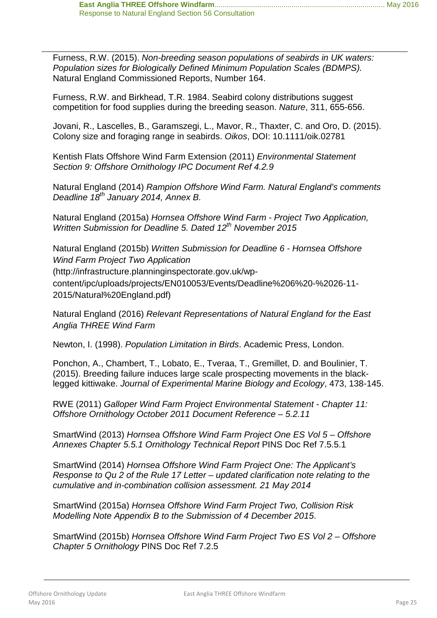Furness, R.W. (2015). *Non-breeding season populations of seabirds in UK waters: Population sizes for Biologically Defined Minimum Population Scales (BDMPS).* Natural England Commissioned Reports, Number 164.

Furness, R.W. and Birkhead, T.R. 1984. Seabird colony distributions suggest competition for food supplies during the breeding season. *Nature*, 311, 655-656.

Jovani, R., Lascelles, B., Garamszegi, L., Mavor, R., Thaxter, C. and Oro, D. (2015). Colony size and foraging range in seabirds. *Oikos*, DOI: 10.1111/oik.02781

Kentish Flats Offshore Wind Farm Extension (2011) *Environmental Statement Section 9: Offshore Ornithology IPC Document Ref 4.2.9*

Natural England (2014) *Rampion Offshore Wind Farm. Natural England's comments Deadline 18th January 2014, Annex B.*

Natural England (2015a) *Hornsea Offshore Wind Farm - Project Two Application, Written Submission for Deadline 5. Dated 12th November 2015*

Natural England (2015b) *Written Submission for Deadline 6 - Hornsea Offshore Wind Farm Project Two Application* [\(http://infrastructure.planninginspectorate.gov.uk/wp](http://infrastructure.planninginspectorate.gov.uk/wp-content/ipc/uploads/projects/EN010053/Events/Deadline%206%20-%2026-11-2015/Natural%20England.pdf)[content/ipc/uploads/projects/EN010053/Events/Deadline%206%20-%2026-11-](http://infrastructure.planninginspectorate.gov.uk/wp-content/ipc/uploads/projects/EN010053/Events/Deadline%206%20-%2026-11-2015/Natural%20England.pdf) [2015/Natural%20England.pdf\)](http://infrastructure.planninginspectorate.gov.uk/wp-content/ipc/uploads/projects/EN010053/Events/Deadline%206%20-%2026-11-2015/Natural%20England.pdf)

Natural England (2016) *Relevant Representations of Natural England for the East Anglia THREE Wind Farm*

Newton, I. (1998). *Population Limitation in Birds*. Academic Press, London.

Ponchon, A., Chambert, T., Lobato, E., Tveraa, T., Gremillet, D. and Boulinier, T. (2015). Breeding failure induces large scale prospecting movements in the blacklegged kittiwake. *Journal of Experimental Marine Biology and Ecology*, 473, 138-145.

RWE (2011) *Galloper Wind Farm Project Environmental Statement - Chapter 11: Offshore Ornithology October 2011 Document Reference – 5.2.11*

SmartWind (2013) *Hornsea Offshore Wind Farm Project One ES Vol 5 – Offshore Annexes Chapter 5.5.1 Ornithology Technical Report* PINS Doc Ref 7.5.5.1

SmartWind (2014) *Hornsea Offshore Wind Farm Project One: The Applicant's Response to Qu 2 of the Rule 17 Letter – updated clarification note relating to the cumulative and in-combination collision assessment. 21 May 2014*

SmartWind (2015a) *Hornsea Offshore Wind Farm Project Two, Collision Risk Modelling Note Appendix B to the Submission of 4 December 2015*.

SmartWind (2015b) *Hornsea Offshore Wind Farm Project Two ES Vol 2 – Offshore Chapter 5 Ornithology* PINS Doc Ref 7.2.5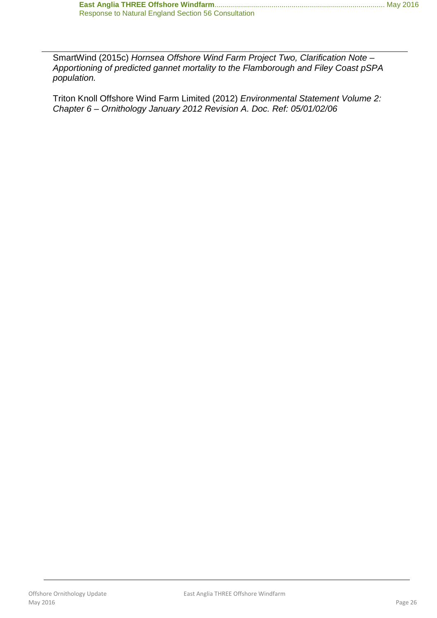| Response to Natural England Section 56 Consultation |  |
|-----------------------------------------------------|--|

SmartWind (2015c) *Hornsea Offshore Wind Farm Project Two, Clarification Note – Apportioning of predicted gannet mortality to the Flamborough and Filey Coast pSPA population.* 

Triton Knoll Offshore Wind Farm Limited (2012) *Environmental Statement Volume 2: Chapter 6 – Ornithology January 2012 Revision A. Doc. Ref: 05/01/02/06*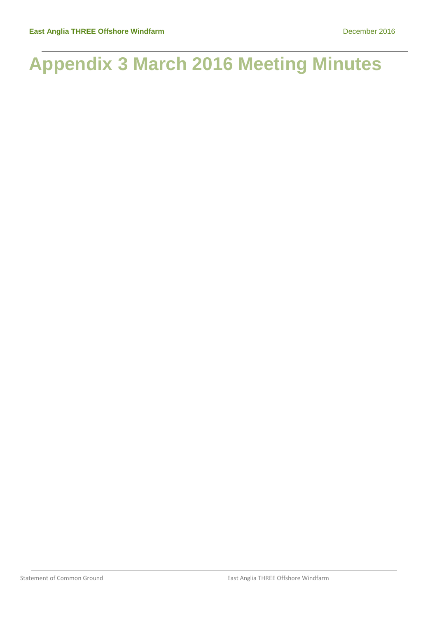### **Appendix 3 March 2016 Meeting Minutes**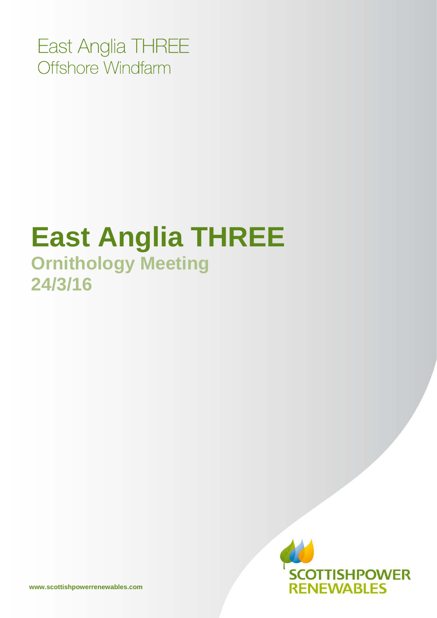East Anglia THREE Offshore Windfarm

## **East Anglia THREE Ornithology Meeting 24/3/16**

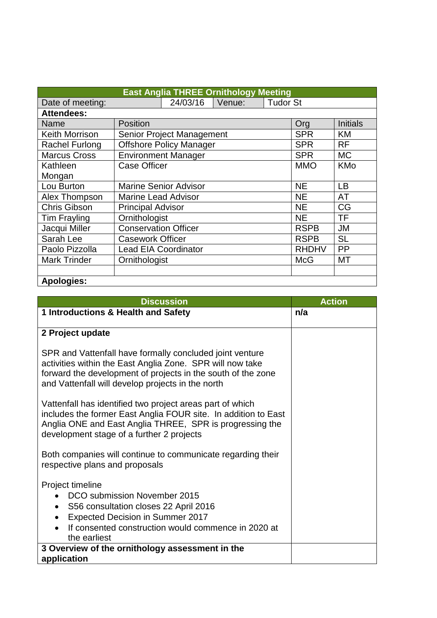| <b>East Anglia THREE Ornithology Meeting</b> |                             |                                |        |                 |              |                 |  |
|----------------------------------------------|-----------------------------|--------------------------------|--------|-----------------|--------------|-----------------|--|
| Date of meeting:                             |                             | 24/03/16                       | Venue: | <b>Tudor St</b> |              |                 |  |
| <b>Attendees:</b>                            |                             |                                |        |                 |              |                 |  |
| <b>Name</b>                                  | <b>Position</b>             |                                |        |                 | Org          | <b>Initials</b> |  |
| <b>Keith Morrison</b>                        |                             | Senior Project Management      |        |                 | <b>SPR</b>   | KM              |  |
| <b>Rachel Furlong</b>                        |                             | <b>Offshore Policy Manager</b> |        |                 | <b>SPR</b>   | <b>RF</b>       |  |
| <b>Marcus Cross</b>                          |                             | <b>Environment Manager</b>     |        |                 | <b>SPR</b>   | <b>MC</b>       |  |
| Kathleen                                     | <b>Case Officer</b>         |                                |        |                 | <b>MMO</b>   | <b>KMo</b>      |  |
| Mongan                                       |                             |                                |        |                 |              |                 |  |
| Lou Burton                                   |                             | <b>Marine Senior Advisor</b>   |        |                 | <b>NE</b>    | <b>LB</b>       |  |
| Alex Thompson                                | <b>Marine Lead Advisor</b>  |                                |        |                 | <b>NE</b>    | AT              |  |
| <b>Chris Gibson</b>                          | <b>Principal Advisor</b>    |                                |        |                 | <b>NE</b>    | CG              |  |
| <b>Tim Frayling</b>                          | Ornithologist               |                                |        |                 | <b>NE</b>    | <b>TF</b>       |  |
| Jacqui Miller                                | <b>Conservation Officer</b> |                                |        |                 | <b>RSPB</b>  | JM              |  |
| Sarah Lee                                    | <b>Casework Officer</b>     |                                |        |                 | <b>RSPB</b>  | <b>SL</b>       |  |
| Paolo Pizzolla                               | <b>Lead EIA Coordinator</b> |                                |        |                 | <b>RHDHV</b> | <b>PP</b>       |  |
| <b>Mark Trinder</b>                          | Ornithologist               |                                |        |                 | <b>McG</b>   | <b>MT</b>       |  |
|                                              |                             |                                |        |                 |              |                 |  |
| <b>Apologies:</b>                            |                             |                                |        |                 |              |                 |  |

| <b>Discussion</b>                                                                                                                                                                                                                          | <b>Action</b> |
|--------------------------------------------------------------------------------------------------------------------------------------------------------------------------------------------------------------------------------------------|---------------|
| 1 Introductions & Health and Safety                                                                                                                                                                                                        | n/a           |
| 2 Project update                                                                                                                                                                                                                           |               |
| SPR and Vattenfall have formally concluded joint venture<br>activities within the East Anglia Zone. SPR will now take<br>forward the development of projects in the south of the zone<br>and Vattenfall will develop projects in the north |               |
| Vattenfall has identified two project areas part of which<br>includes the former East Anglia FOUR site. In addition to East<br>Anglia ONE and East Anglia THREE, SPR is progressing the<br>development stage of a further 2 projects       |               |
| Both companies will continue to communicate regarding their<br>respective plans and proposals                                                                                                                                              |               |
| Project timeline<br>DCO submission November 2015<br>S56 consultation closes 22 April 2016<br>$\bullet$<br><b>Expected Decision in Summer 2017</b><br>$\bullet$<br>If consented construction would commence in 2020 at<br>the earliest      |               |
| 3 Overview of the ornithology assessment in the<br>application                                                                                                                                                                             |               |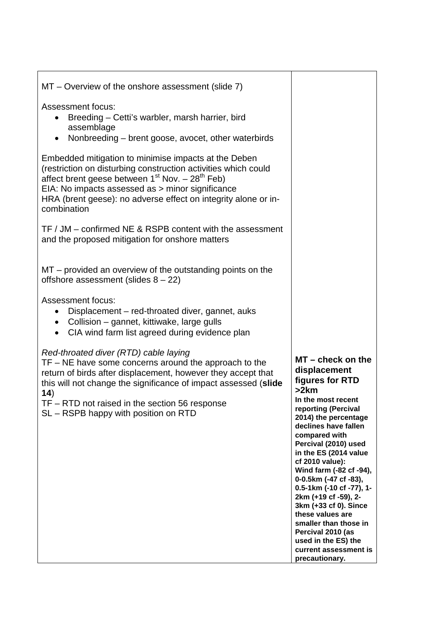| MT – Overview of the onshore assessment (slide 7)                                                                                                                                                                                                                                                                                  |                                                                                                                                                                                                                                                                                                                                                                                                                                                                                                                       |
|------------------------------------------------------------------------------------------------------------------------------------------------------------------------------------------------------------------------------------------------------------------------------------------------------------------------------------|-----------------------------------------------------------------------------------------------------------------------------------------------------------------------------------------------------------------------------------------------------------------------------------------------------------------------------------------------------------------------------------------------------------------------------------------------------------------------------------------------------------------------|
| Assessment focus:<br>Breeding - Cetti's warbler, marsh harrier, bird<br>$\bullet$<br>assemblage<br>Nonbreeding – brent goose, avocet, other waterbirds                                                                                                                                                                             |                                                                                                                                                                                                                                                                                                                                                                                                                                                                                                                       |
| Embedded mitigation to minimise impacts at the Deben<br>(restriction on disturbing construction activities which could<br>affect brent geese between $1st$ Nov. $-28th$ Feb)<br>EIA: No impacts assessed as > minor significance<br>HRA (brent geese): no adverse effect on integrity alone or in-<br>combination                  |                                                                                                                                                                                                                                                                                                                                                                                                                                                                                                                       |
| TF / JM – confirmed NE & RSPB content with the assessment<br>and the proposed mitigation for onshore matters                                                                                                                                                                                                                       |                                                                                                                                                                                                                                                                                                                                                                                                                                                                                                                       |
| MT – provided an overview of the outstanding points on the<br>offshore assessment (slides $8 - 22$ )                                                                                                                                                                                                                               |                                                                                                                                                                                                                                                                                                                                                                                                                                                                                                                       |
| <b>Assessment focus:</b><br>Displacement – red-throated diver, gannet, auks<br>Collision – gannet, kittiwake, large gulls<br>$\bullet$<br>CIA wind farm list agreed during evidence plan<br>$\bullet$                                                                                                                              |                                                                                                                                                                                                                                                                                                                                                                                                                                                                                                                       |
| Red-throated diver (RTD) cable laying<br>TF - NE have some concerns around the approach to the<br>return of birds after displacement, however they accept that<br>this will not change the significance of impact assessed (slide<br>14)<br>TF - RTD not raised in the section 56 response<br>SL – RSPB happy with position on RTD | $MT - check$ on the<br>displacement<br>figures for RTD<br>>2km<br>In the most recent<br>reporting (Percival<br>2014) the percentage<br>declines have fallen<br>compared with<br>Percival (2010) used<br>in the ES (2014 value<br>cf 2010 value):<br>Wind farm (-82 cf -94),<br>0-0.5km (-47 cf -83),<br>0.5-1km (-10 cf -77), 1-<br>2km (+19 cf -59), 2-<br>3km (+33 cf 0). Since<br>these values are<br>smaller than those in<br>Percival 2010 (as<br>used in the ES) the<br>current assessment is<br>precautionary. |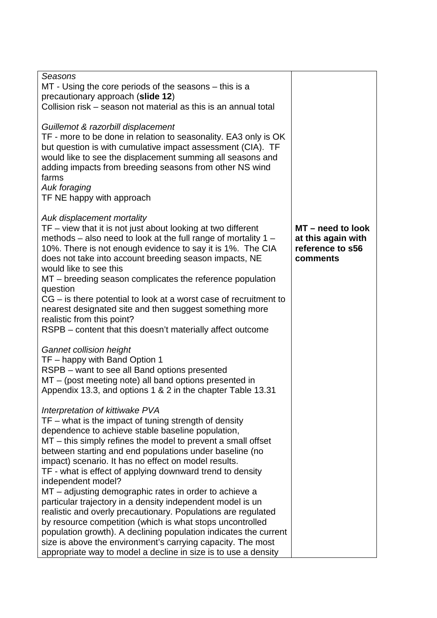| $MT - need to look$<br>at this again with<br>reference to s56<br>comments |
|---------------------------------------------------------------------------|
|                                                                           |
|                                                                           |
|                                                                           |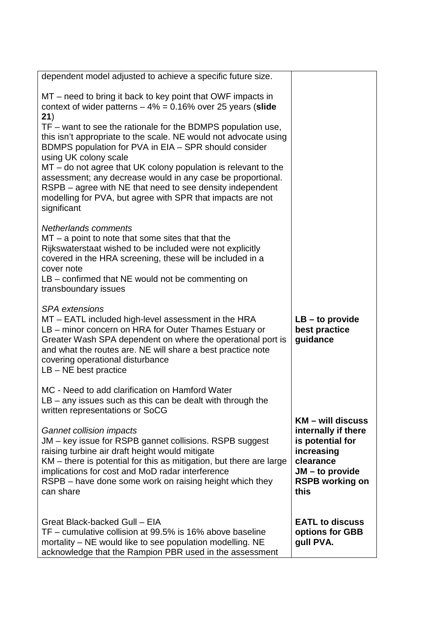| dependent model adjusted to achieve a specific future size.                                                                        |                                         |
|------------------------------------------------------------------------------------------------------------------------------------|-----------------------------------------|
| MT – need to bring it back to key point that OWF impacts in<br>context of wider patterns $-4\% = 0.16\%$ over 25 years (slide      |                                         |
| 21)                                                                                                                                |                                         |
| $TF$ – want to see the rationale for the BDMPS population use,<br>this isn't appropriate to the scale. NE would not advocate using |                                         |
| BDMPS population for PVA in EIA - SPR should consider                                                                              |                                         |
| using UK colony scale<br>MT – do not agree that UK colony population is relevant to the                                            |                                         |
| assessment; any decrease would in any case be proportional.                                                                        |                                         |
| RSPB – agree with NE that need to see density independent<br>modelling for PVA, but agree with SPR that impacts are not            |                                         |
| significant                                                                                                                        |                                         |
| Netherlands comments                                                                                                               |                                         |
| $MT - a$ point to note that some sites that that the<br>Rijkswaterstaat wished to be included were not explicitly                  |                                         |
| covered in the HRA screening, these will be included in a                                                                          |                                         |
| cover note<br>$LB$ – confirmed that NE would not be commenting on                                                                  |                                         |
| transboundary issues                                                                                                               |                                         |
| <b>SPA</b> extensions                                                                                                              |                                         |
| MT – EATL included high-level assessment in the HRA<br>LB – minor concern on HRA for Outer Thames Estuary or                       | $LB - to provide$<br>best practice      |
| Greater Wash SPA dependent on where the operational port is                                                                        | guidance                                |
| and what the routes are. NE will share a best practice note<br>covering operational disturbance                                    |                                         |
| $LB - NE$ best practice                                                                                                            |                                         |
| MC - Need to add clarification on Hamford Water                                                                                    |                                         |
| $LB$ – any issues such as this can be dealt with through the<br>written representations or SoCG                                    |                                         |
|                                                                                                                                    | $KM - will$ discuss                     |
| <b>Gannet collision impacts</b><br>JM – key issue for RSPB gannet collisions. RSPB suggest                                         | internally if there<br>is potential for |
| raising turbine air draft height would mitigate                                                                                    | increasing                              |
| KM – there is potential for this as mitigation, but there are large<br>implications for cost and MoD radar interference            | clearance<br>$JM - to provide$          |
| RSPB - have done some work on raising height which they                                                                            | <b>RSPB working on</b>                  |
| can share                                                                                                                          | this                                    |
| Great Black-backed Gull - EIA                                                                                                      | <b>EATL to discuss</b>                  |
| TF – cumulative collision at 99.5% is 16% above baseline<br>mortality – NE would like to see population modelling. NE              | options for GBB                         |
| acknowledge that the Rampion PBR used in the assessment                                                                            | gull PVA.                               |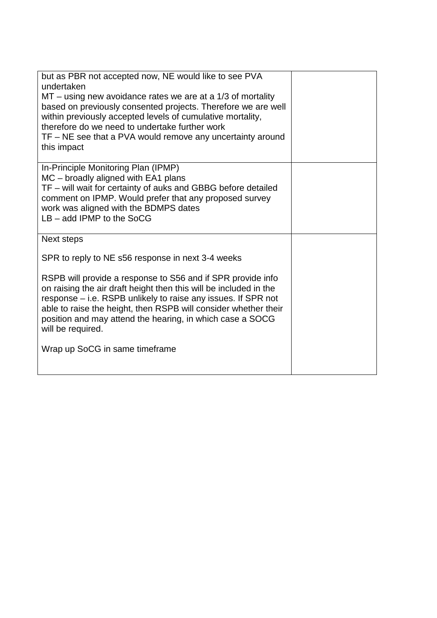| but as PBR not accepted now, NE would like to see PVA<br>undertaken<br>$MT - using new avoidance rates we are at a 1/3 of mortality$<br>based on previously consented projects. Therefore we are well<br>within previously accepted levels of cumulative mortality,<br>therefore do we need to undertake further work<br>TF - NE see that a PVA would remove any uncertainty around<br>this impact |  |
|----------------------------------------------------------------------------------------------------------------------------------------------------------------------------------------------------------------------------------------------------------------------------------------------------------------------------------------------------------------------------------------------------|--|
| In-Principle Monitoring Plan (IPMP)<br>MC - broadly aligned with EA1 plans<br>TF - will wait for certainty of auks and GBBG before detailed<br>comment on IPMP. Would prefer that any proposed survey<br>work was aligned with the BDMPS dates<br>$LB - add IPMP$ to the SoCG                                                                                                                      |  |
| Next steps                                                                                                                                                                                                                                                                                                                                                                                         |  |
| SPR to reply to NE s56 response in next 3-4 weeks                                                                                                                                                                                                                                                                                                                                                  |  |
| RSPB will provide a response to S56 and if SPR provide info<br>on raising the air draft height then this will be included in the<br>response - i.e. RSPB unlikely to raise any issues. If SPR not<br>able to raise the height, then RSPB will consider whether their<br>position and may attend the hearing, in which case a SOCG<br>will be required.                                             |  |
| Wrap up SoCG in same timeframe                                                                                                                                                                                                                                                                                                                                                                     |  |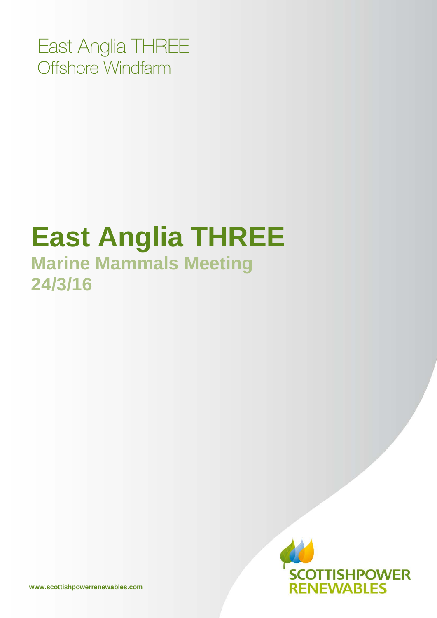East Anglia THREE Offshore Windfarm

## **East Anglia THREE Marine Mammals Meeting 24/3/16**

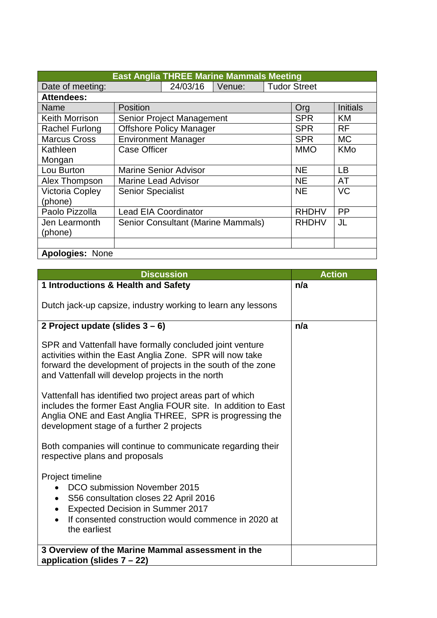| <b>East Anglia THREE Marine Mammals Meeting</b> |                                |                                    |            |            |                     |                 |
|-------------------------------------------------|--------------------------------|------------------------------------|------------|------------|---------------------|-----------------|
| Date of meeting:                                |                                | 24/03/16                           | Venue:     |            | <b>Tudor Street</b> |                 |
| <b>Attendees:</b>                               |                                |                                    |            |            |                     |                 |
| Name                                            | Position                       |                                    |            |            | Org                 | <b>Initials</b> |
| <b>Keith Morrison</b>                           |                                | Senior Project Management          |            |            | <b>SPR</b>          | KM              |
| <b>Rachel Furlong</b>                           | <b>Offshore Policy Manager</b> |                                    |            | <b>SPR</b> | <b>RF</b>           |                 |
| <b>Marcus Cross</b>                             |                                | <b>Environment Manager</b>         |            |            | <b>SPR</b>          | <b>MC</b>       |
| Kathleen                                        | <b>Case Officer</b>            |                                    | <b>MMO</b> | KMo        |                     |                 |
| Mongan                                          |                                |                                    |            |            |                     |                 |
| Lou Burton                                      |                                | <b>Marine Senior Advisor</b>       |            |            | <b>NE</b>           | <b>LB</b>       |
| Alex Thompson                                   | <b>Marine Lead Advisor</b>     |                                    |            |            | <b>NE</b>           | AT              |
| <b>Victoria Copley</b>                          | <b>Senior Specialist</b>       |                                    | <b>NE</b>  | <b>VC</b>  |                     |                 |
| (phone)                                         |                                |                                    |            |            |                     |                 |
| Paolo Pizzolla                                  | <b>Lead EIA Coordinator</b>    |                                    |            |            | <b>RHDHV</b>        | <b>PP</b>       |
| Jen Learmonth                                   |                                | Senior Consultant (Marine Mammals) |            |            | <b>RHDHV</b>        | JL              |
| (phone)                                         |                                |                                    |            |            |                     |                 |
|                                                 |                                |                                    |            |            |                     |                 |
| <b>Apologies: None</b>                          |                                |                                    |            |            |                     |                 |

| <b>Discussion</b>                                                                                                                                                                                                                                                                                                                                                                                                                     | <b>Action</b> |
|---------------------------------------------------------------------------------------------------------------------------------------------------------------------------------------------------------------------------------------------------------------------------------------------------------------------------------------------------------------------------------------------------------------------------------------|---------------|
| 1 Introductions & Health and Safety                                                                                                                                                                                                                                                                                                                                                                                                   | n/a           |
| Dutch jack-up capsize, industry working to learn any lessons                                                                                                                                                                                                                                                                                                                                                                          |               |
| 2 Project update (slides 3 - 6)                                                                                                                                                                                                                                                                                                                                                                                                       | n/a           |
| SPR and Vattenfall have formally concluded joint venture<br>activities within the East Anglia Zone. SPR will now take<br>forward the development of projects in the south of the zone<br>and Vattenfall will develop projects in the north<br>Vattenfall has identified two project areas part of which<br>includes the former East Anglia FOUR site. In addition to East<br>Anglia ONE and East Anglia THREE, SPR is progressing the |               |
| development stage of a further 2 projects                                                                                                                                                                                                                                                                                                                                                                                             |               |
| Both companies will continue to communicate regarding their<br>respective plans and proposals                                                                                                                                                                                                                                                                                                                                         |               |
| Project timeline<br>DCO submission November 2015<br>S56 consultation closes 22 April 2016<br>$\bullet$<br><b>Expected Decision in Summer 2017</b><br>$\bullet$<br>If consented construction would commence in 2020 at<br>the earliest                                                                                                                                                                                                 |               |
| 3 Overview of the Marine Mammal assessment in the<br>application (slides $7 - 22$ )                                                                                                                                                                                                                                                                                                                                                   |               |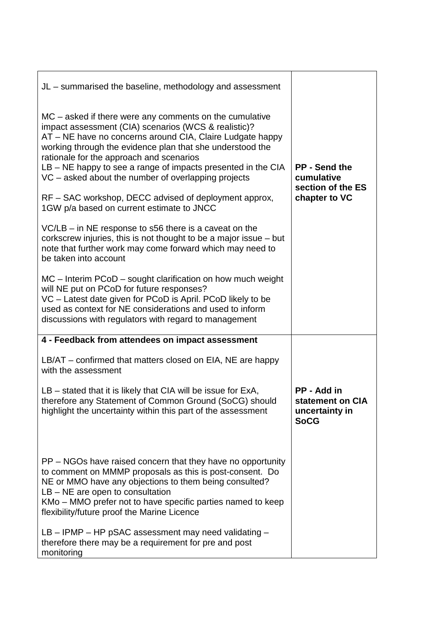| JL – summarised the baseline, methodology and assessment                                                                                                                                                                                                                                                                                                                                                     |                                                         |  |
|--------------------------------------------------------------------------------------------------------------------------------------------------------------------------------------------------------------------------------------------------------------------------------------------------------------------------------------------------------------------------------------------------------------|---------------------------------------------------------|--|
| MC – asked if there were any comments on the cumulative<br>impact assessment (CIA) scenarios (WCS & realistic)?<br>AT – NE have no concerns around CIA, Claire Ludgate happy<br>working through the evidence plan that she understood the<br>rationale for the approach and scenarios<br>LB - NE happy to see a range of impacts presented in the CIA<br>VC – asked about the number of overlapping projects | <b>PP</b> - Send the<br>cumulative<br>section of the ES |  |
| RF – SAC workshop, DECC advised of deployment approx,<br>1GW p/a based on current estimate to JNCC                                                                                                                                                                                                                                                                                                           | chapter to VC                                           |  |
| $VC/LB - in NE$ response to s56 there is a caveat on the<br>corkscrew injuries, this is not thought to be a major issue - but<br>note that further work may come forward which may need to<br>be taken into account                                                                                                                                                                                          |                                                         |  |
| MC - Interim PCoD - sought clarification on how much weight<br>will NE put on PCoD for future responses?<br>VC - Latest date given for PCoD is April. PCoD likely to be<br>used as context for NE considerations and used to inform<br>discussions with regulators with regard to management                                                                                                                 |                                                         |  |
| 4 - Feedback from attendees on impact assessment                                                                                                                                                                                                                                                                                                                                                             |                                                         |  |
| LB/AT – confirmed that matters closed on EIA, NE are happy<br>with the assessment                                                                                                                                                                                                                                                                                                                            |                                                         |  |
| LB – stated that it is likely that CIA will be issue for ExA,<br>therefore any Statement of Common Ground (SoCG) should<br>highlight the uncertainty within this part of the assessment                                                                                                                                                                                                                      | PP - Add in<br>statement on CIA                         |  |
|                                                                                                                                                                                                                                                                                                                                                                                                              | uncertainty in<br><b>SoCG</b>                           |  |
| PP – NGOs have raised concern that they have no opportunity<br>to comment on MMMP proposals as this is post-consent. Do<br>NE or MMO have any objections to them being consulted?<br>$LB - NE$ are open to consultation<br>KMo – MMO prefer not to have specific parties named to keep<br>flexibility/future proof the Marine Licence<br>$LB - IPMP - HP$ pSAC assessment may need validating $-$            |                                                         |  |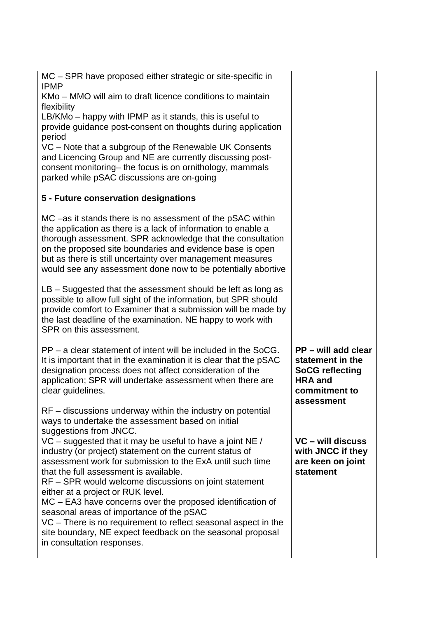| MC – SPR have proposed either strategic or site-specific in<br><b>IPMP</b>                                                       |                                 |
|----------------------------------------------------------------------------------------------------------------------------------|---------------------------------|
| KMo – MMO will aim to draft licence conditions to maintain                                                                       |                                 |
| flexibility<br>LB/KMo – happy with IPMP as it stands, this is useful to                                                          |                                 |
| provide guidance post-consent on thoughts during application                                                                     |                                 |
| period                                                                                                                           |                                 |
| VC – Note that a subgroup of the Renewable UK Consents<br>and Licencing Group and NE are currently discussing post-              |                                 |
| consent monitoring- the focus is on ornithology, mammals                                                                         |                                 |
| parked while pSAC discussions are on-going                                                                                       |                                 |
| 5 - Future conservation designations                                                                                             |                                 |
|                                                                                                                                  |                                 |
| MC –as it stands there is no assessment of the pSAC within<br>the application as there is a lack of information to enable a      |                                 |
| thorough assessment. SPR acknowledge that the consultation                                                                       |                                 |
| on the proposed site boundaries and evidence base is open                                                                        |                                 |
| but as there is still uncertainty over management measures<br>would see any assessment done now to be potentially abortive       |                                 |
|                                                                                                                                  |                                 |
| $LB - Suggested$ that the assessment should be left as long as                                                                   |                                 |
| possible to allow full sight of the information, but SPR should<br>provide comfort to Examiner that a submission will be made by |                                 |
| the last deadline of the examination. NE happy to work with                                                                      |                                 |
| SPR on this assessment.                                                                                                          |                                 |
| $PP - a$ clear statement of intent will be included in the SoCG.                                                                 | PP - will add clear             |
| It is important that in the examination it is clear that the pSAC                                                                | statement in the                |
| designation process does not affect consideration of the                                                                         | <b>SoCG reflecting</b>          |
| application; SPR will undertake assessment when there are<br>clear guidelines.                                                   | <b>HRA and</b><br>commitment to |
|                                                                                                                                  | assessment                      |
| RF – discussions underway within the industry on potential                                                                       |                                 |
| ways to undertake the assessment based on initial                                                                                |                                 |
| suggestions from JNCC.<br>VC – suggested that it may be useful to have a joint NE /                                              | VC - will discuss               |
| industry (or project) statement on the current status of                                                                         | with JNCC if they               |
| assessment work for submission to the ExA until such time                                                                        | are keen on joint               |
| that the full assessment is available.                                                                                           | statement                       |
| RF – SPR would welcome discussions on joint statement<br>either at a project or RUK level.                                       |                                 |
|                                                                                                                                  |                                 |
| MC – EA3 have concerns over the proposed identification of                                                                       |                                 |
| seasonal areas of importance of the pSAC                                                                                         |                                 |
| VC – There is no requirement to reflect seasonal aspect in the                                                                   |                                 |
| site boundary, NE expect feedback on the seasonal proposal<br>in consultation responses.                                         |                                 |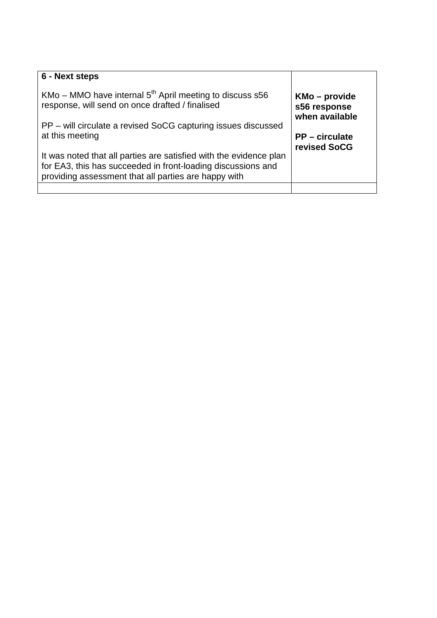| 6 - Next steps                                                                                                                                                                             |                                                 |
|--------------------------------------------------------------------------------------------------------------------------------------------------------------------------------------------|-------------------------------------------------|
| $KMo$ – MMO have internal $5th$ April meeting to discuss s56<br>response, will send on once drafted / finalised                                                                            | KMo – provide<br>s56 response<br>when available |
| PP – will circulate a revised SoCG capturing issues discussed<br>at this meeting                                                                                                           | $PP$ – circulate<br>revised SoCG                |
| It was noted that all parties are satisfied with the evidence plan<br>for EA3, this has succeeded in front-loading discussions and<br>providing assessment that all parties are happy with |                                                 |
|                                                                                                                                                                                            |                                                 |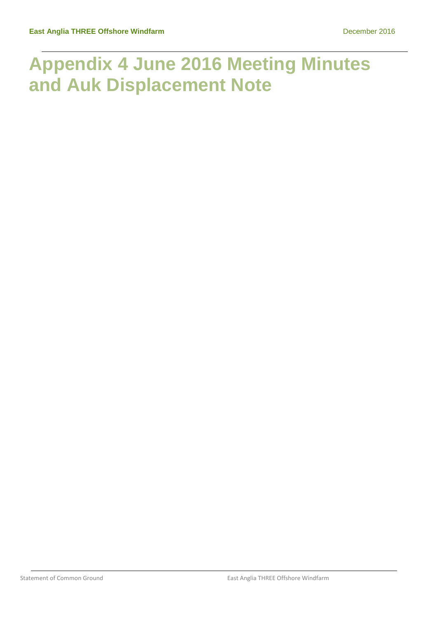## **Appendix 4 June 2016 Meeting Minutes and Auk Displacement Note**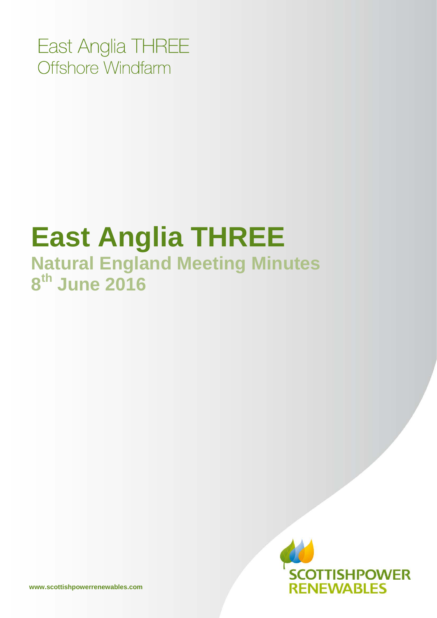East Anglia THREE Offshore Windfarm

## **East Anglia THREE Natural England Meeting Minutes 8th June 2016**

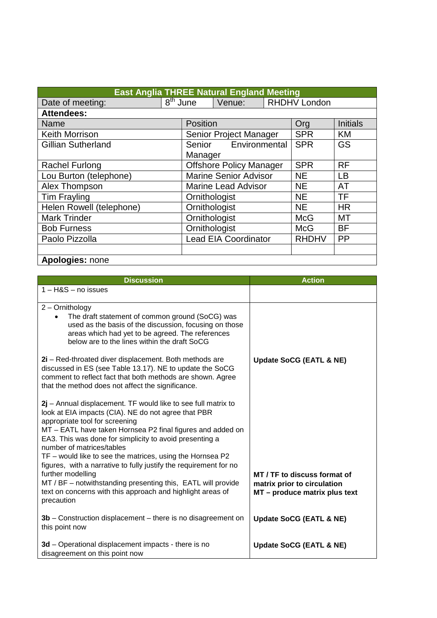| <b>East Anglia THREE Natural England Meeting</b> |            |                                |  |                     |                 |
|--------------------------------------------------|------------|--------------------------------|--|---------------------|-----------------|
| Date of meeting:                                 | $8th$ June | Venue:                         |  | <b>RHDHV London</b> |                 |
| <b>Attendees:</b>                                |            |                                |  |                     |                 |
| <b>Name</b>                                      | Position   |                                |  | Org                 | <b>Initials</b> |
| Keith Morrison                                   |            | Senior Project Manager         |  | <b>SPR</b>          | KM              |
| <b>Gillian Sutherland</b>                        |            | Senior Environmental           |  | <b>SPR</b>          | <b>GS</b>       |
|                                                  |            | Manager                        |  |                     |                 |
| <b>Rachel Furlong</b>                            |            | <b>Offshore Policy Manager</b> |  | <b>SPR</b>          | <b>RF</b>       |
| Lou Burton (telephone)                           |            | <b>Marine Senior Advisor</b>   |  | <b>NE</b>           | <b>LB</b>       |
| Alex Thompson                                    |            | <b>Marine Lead Advisor</b>     |  | <b>NE</b>           | <b>AT</b>       |
| <b>Tim Frayling</b>                              |            | Ornithologist                  |  | <b>NE</b>           | <b>TF</b>       |
| Helen Rowell (telephone)                         |            | Ornithologist                  |  | <b>NE</b>           | <b>HR</b>       |
| <b>Mark Trinder</b>                              |            | Ornithologist                  |  | <b>McG</b>          | MT              |
| <b>Bob Furness</b>                               |            | Ornithologist                  |  | <b>McG</b>          | <b>BF</b>       |
| Paolo Pizzolla                                   |            | <b>Lead EIA Coordinator</b>    |  | <b>RHDHV</b>        | <b>PP</b>       |
|                                                  |            |                                |  |                     |                 |
| Apologies: none                                  |            |                                |  |                     |                 |

| <b>Discussion</b>                                                                                                                                                                                                                                                                                                                                                         | <b>Action</b>                                                                                |
|---------------------------------------------------------------------------------------------------------------------------------------------------------------------------------------------------------------------------------------------------------------------------------------------------------------------------------------------------------------------------|----------------------------------------------------------------------------------------------|
| $1 - H & S - no$ issues                                                                                                                                                                                                                                                                                                                                                   |                                                                                              |
| $2 -$ Ornithology<br>The draft statement of common ground (SoCG) was<br>$\bullet$<br>used as the basis of the discussion, focusing on those<br>areas which had yet to be agreed. The references<br>below are to the lines within the draft SoCG                                                                                                                           |                                                                                              |
| 2i - Red-throated diver displacement. Both methods are<br>discussed in ES (see Table 13.17). NE to update the SoCG<br>comment to reflect fact that both methods are shown. Agree<br>that the method does not affect the significance.                                                                                                                                     | <b>Update SoCG (EATL &amp; NE)</b>                                                           |
| 2j - Annual displacement. TF would like to see full matrix to<br>look at EIA impacts (CIA). NE do not agree that PBR<br>appropriate tool for screening<br>MT - EATL have taken Hornsea P2 final figures and added on<br>EA3. This was done for simplicity to avoid presenting a<br>number of matrices/tables<br>TF - would like to see the matrices, using the Hornsea P2 |                                                                                              |
| figures, with a narrative to fully justify the requirement for no<br>further modelling<br>MT / BF – notwithstanding presenting this, EATL will provide<br>text on concerns with this approach and highlight areas of<br>precaution                                                                                                                                        | MT / TF to discuss format of<br>matrix prior to circulation<br>MT - produce matrix plus text |
| $3b$ – Construction displacement – there is no disagreement on<br>this point now                                                                                                                                                                                                                                                                                          | <b>Update SoCG (EATL &amp; NE)</b>                                                           |
| 3d – Operational displacement impacts - there is no<br>disagreement on this point now                                                                                                                                                                                                                                                                                     | <b>Update SoCG (EATL &amp; NE)</b>                                                           |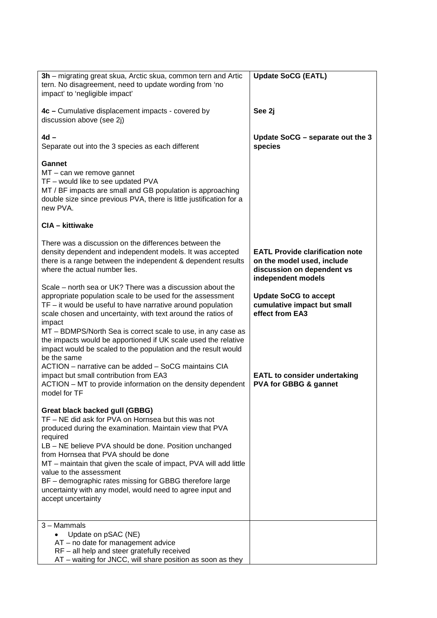| 3h - migrating great skua, Arctic skua, common tern and Artic<br>tern. No disagreement, need to update wording from 'no<br>impact' to 'negligible impact'                                                                                                                                                                                                                                                                                                                                                    | <b>Update SoCG (EATL)</b>                                                                                                |
|--------------------------------------------------------------------------------------------------------------------------------------------------------------------------------------------------------------------------------------------------------------------------------------------------------------------------------------------------------------------------------------------------------------------------------------------------------------------------------------------------------------|--------------------------------------------------------------------------------------------------------------------------|
| 4c – Cumulative displacement impacts - covered by<br>discussion above (see 2j)                                                                                                                                                                                                                                                                                                                                                                                                                               | See 2j                                                                                                                   |
| $4d -$<br>Separate out into the 3 species as each different                                                                                                                                                                                                                                                                                                                                                                                                                                                  | Update SoCG - separate out the 3<br>species                                                                              |
| Gannet<br>$MT - can$ we remove gannet<br>TF - would like to see updated PVA<br>MT / BF impacts are small and GB population is approaching<br>double size since previous PVA, there is little justification for a<br>new PVA.                                                                                                                                                                                                                                                                                 |                                                                                                                          |
| <b>CIA - kittiwake</b>                                                                                                                                                                                                                                                                                                                                                                                                                                                                                       |                                                                                                                          |
| There was a discussion on the differences between the<br>density dependent and independent models. It was accepted<br>there is a range between the independent & dependent results<br>where the actual number lies.                                                                                                                                                                                                                                                                                          | <b>EATL Provide clarification note</b><br>on the model used, include<br>discussion on dependent vs<br>independent models |
| Scale – north sea or UK? There was a discussion about the<br>appropriate population scale to be used for the assessment<br>$TF - it$ would be useful to have narrative around population<br>scale chosen and uncertainty, with text around the ratios of<br>impact                                                                                                                                                                                                                                           | <b>Update SoCG to accept</b><br>cumulative impact but small<br>effect from EA3                                           |
| MT - BDMPS/North Sea is correct scale to use, in any case as<br>the impacts would be apportioned if UK scale used the relative<br>impact would be scaled to the population and the result would<br>be the same                                                                                                                                                                                                                                                                                               |                                                                                                                          |
| ACTION - narrative can be added - SoCG maintains CIA<br>impact but small contribution from EA3<br>ACTION – MT to provide information on the density dependent<br>model for TF                                                                                                                                                                                                                                                                                                                                | <b>EATL to consider undertaking</b><br><b>PVA for GBBG &amp; gannet</b>                                                  |
| Great black backed gull (GBBG)<br>TF – NE did ask for PVA on Hornsea but this was not<br>produced during the examination. Maintain view that PVA<br>required<br>LB - NE believe PVA should be done. Position unchanged<br>from Hornsea that PVA should be done<br>MT – maintain that given the scale of impact, PVA will add little<br>value to the assessment<br>BF - demographic rates missing for GBBG therefore large<br>uncertainty with any model, would need to agree input and<br>accept uncertainty |                                                                                                                          |
| $3 -$ Mammals                                                                                                                                                                                                                                                                                                                                                                                                                                                                                                |                                                                                                                          |
| Update on pSAC (NE)<br>AT - no date for management advice<br>$RF - all help and steer gratefully received$<br>AT - waiting for JNCC, will share position as soon as they                                                                                                                                                                                                                                                                                                                                     |                                                                                                                          |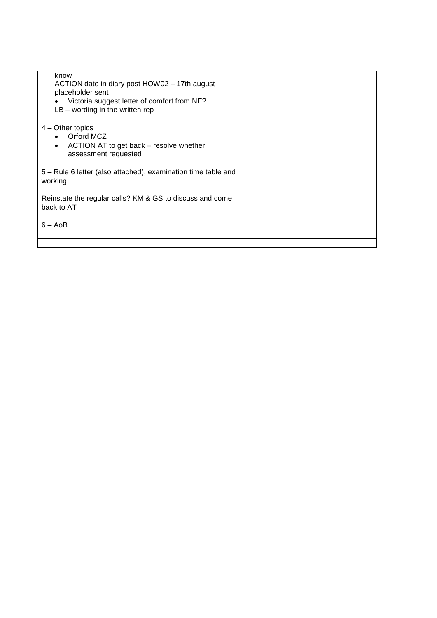| know<br>ACTION date in diary post HOW02 - 17th august<br>placeholder sent<br>Victoria suggest letter of comfort from NE?<br>$LB - wording$ in the written rep |  |
|---------------------------------------------------------------------------------------------------------------------------------------------------------------|--|
| $4 -$ Other topics<br>Orford MCZ<br>ACTION AT to get back - resolve whether<br>٠<br>assessment requested                                                      |  |
| 5 – Rule 6 letter (also attached), examination time table and<br>working                                                                                      |  |
| Reinstate the regular calls? KM & GS to discuss and come<br>back to AT                                                                                        |  |
| $6 - A0B$                                                                                                                                                     |  |